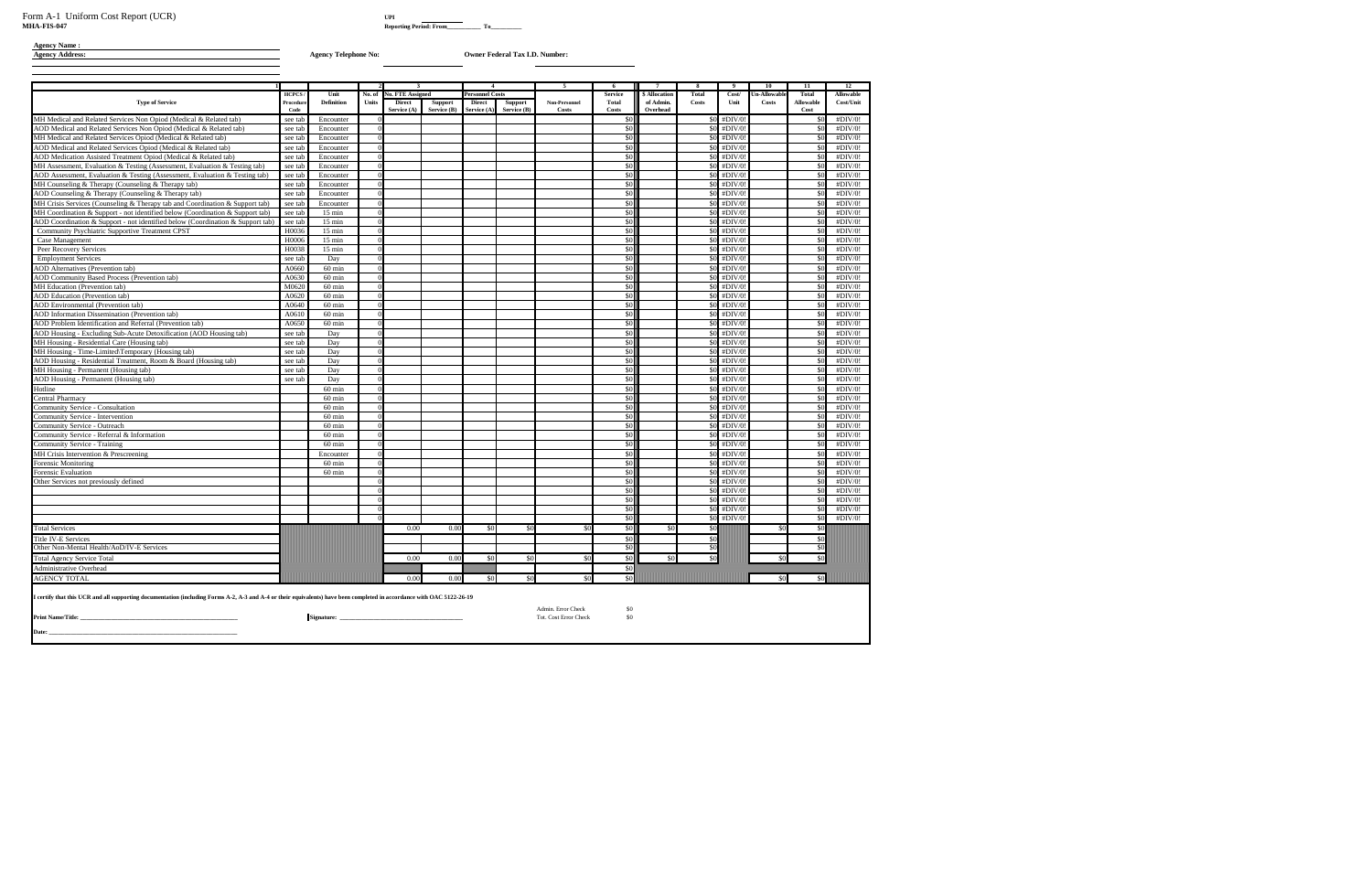# **Agency Name :**

#### **Agency Address: Agency Telephone No: Owner Federal Tax I.D. Number:**

|                                                                                                                                                                      |                    |                        |              | $\mathbf{3}$            |                | $\overline{4}$                         |                                        | - 5 -                                       | - 6            | 7             | -8           | $\bullet$ | 10           | 11           | <b>12</b>        |
|----------------------------------------------------------------------------------------------------------------------------------------------------------------------|--------------------|------------------------|--------------|-------------------------|----------------|----------------------------------------|----------------------------------------|---------------------------------------------|----------------|---------------|--------------|-----------|--------------|--------------|------------------|
|                                                                                                                                                                      | <b>HCPCS</b>       | Unit                   | No. of       | <b>No. FTE Assigned</b> |                | <b>Personnel Costs</b>                 |                                        |                                             | <b>Service</b> | \$ Allocation | <b>Total</b> | Cost/     | Un-Allowable | <b>Total</b> | <b>Allowable</b> |
| <b>Type of Service</b>                                                                                                                                               | Procedur           | <b>Definition</b>      | <b>Units</b> | <b>Direct</b>           | <b>Support</b> | <b>Direct</b>                          | <b>Support</b>                         | Non-Personnel                               | <b>Total</b>   | of Admin.     | <b>Costs</b> | Unit      | <b>Costs</b> | Allowable    | Cost/Unit        |
|                                                                                                                                                                      | Code               |                        |              | Service (A)             | Service (B)    | Service (A                             | Service (B)                            | <b>Costs</b>                                | Costs<br>\$0   | Overhead      | \$0          | #DIV/0    |              | Cost<br>\$0  | #DIV/0!          |
| MH Medical and Related Services Non Opiod (Medical & Related tab)<br>AOD Medical and Related Services Non Opiod (Medical & Related tab)                              | see tab<br>see tab | Encounter<br>Encounter |              |                         |                |                                        |                                        |                                             | \$0            |               | \$0          | #DIV/0    |              | \$0          | #DIV/0!          |
| MH Medical and Related Services Opiod (Medical & Related tab)                                                                                                        | see tab            | Encounter              |              |                         |                |                                        |                                        |                                             | \$0            |               | \$0          | #DIV/0    |              | \$0          | #DIV/0!          |
| AOD Medical and Related Services Opiod (Medical & Related tab)                                                                                                       | see tab            | Encounter              |              |                         |                |                                        |                                        |                                             | \$0            |               | \$0          | #DIV/0    |              | \$0          | #DIV/0!          |
| AOD Medication Assisted Treatment Opiod (Medical & Related tab)                                                                                                      | see tab            | Encounter              |              |                         |                |                                        |                                        |                                             | \$0            |               | \$0          | #DIV/0    |              | \$0          | #DIV/0!          |
| MH Assessment, Evaluation & Testing (Assessment, Evaluation & Testing tab)                                                                                           | see tab            | Encounter              |              |                         |                |                                        |                                        |                                             | \$0            |               | \$0          | #DIV/0    |              | \$0          | #DIV/0!          |
| AOD Assessment, Evaluation & Testing (Assessment, Evaluation & Testing tab)                                                                                          | see tab            | Encounter              |              |                         |                |                                        |                                        |                                             | \$0            |               | \$0          | #DIV/0    |              | \$0          | #DIV/0!          |
| MH Counseling & Therapy (Counseling & Therapy tab)                                                                                                                   | see tab            | Encounter              |              |                         |                |                                        |                                        |                                             | \$0            |               | \$0          | #DIV/0    |              | \$0          | #DIV/0!          |
| AOD Counseling & Therapy (Counseling & Therapy tab)                                                                                                                  | see tab            | Encounter              |              |                         |                |                                        |                                        |                                             | \$0            |               | \$0          | #DIV/0    |              | \$0          | #DIV/0!          |
| MH Crisis Services (Counseling & Therapy tab and Coordination & Support tab)                                                                                         | see tab            | Encounter              |              |                         |                |                                        |                                        |                                             | \$0            |               | \$0          | #DIV/0    |              | \$0          | #DIV/0!          |
| MH Coordination & Support - not identified below (Coordination & Support tab)                                                                                        | see tab            | $15 \text{ min}$       |              |                         |                |                                        |                                        |                                             | \$0            |               | \$0          | #DIV/0!   |              | \$0          | #DIV/0!          |
| AOD Coordination & Support - not identified below (Coordination & Support tab)                                                                                       | see tab            | $15 \text{ min}$       |              |                         |                |                                        |                                        |                                             | \$0            |               | \$0          | #DIV/0    |              | \$0          | #DIV/0!          |
| Community Psychiatric Supportive Treatment CPST                                                                                                                      | H0036              | $15 \text{ min}$       |              |                         |                |                                        |                                        |                                             | \$0            |               | \$0          | #DIV/0    |              | \$0          | #DIV/0!          |
| Case Management                                                                                                                                                      | H0006              | $15 \text{ min}$       |              |                         |                |                                        |                                        |                                             | \$0            |               | \$0          | #DIV/0    |              | \$0          | #DIV/0!          |
| Peer Recovery Services                                                                                                                                               | H0038              | $15 \text{ min}$       |              |                         |                |                                        |                                        |                                             | \$0            |               | \$0          | #DIV/0    |              | \$0          | #DIV/0!          |
| <b>Employment Services</b>                                                                                                                                           | see tab            | Day                    |              |                         |                |                                        |                                        |                                             | \$0            |               | \$0          | #DIV/0    |              | \$0          | #DIV/0!          |
| <b>AOD</b> Alternatives (Prevention tab)                                                                                                                             | A0660              | $60 \text{ min}$       |              |                         |                |                                        |                                        |                                             | \$0            |               | \$0          | #DIV/0    |              | \$0          | #DIV/0!          |
| <b>AOD Community Based Process (Prevention tab)</b>                                                                                                                  | A0630              | $60 \text{ min}$       |              |                         |                |                                        |                                        |                                             | \$0            |               | \$0          | #DIV/0    |              | \$0          | #DIV/0!          |
| <b>MH</b> Education (Prevention tab)                                                                                                                                 | M0620              | $60 \text{ min}$       |              |                         |                |                                        |                                        |                                             | \$0            |               | \$0          | #DIV/0    |              | \$0          | #DIV/0!          |
| <b>AOD</b> Education (Prevention tab)                                                                                                                                | A0620              | $60$ min               |              |                         |                |                                        |                                        |                                             | \$0            |               | \$0          | #DIV/0    |              | \$0          | #DIV/0!          |
| AOD Environmental (Prevention tab)                                                                                                                                   | A0640              | $60 \text{ min}$       |              |                         |                |                                        |                                        |                                             | \$0            |               | \$0          | #DIV/0    |              | \$0          | #DIV/0!          |
| AOD Information Dissemination (Prevention tab)                                                                                                                       | A0610              | $60 \text{ min}$       |              |                         |                |                                        |                                        |                                             | \$0            |               | \$0          | #DIV/0    |              | \$0          | #DIV/0!          |
| AOD Problem Identification and Referral (Prevention tab)                                                                                                             | A0650              | $60 \text{ min}$       |              |                         |                |                                        |                                        |                                             | \$0            |               | \$0          | #DIV/0!   |              | \$0          | #DIV/0!          |
| AOD Housing - Excluding Sub-Acute Detoxification (AOD Housing tab)                                                                                                   | see tab            | Dav                    |              |                         |                |                                        |                                        |                                             | \$0            |               | \$0          | #DIV/0!   |              | \$0          | #DIV/0!          |
| MH Housing - Residential Care (Housing tab)                                                                                                                          | see tab            | Day                    |              |                         |                |                                        |                                        |                                             | \$0            |               | \$0          | #DIV/0!   |              | \$0          | #DIV/0!          |
| MH Housing - Time-Limited\Temporary (Housing tab)                                                                                                                    | see tab            | Day                    |              |                         |                |                                        |                                        |                                             | \$0            |               | \$0          | #DIV/0    |              | \$0          | #DIV/0!          |
| AOD Housing - Residential Treatment, Room & Board (Housing tab)                                                                                                      | see tab            | Day                    |              |                         |                |                                        |                                        |                                             | \$0            |               | \$0          | #DIV/0    |              | \$0          | #DIV/0!          |
| MH Housing - Permanent (Housing tab)                                                                                                                                 | see tab            | Day                    |              |                         |                |                                        |                                        |                                             | \$0            |               | \$0          | #DIV/0    |              | \$0          | #DIV/0!          |
| AOD Housing - Permanent (Housing tab)                                                                                                                                | see tab            | Day                    |              |                         |                |                                        |                                        |                                             | \$0            |               | \$0          | #DIV/0    |              | \$0          | #DIV/0!          |
| <b>Iotline</b>                                                                                                                                                       |                    | $60$ min               |              |                         |                |                                        |                                        |                                             | \$0            |               | \$0          | #DIV/0    |              | \$0          | #DIV/0!          |
| Central Pharmacy                                                                                                                                                     |                    | $60 \text{ min}$       |              |                         |                |                                        |                                        |                                             | \$0            |               | \$0          | #DIV/0    |              | \$0          | #DIV/0!          |
| Community Service - Consultation                                                                                                                                     |                    | $60 \text{ min}$       |              |                         |                |                                        |                                        |                                             | \$0            |               | \$0          | #DIV/0    |              | \$0          | #DIV/0!          |
| Community Service - Intervention                                                                                                                                     |                    | $60 \text{ min}$       |              |                         |                |                                        |                                        |                                             | \$0            |               | \$0          | #DIV/0    |              | \$0          | #DIV/0!          |
| Community Service - Outreach                                                                                                                                         |                    | $60 \text{ min}$       |              |                         |                |                                        |                                        |                                             | \$0            |               | \$0          | #DIV/0    |              | \$0          | #DIV/0!          |
| Community Service - Referral & Information                                                                                                                           |                    | $60$ min               |              |                         |                |                                        |                                        |                                             | \$0            |               | \$0          | #DIV/0    |              | \$0          | #DIV/0!          |
| Community Service - Training                                                                                                                                         |                    | $60 \text{ min}$       |              |                         |                |                                        |                                        |                                             | \$0            |               | \$0          | #DIV/0    |              | \$0          | #DIV/0!          |
| MH Crisis Intervention & Prescreening                                                                                                                                |                    | Encounter              |              |                         |                |                                        |                                        |                                             | \$0            |               | \$0          | #DIV/0    |              | \$0          | #DIV/0!          |
| Forensic Monitoring                                                                                                                                                  |                    | $60 \text{ min}$       |              |                         |                |                                        |                                        |                                             | \$0            |               | \$0          | #DIV/0    |              | \$0          | #DIV/0!          |
| Forensic Evaluation                                                                                                                                                  |                    | $60$ min               |              |                         |                |                                        |                                        |                                             | \$0            |               | \$0          | #DIV/0    |              | \$0          | #DIV/0!          |
| Other Services not previously defined                                                                                                                                |                    |                        |              |                         |                |                                        |                                        |                                             | \$0            |               | \$0          | #DIV/0    |              | \$0          | #DIV/0!          |
|                                                                                                                                                                      |                    |                        |              |                         |                |                                        |                                        |                                             | \$0            |               | \$0          | #DIV/0    |              | \$0          | #DIV/0!          |
|                                                                                                                                                                      |                    |                        |              |                         |                |                                        |                                        |                                             | \$0            |               | \$0          | #DIV/0    |              | \$0          | #DIV/0!          |
|                                                                                                                                                                      |                    |                        |              |                         |                |                                        |                                        |                                             | \$0            |               | \$0          | #DIV/0    |              | \$0          | #DIV/0!          |
|                                                                                                                                                                      |                    |                        |              |                         |                |                                        |                                        |                                             | \$0            |               | \$0          | #DIV/0!   |              | \$0          | #DIV/0!          |
| <b>Total Services</b>                                                                                                                                                |                    |                        |              | 0.00                    | 0.00           | \$0                                    | $\mathcal{S}$                          |                                             | \$0            | -\$0          | \$0          |           | -80          | \$0          |                  |
| <b>Title IV-E Services</b>                                                                                                                                           |                    |                        |              |                         |                |                                        |                                        |                                             | \$0            |               | \$0          |           |              | \$0          |                  |
| Other Non-Mental Health/AoD/IV-E Services                                                                                                                            |                    |                        |              |                         |                |                                        |                                        |                                             | \$0            |               | \$0          |           |              | \$0          |                  |
| <b>Total Agency Service Total</b>                                                                                                                                    |                    |                        |              | 0.00                    | 0.00           | $\boldsymbol{\mathsf{S}}$ <sup>0</sup> | $\boldsymbol{\mathsf{S}}$ <sup>0</sup> | -\$0                                        | \$0            | <b>SO</b>     | \$0          |           | \$0          | \$0          |                  |
| Administrative Overhead                                                                                                                                              |                    |                        |              |                         |                |                                        |                                        |                                             | \$0            |               |              |           |              |              |                  |
| <b>AGENCY TOTAL</b>                                                                                                                                                  |                    |                        |              | 0.00                    | 0.00           | \$0                                    | \$0                                    | \$0                                         | \$0            |               |              |           | \$0          | \$0          |                  |
| certify that this UCR and all supporting documentation (including Forms A-2, A-3 and A-4 or their equivalents) have been completed in accordance with OAC 5122-26-19 |                    |                        |              |                         |                |                                        |                                        |                                             |                |               |              |           |              |              |                  |
| Print Name/Title:                                                                                                                                                    |                    | Signature:             |              |                         |                |                                        |                                        | Admin. Error Check<br>Tot. Cost Error Check | \$0<br>\$0     |               |              |           |              |              |                  |
| <b>Date:</b>                                                                                                                                                         |                    |                        |              |                         |                |                                        |                                        |                                             |                |               |              |           |              |              |                  |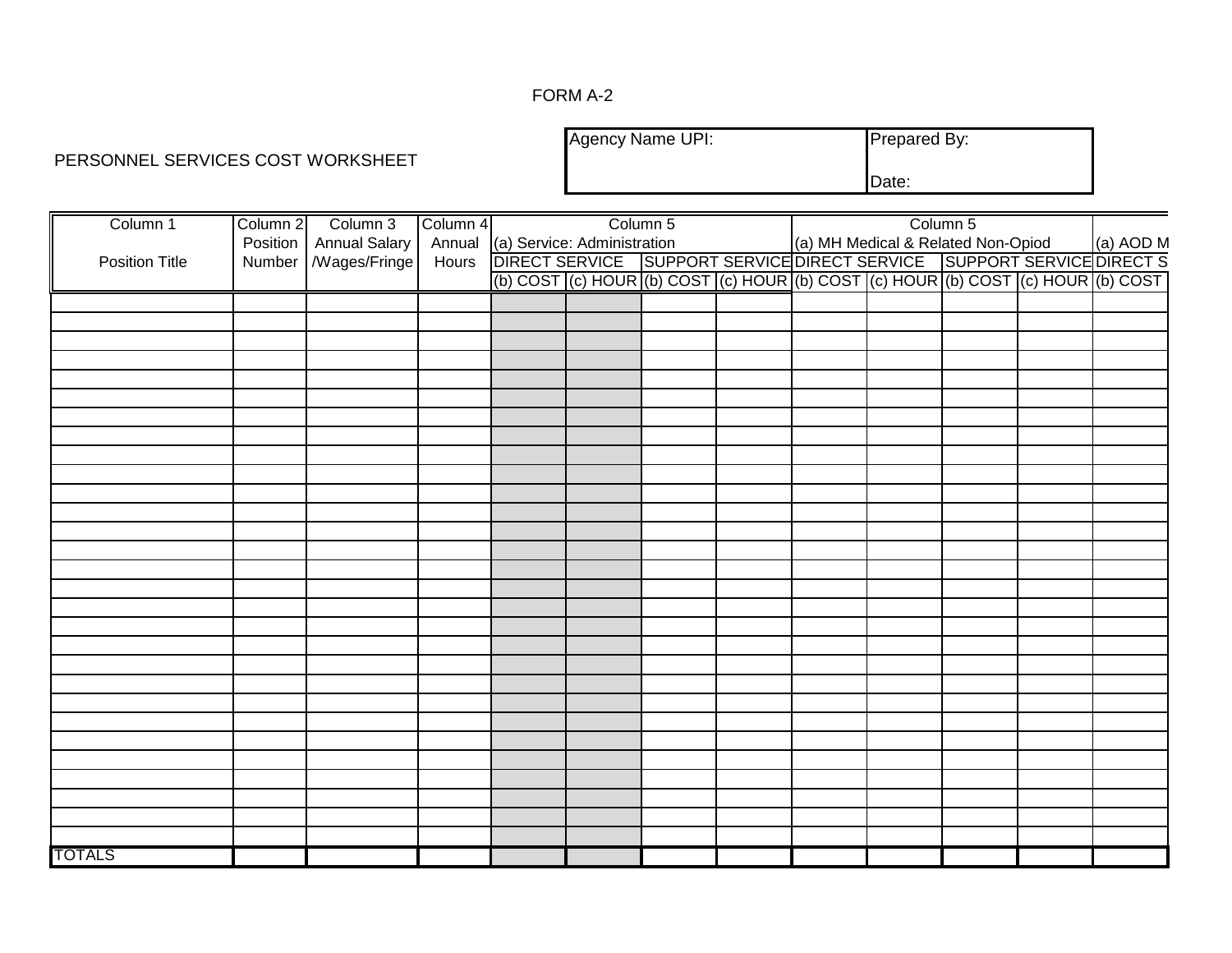### FORM A-2

# PERSONNEL SERVICES COST WORKSHEET

Agency Name UPI: Prepared By:

Date:

| Column 1       | Column 2 Column 3        | Column 4 |                                    | Column 5 |  |                                    | Column 5 | =                                                                                                                                                                                               |  |
|----------------|--------------------------|----------|------------------------------------|----------|--|------------------------------------|----------|-------------------------------------------------------------------------------------------------------------------------------------------------------------------------------------------------|--|
|                | Position   Annual Salary |          | Annual (a) Service: Administration |          |  | (a) MH Medical & Related Non-Opiod |          | (a) AOD M                                                                                                                                                                                       |  |
| Position Title | Number   /Wages/Fringe   |          |                                    |          |  |                                    |          |                                                                                                                                                                                                 |  |
|                |                          |          |                                    |          |  |                                    |          | Hours DIRECT SERVICE SUPPORT SERVICE DIRECT SERVICE SUPPORT SERVICE DIRECT S<br>(b) COST (c) HOUR (b) COST (c) HOUR (b) COST (c) HOUR (b) COST (c) HOUR (b) COST (c) HOUR (b) COST (c) HOUR (b) |  |
|                |                          |          |                                    |          |  |                                    |          |                                                                                                                                                                                                 |  |
|                |                          |          |                                    |          |  |                                    |          |                                                                                                                                                                                                 |  |
|                |                          |          |                                    |          |  |                                    |          |                                                                                                                                                                                                 |  |
|                |                          |          |                                    |          |  |                                    |          |                                                                                                                                                                                                 |  |
|                |                          |          |                                    |          |  |                                    |          |                                                                                                                                                                                                 |  |
|                |                          |          |                                    |          |  |                                    |          |                                                                                                                                                                                                 |  |
|                |                          |          |                                    |          |  |                                    |          |                                                                                                                                                                                                 |  |
|                |                          |          |                                    |          |  |                                    |          |                                                                                                                                                                                                 |  |
|                |                          |          |                                    |          |  |                                    |          |                                                                                                                                                                                                 |  |
|                |                          |          |                                    |          |  |                                    |          |                                                                                                                                                                                                 |  |
|                |                          |          |                                    |          |  |                                    |          |                                                                                                                                                                                                 |  |
|                |                          |          |                                    |          |  |                                    |          |                                                                                                                                                                                                 |  |
|                |                          |          |                                    |          |  |                                    |          |                                                                                                                                                                                                 |  |
|                |                          |          |                                    |          |  |                                    |          |                                                                                                                                                                                                 |  |
|                |                          |          |                                    |          |  |                                    |          |                                                                                                                                                                                                 |  |
|                |                          |          |                                    |          |  |                                    |          |                                                                                                                                                                                                 |  |
|                |                          |          |                                    |          |  |                                    |          |                                                                                                                                                                                                 |  |
|                |                          |          |                                    |          |  |                                    |          |                                                                                                                                                                                                 |  |
|                |                          |          |                                    |          |  |                                    |          |                                                                                                                                                                                                 |  |
|                |                          |          |                                    |          |  |                                    |          |                                                                                                                                                                                                 |  |
|                |                          |          |                                    |          |  |                                    |          |                                                                                                                                                                                                 |  |
|                |                          |          |                                    |          |  |                                    |          |                                                                                                                                                                                                 |  |
|                |                          |          |                                    |          |  |                                    |          |                                                                                                                                                                                                 |  |
|                |                          |          |                                    |          |  |                                    |          |                                                                                                                                                                                                 |  |
|                |                          |          |                                    |          |  |                                    |          |                                                                                                                                                                                                 |  |
|                |                          |          |                                    |          |  |                                    |          |                                                                                                                                                                                                 |  |
|                |                          |          |                                    |          |  |                                    |          |                                                                                                                                                                                                 |  |
|                |                          |          |                                    |          |  |                                    |          |                                                                                                                                                                                                 |  |
|                |                          |          |                                    |          |  |                                    |          |                                                                                                                                                                                                 |  |
|                |                          |          |                                    |          |  |                                    |          |                                                                                                                                                                                                 |  |
| <b>TOTALS</b>  |                          |          |                                    |          |  |                                    |          |                                                                                                                                                                                                 |  |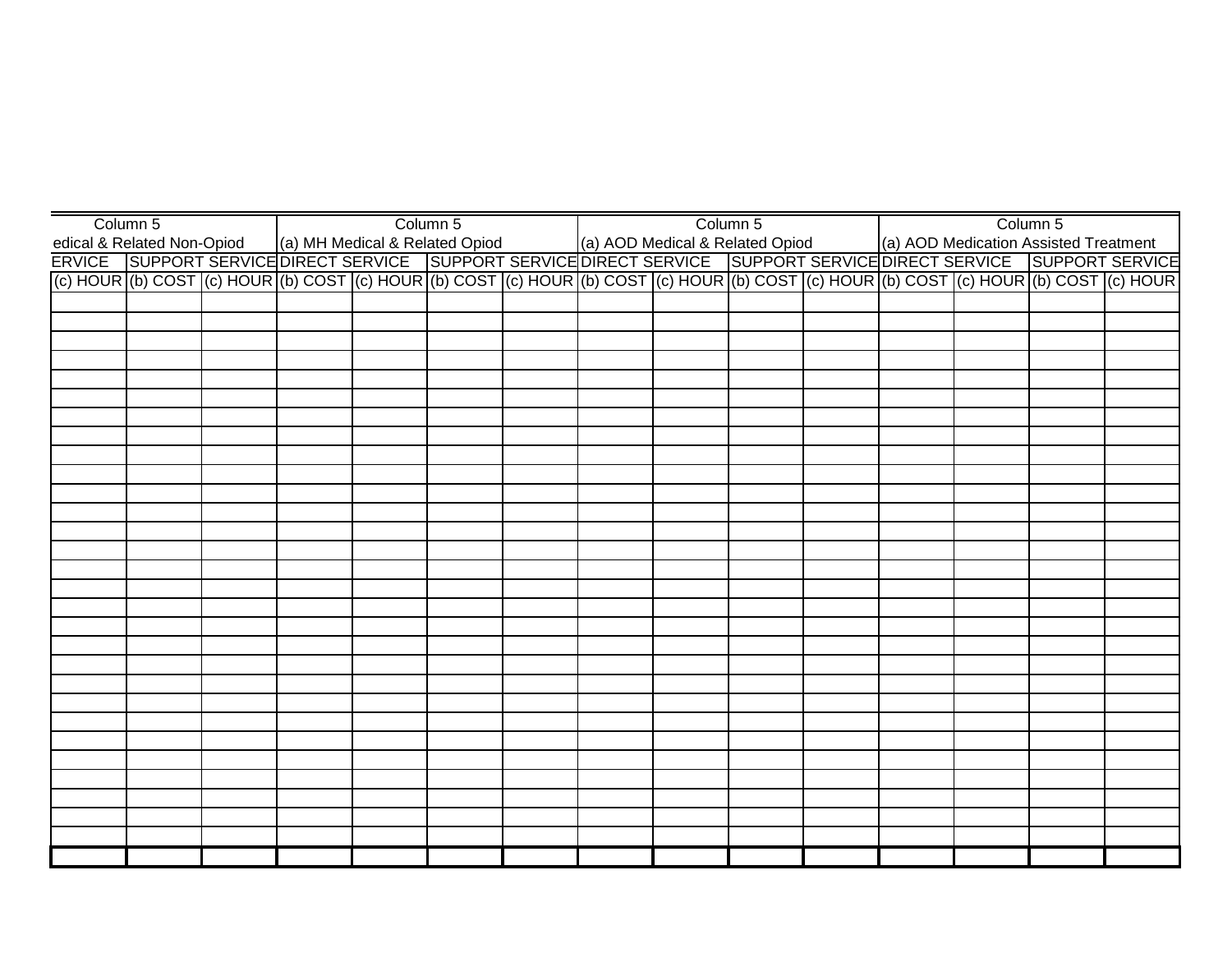| Column 5                                                                                                                                                 |  |                                                                | Column 5 |  | Column 5 |  |                                       | Column 5 |  |
|----------------------------------------------------------------------------------------------------------------------------------------------------------|--|----------------------------------------------------------------|----------|--|----------|--|---------------------------------------|----------|--|
| ledical & Related Non-Opiod                                                                                                                              |  | (a) MH Medical & Related Opiod (a) AOD Medical & Related Opiod |          |  |          |  | (a) AOD Medication Assisted Treatment |          |  |
| ERVICE SUPPORT SERVICE DIRECT SERVICE SUPPORT SERVICE DIRECT SERVICE SUPPORT SERVICE DIRECT SERVICE SUPPORT SERVICE                                      |  |                                                                |          |  |          |  |                                       |          |  |
| (c) HOUR (b) COST (c) HOUR (b) COST (c) HOUR (b) COST (c) HOUR (b) COST (c) HOUR (b) COST (c) HOUR (b) COST (c) HOUR (b) COST (c) HOUR (c) COST (c) HOUR |  |                                                                |          |  |          |  |                                       |          |  |
|                                                                                                                                                          |  |                                                                |          |  |          |  |                                       |          |  |
|                                                                                                                                                          |  |                                                                |          |  |          |  |                                       |          |  |
|                                                                                                                                                          |  |                                                                |          |  |          |  |                                       |          |  |
|                                                                                                                                                          |  |                                                                |          |  |          |  |                                       |          |  |
|                                                                                                                                                          |  |                                                                |          |  |          |  |                                       |          |  |
|                                                                                                                                                          |  |                                                                |          |  |          |  |                                       |          |  |
|                                                                                                                                                          |  |                                                                |          |  |          |  |                                       |          |  |
|                                                                                                                                                          |  |                                                                |          |  |          |  |                                       |          |  |
|                                                                                                                                                          |  |                                                                |          |  |          |  |                                       |          |  |
|                                                                                                                                                          |  |                                                                |          |  |          |  |                                       |          |  |
|                                                                                                                                                          |  |                                                                |          |  |          |  |                                       |          |  |
|                                                                                                                                                          |  |                                                                |          |  |          |  |                                       |          |  |
|                                                                                                                                                          |  |                                                                |          |  |          |  |                                       |          |  |
|                                                                                                                                                          |  |                                                                |          |  |          |  |                                       |          |  |
|                                                                                                                                                          |  |                                                                |          |  |          |  |                                       |          |  |
|                                                                                                                                                          |  |                                                                |          |  |          |  |                                       |          |  |
|                                                                                                                                                          |  |                                                                |          |  |          |  |                                       |          |  |
|                                                                                                                                                          |  |                                                                |          |  |          |  |                                       |          |  |
|                                                                                                                                                          |  |                                                                |          |  |          |  |                                       |          |  |
|                                                                                                                                                          |  |                                                                |          |  |          |  |                                       |          |  |
|                                                                                                                                                          |  |                                                                |          |  |          |  |                                       |          |  |
|                                                                                                                                                          |  |                                                                |          |  |          |  |                                       |          |  |
|                                                                                                                                                          |  |                                                                |          |  |          |  |                                       |          |  |
|                                                                                                                                                          |  |                                                                |          |  |          |  |                                       |          |  |
|                                                                                                                                                          |  |                                                                |          |  |          |  |                                       |          |  |
|                                                                                                                                                          |  |                                                                |          |  |          |  |                                       |          |  |
|                                                                                                                                                          |  |                                                                |          |  |          |  |                                       |          |  |
|                                                                                                                                                          |  |                                                                |          |  |          |  |                                       |          |  |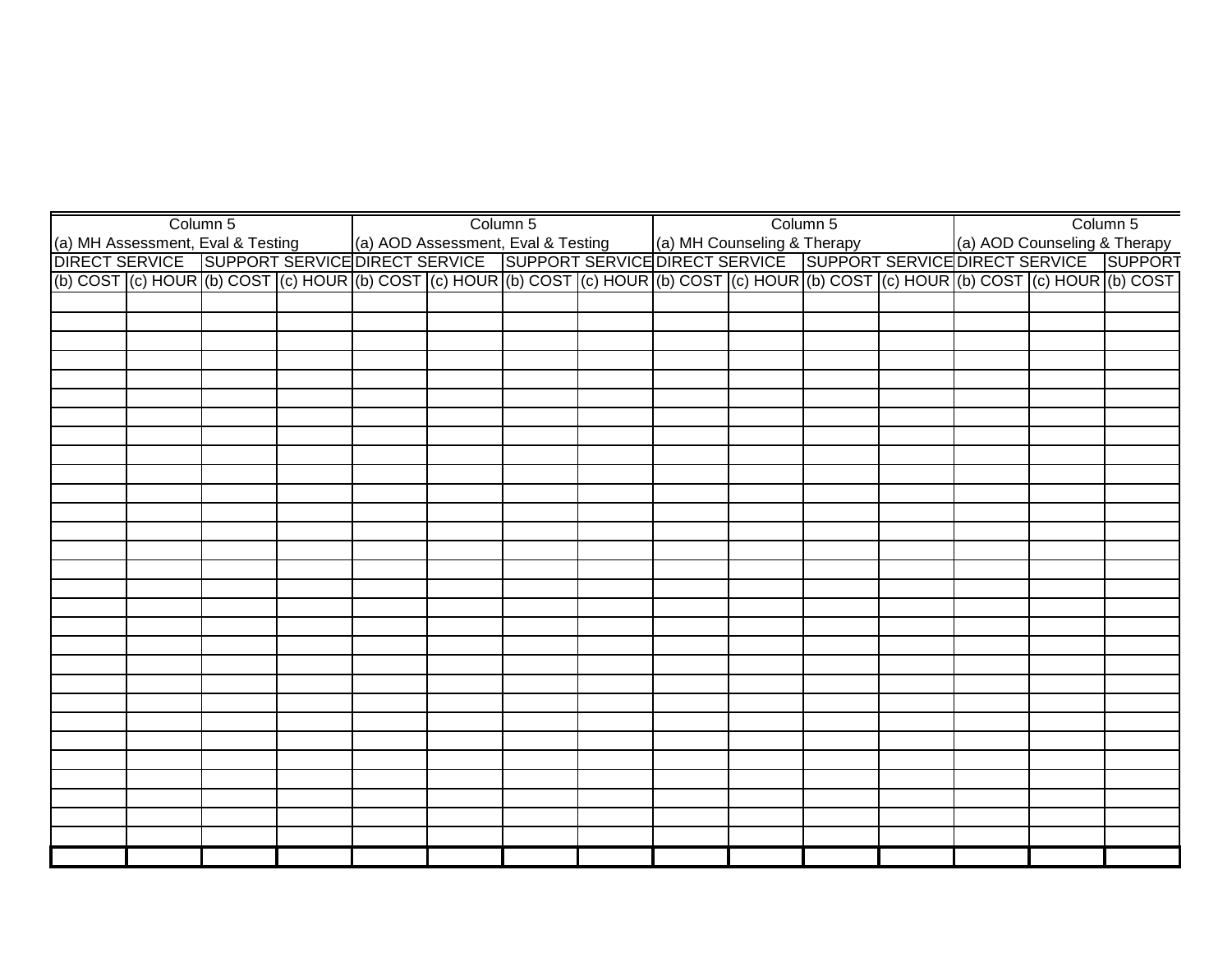|  | Column 5 |  | Column 5 |  | Column 5 |  | Column 5                                                                                                                                                                                                                         |
|--|----------|--|----------|--|----------|--|----------------------------------------------------------------------------------------------------------------------------------------------------------------------------------------------------------------------------------|
|  |          |  |          |  |          |  |                                                                                                                                                                                                                                  |
|  |          |  |          |  |          |  |                                                                                                                                                                                                                                  |
|  |          |  |          |  |          |  | (a) MH Assessment, Eval & Testing (a) AOD Assessment, Eval & Testing (a) MH Counseling & Therapy (a) AOD Counseling & Therapy<br>DIRECT SERVICE SUPPORT SERVICE DIRECT SERVICE SUPPORT SERVICE DIRECT SERVICE SUPPORT SERVICE DI |
|  |          |  |          |  |          |  |                                                                                                                                                                                                                                  |
|  |          |  |          |  |          |  |                                                                                                                                                                                                                                  |
|  |          |  |          |  |          |  |                                                                                                                                                                                                                                  |
|  |          |  |          |  |          |  |                                                                                                                                                                                                                                  |
|  |          |  |          |  |          |  |                                                                                                                                                                                                                                  |
|  |          |  |          |  |          |  |                                                                                                                                                                                                                                  |
|  |          |  |          |  |          |  |                                                                                                                                                                                                                                  |
|  |          |  |          |  |          |  |                                                                                                                                                                                                                                  |
|  |          |  |          |  |          |  |                                                                                                                                                                                                                                  |
|  |          |  |          |  |          |  |                                                                                                                                                                                                                                  |
|  |          |  |          |  |          |  |                                                                                                                                                                                                                                  |
|  |          |  |          |  |          |  |                                                                                                                                                                                                                                  |
|  |          |  |          |  |          |  |                                                                                                                                                                                                                                  |
|  |          |  |          |  |          |  |                                                                                                                                                                                                                                  |
|  |          |  |          |  |          |  |                                                                                                                                                                                                                                  |
|  |          |  |          |  |          |  |                                                                                                                                                                                                                                  |
|  |          |  |          |  |          |  |                                                                                                                                                                                                                                  |
|  |          |  |          |  |          |  |                                                                                                                                                                                                                                  |
|  |          |  |          |  |          |  |                                                                                                                                                                                                                                  |
|  |          |  |          |  |          |  |                                                                                                                                                                                                                                  |
|  |          |  |          |  |          |  |                                                                                                                                                                                                                                  |
|  |          |  |          |  |          |  |                                                                                                                                                                                                                                  |
|  |          |  |          |  |          |  |                                                                                                                                                                                                                                  |
|  |          |  |          |  |          |  |                                                                                                                                                                                                                                  |
|  |          |  |          |  |          |  |                                                                                                                                                                                                                                  |
|  |          |  |          |  |          |  |                                                                                                                                                                                                                                  |
|  |          |  |          |  |          |  |                                                                                                                                                                                                                                  |
|  |          |  |          |  |          |  |                                                                                                                                                                                                                                  |
|  |          |  |          |  |          |  |                                                                                                                                                                                                                                  |
|  |          |  |          |  |          |  |                                                                                                                                                                                                                                  |
|  |          |  |          |  |          |  |                                                                                                                                                                                                                                  |
|  |          |  |          |  |          |  |                                                                                                                                                                                                                                  |
|  |          |  |          |  |          |  |                                                                                                                                                                                                                                  |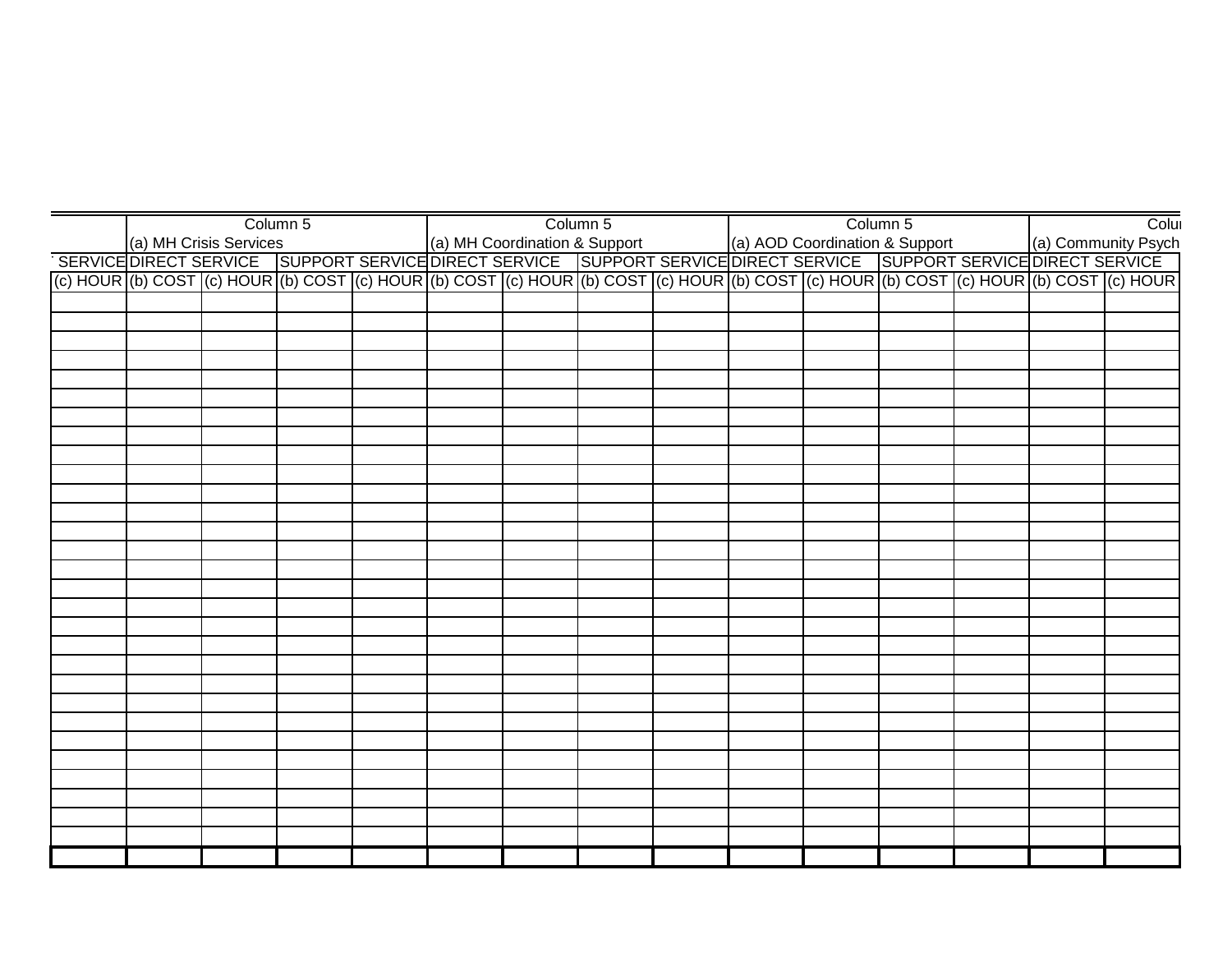|                                                                                                                                                                                                                                      | Column 5 |  | Column 5 |  | Column 5 |  | Colui               |
|--------------------------------------------------------------------------------------------------------------------------------------------------------------------------------------------------------------------------------------|----------|--|----------|--|----------|--|---------------------|
| (a) MH Crisis Services (a) MH Coordination & Support (a) AOD Coordination & Support (a) Community Psych<br> SERVICE DIRECT SERVICE   SUPPORT SERVICE   SUPPORT SERVICE   SUPPORT SERVICE   SUPPORT SERVICE   SUPPORT SERVICE<br>  (c |          |  |          |  |          |  | (a) Community Psych |
|                                                                                                                                                                                                                                      |          |  |          |  |          |  |                     |
|                                                                                                                                                                                                                                      |          |  |          |  |          |  |                     |
|                                                                                                                                                                                                                                      |          |  |          |  |          |  |                     |
|                                                                                                                                                                                                                                      |          |  |          |  |          |  |                     |
|                                                                                                                                                                                                                                      |          |  |          |  |          |  |                     |
|                                                                                                                                                                                                                                      |          |  |          |  |          |  |                     |
|                                                                                                                                                                                                                                      |          |  |          |  |          |  |                     |
|                                                                                                                                                                                                                                      |          |  |          |  |          |  |                     |
|                                                                                                                                                                                                                                      |          |  |          |  |          |  |                     |
|                                                                                                                                                                                                                                      |          |  |          |  |          |  |                     |
|                                                                                                                                                                                                                                      |          |  |          |  |          |  |                     |
|                                                                                                                                                                                                                                      |          |  |          |  |          |  |                     |
|                                                                                                                                                                                                                                      |          |  |          |  |          |  |                     |
|                                                                                                                                                                                                                                      |          |  |          |  |          |  |                     |
|                                                                                                                                                                                                                                      |          |  |          |  |          |  |                     |
|                                                                                                                                                                                                                                      |          |  |          |  |          |  |                     |
|                                                                                                                                                                                                                                      |          |  |          |  |          |  |                     |
|                                                                                                                                                                                                                                      |          |  |          |  |          |  |                     |
|                                                                                                                                                                                                                                      |          |  |          |  |          |  |                     |
|                                                                                                                                                                                                                                      |          |  |          |  |          |  |                     |
|                                                                                                                                                                                                                                      |          |  |          |  |          |  |                     |
|                                                                                                                                                                                                                                      |          |  |          |  |          |  |                     |
|                                                                                                                                                                                                                                      |          |  |          |  |          |  |                     |
|                                                                                                                                                                                                                                      |          |  |          |  |          |  |                     |
|                                                                                                                                                                                                                                      |          |  |          |  |          |  |                     |
|                                                                                                                                                                                                                                      |          |  |          |  |          |  |                     |
|                                                                                                                                                                                                                                      |          |  |          |  |          |  |                     |
|                                                                                                                                                                                                                                      |          |  |          |  |          |  |                     |
|                                                                                                                                                                                                                                      |          |  |          |  |          |  |                     |
|                                                                                                                                                                                                                                      |          |  |          |  |          |  |                     |
|                                                                                                                                                                                                                                      |          |  |          |  |          |  |                     |
|                                                                                                                                                                                                                                      |          |  |          |  |          |  |                     |
|                                                                                                                                                                                                                                      |          |  |          |  |          |  |                     |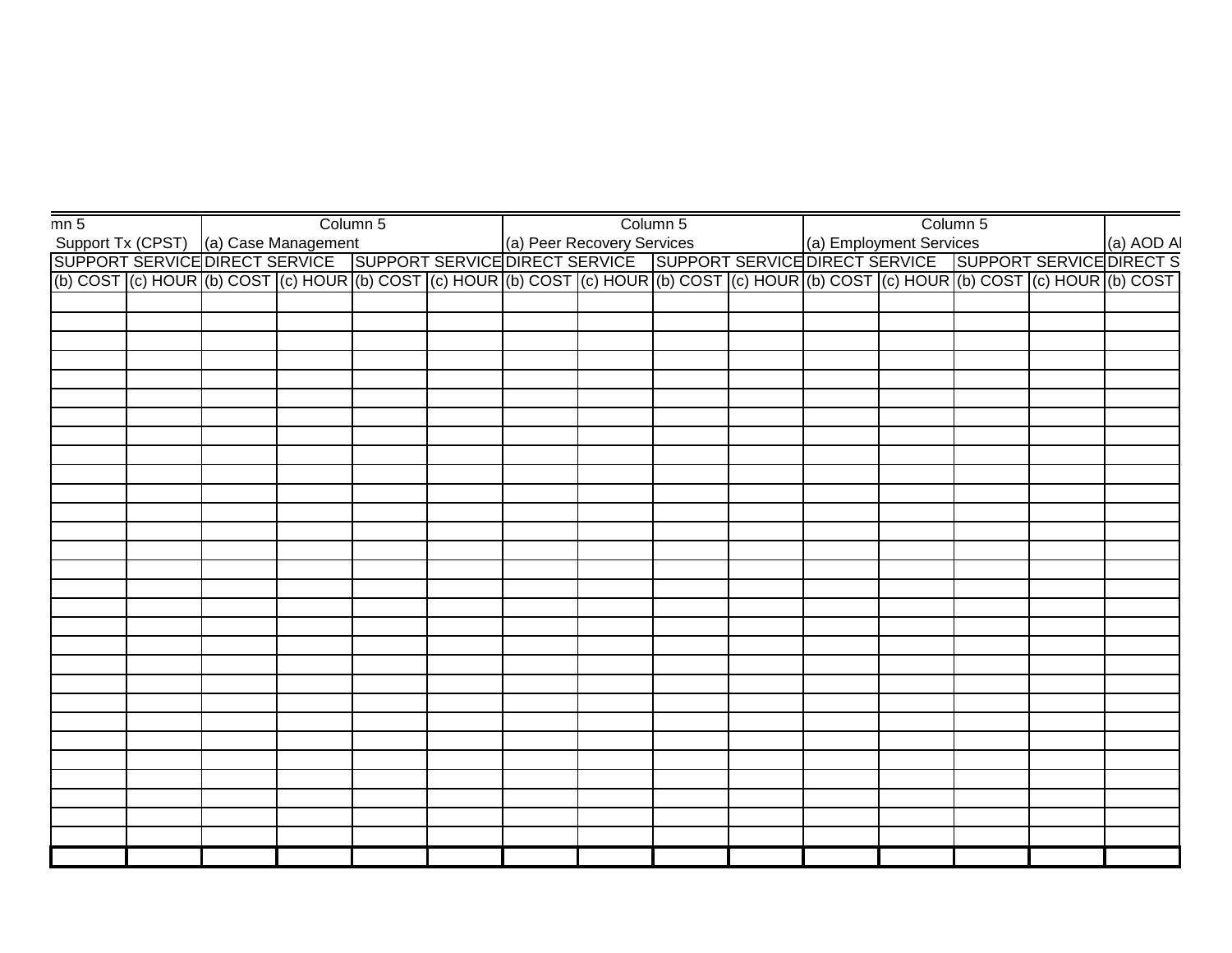| mn <sub>5</sub> |  |                                                                                                                                                                                                                                      | Column 5 |  | Column 5 |  | Column 5 |  |
|-----------------|--|--------------------------------------------------------------------------------------------------------------------------------------------------------------------------------------------------------------------------------------|----------|--|----------|--|----------|--|
|                 |  | Support Tx (CPST) (a) Case Management<br>Support Tx (CPST) (a) Case Management<br>SUPPORT SERVICE DIRECT SERVICE SUPPORT SERVICE DIRECT SERVICE SUPPORT SERVICE DIRECT SERVICE DIRECT S<br>(b) COST (c) HOUR (b) COST (c) HOUR (b) C |          |  |          |  |          |  |
|                 |  |                                                                                                                                                                                                                                      |          |  |          |  |          |  |
|                 |  |                                                                                                                                                                                                                                      |          |  |          |  |          |  |
|                 |  |                                                                                                                                                                                                                                      |          |  |          |  |          |  |
|                 |  |                                                                                                                                                                                                                                      |          |  |          |  |          |  |
|                 |  |                                                                                                                                                                                                                                      |          |  |          |  |          |  |
|                 |  |                                                                                                                                                                                                                                      |          |  |          |  |          |  |
|                 |  |                                                                                                                                                                                                                                      |          |  |          |  |          |  |
|                 |  |                                                                                                                                                                                                                                      |          |  |          |  |          |  |
|                 |  |                                                                                                                                                                                                                                      |          |  |          |  |          |  |
|                 |  |                                                                                                                                                                                                                                      |          |  |          |  |          |  |
|                 |  |                                                                                                                                                                                                                                      |          |  |          |  |          |  |
|                 |  |                                                                                                                                                                                                                                      |          |  |          |  |          |  |
|                 |  |                                                                                                                                                                                                                                      |          |  |          |  |          |  |
|                 |  |                                                                                                                                                                                                                                      |          |  |          |  |          |  |
|                 |  |                                                                                                                                                                                                                                      |          |  |          |  |          |  |
|                 |  |                                                                                                                                                                                                                                      |          |  |          |  |          |  |
|                 |  |                                                                                                                                                                                                                                      |          |  |          |  |          |  |
|                 |  |                                                                                                                                                                                                                                      |          |  |          |  |          |  |
|                 |  |                                                                                                                                                                                                                                      |          |  |          |  |          |  |
|                 |  |                                                                                                                                                                                                                                      |          |  |          |  |          |  |
|                 |  |                                                                                                                                                                                                                                      |          |  |          |  |          |  |
|                 |  |                                                                                                                                                                                                                                      |          |  |          |  |          |  |
|                 |  |                                                                                                                                                                                                                                      |          |  |          |  |          |  |
|                 |  |                                                                                                                                                                                                                                      |          |  |          |  |          |  |
|                 |  |                                                                                                                                                                                                                                      |          |  |          |  |          |  |
|                 |  |                                                                                                                                                                                                                                      |          |  |          |  |          |  |
|                 |  |                                                                                                                                                                                                                                      |          |  |          |  |          |  |
|                 |  |                                                                                                                                                                                                                                      |          |  |          |  |          |  |
|                 |  |                                                                                                                                                                                                                                      |          |  |          |  |          |  |
|                 |  |                                                                                                                                                                                                                                      |          |  |          |  |          |  |
|                 |  |                                                                                                                                                                                                                                      |          |  |          |  |          |  |
|                 |  |                                                                                                                                                                                                                                      |          |  |          |  |          |  |
|                 |  |                                                                                                                                                                                                                                      |          |  |          |  |          |  |
|                 |  |                                                                                                                                                                                                                                      |          |  |          |  |          |  |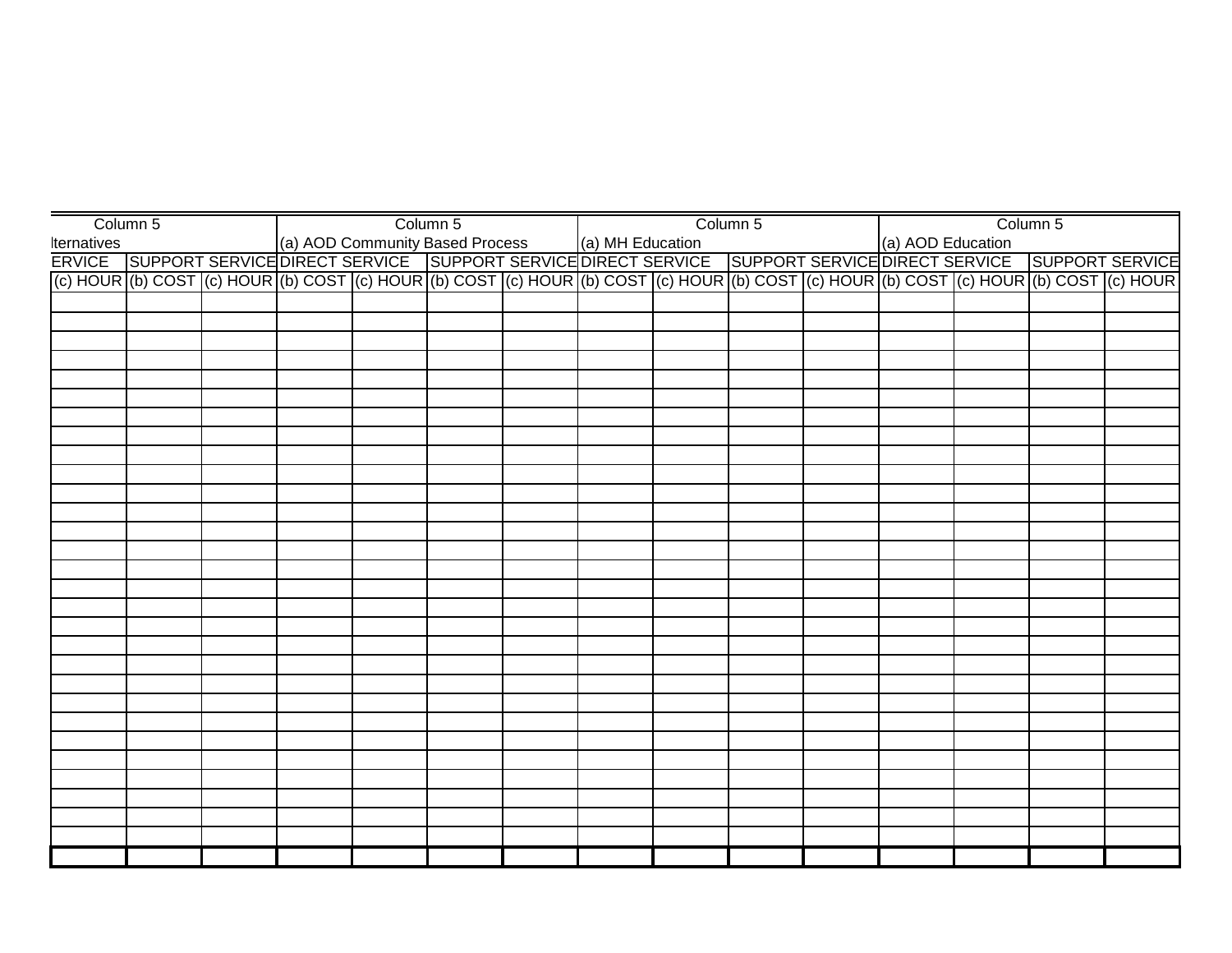| Column 5                                                                                                                                                                                              |  |  | Column 5 |  | Column 5 |  | Column 5 |  |
|-------------------------------------------------------------------------------------------------------------------------------------------------------------------------------------------------------|--|--|----------|--|----------|--|----------|--|
| Iternatives (a) AOD Community Based Process (a) MH Education (a) AOD Education<br>ERVICE SUPPORT SERVICE DIRECT SERVICE SUPPORT SERVICE DIRECT SERVICE SUPPORT SERVICE DIRECT SERVICE SUPPORT SERVICE |  |  |          |  |          |  |          |  |
|                                                                                                                                                                                                       |  |  |          |  |          |  |          |  |
| (c) HOUR (b) COST (c) HOUR (b) COST (c) HOUR (b) COST (c) HOUR (b) COST (c) HOUR (b) COST (c) HOUR (b) COST (c) HOUR (b) COST (c) HOUR                                                                |  |  |          |  |          |  |          |  |
|                                                                                                                                                                                                       |  |  |          |  |          |  |          |  |
|                                                                                                                                                                                                       |  |  |          |  |          |  |          |  |
|                                                                                                                                                                                                       |  |  |          |  |          |  |          |  |
|                                                                                                                                                                                                       |  |  |          |  |          |  |          |  |
|                                                                                                                                                                                                       |  |  |          |  |          |  |          |  |
|                                                                                                                                                                                                       |  |  |          |  |          |  |          |  |
|                                                                                                                                                                                                       |  |  |          |  |          |  |          |  |
|                                                                                                                                                                                                       |  |  |          |  |          |  |          |  |
|                                                                                                                                                                                                       |  |  |          |  |          |  |          |  |
|                                                                                                                                                                                                       |  |  |          |  |          |  |          |  |
|                                                                                                                                                                                                       |  |  |          |  |          |  |          |  |
|                                                                                                                                                                                                       |  |  |          |  |          |  |          |  |
|                                                                                                                                                                                                       |  |  |          |  |          |  |          |  |
|                                                                                                                                                                                                       |  |  |          |  |          |  |          |  |
|                                                                                                                                                                                                       |  |  |          |  |          |  |          |  |
|                                                                                                                                                                                                       |  |  |          |  |          |  |          |  |
|                                                                                                                                                                                                       |  |  |          |  |          |  |          |  |
|                                                                                                                                                                                                       |  |  |          |  |          |  |          |  |
|                                                                                                                                                                                                       |  |  |          |  |          |  |          |  |
|                                                                                                                                                                                                       |  |  |          |  |          |  |          |  |
|                                                                                                                                                                                                       |  |  |          |  |          |  |          |  |
|                                                                                                                                                                                                       |  |  |          |  |          |  |          |  |
|                                                                                                                                                                                                       |  |  |          |  |          |  |          |  |
|                                                                                                                                                                                                       |  |  |          |  |          |  |          |  |
|                                                                                                                                                                                                       |  |  |          |  |          |  |          |  |
|                                                                                                                                                                                                       |  |  |          |  |          |  |          |  |
|                                                                                                                                                                                                       |  |  |          |  |          |  |          |  |
|                                                                                                                                                                                                       |  |  |          |  |          |  |          |  |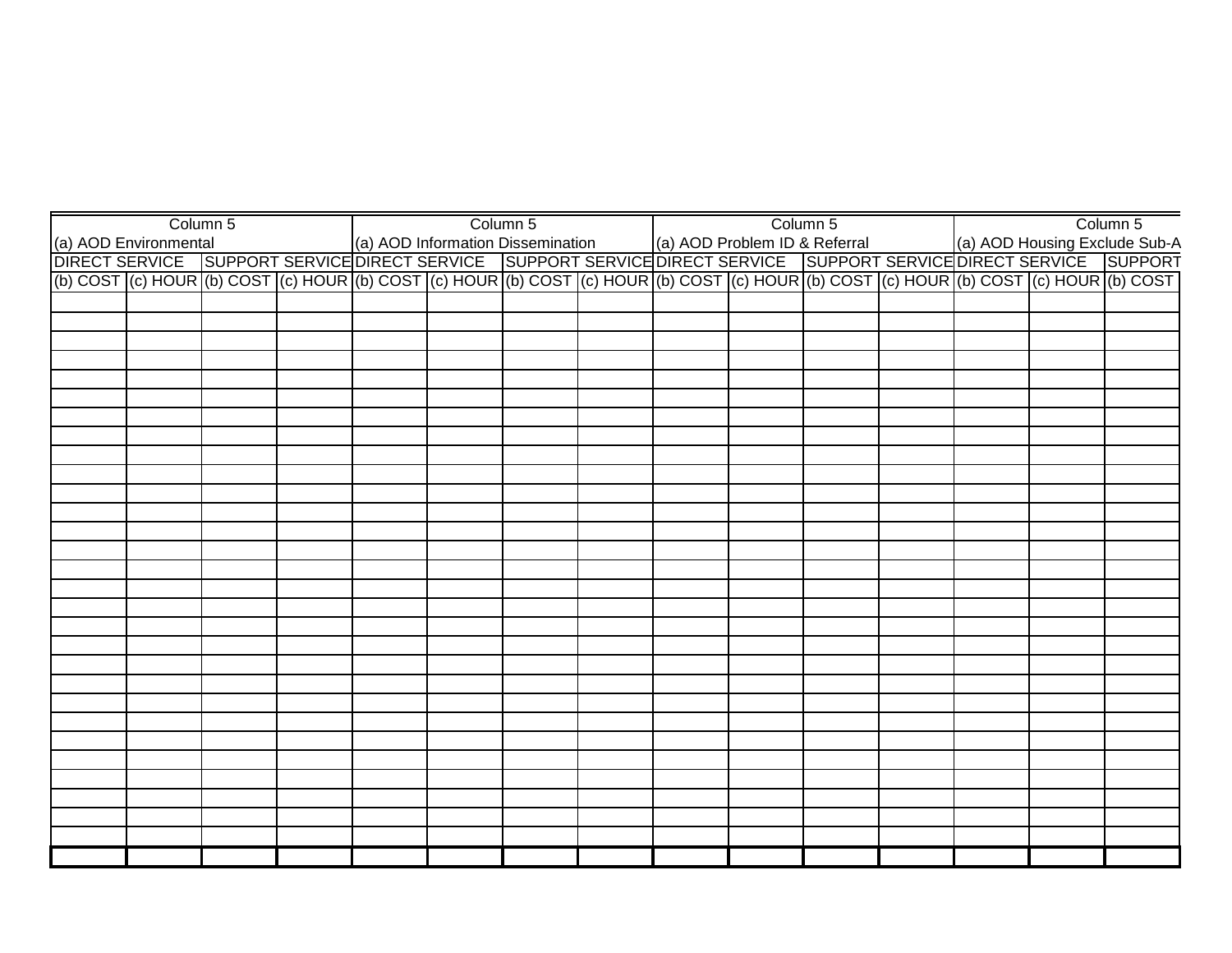|                                                                                                                                                                                                                                   | Column 5 |  | Column 5 |  | Column 5 |  | Column 5 |
|-----------------------------------------------------------------------------------------------------------------------------------------------------------------------------------------------------------------------------------|----------|--|----------|--|----------|--|----------|
|                                                                                                                                                                                                                                   |          |  |          |  |          |  |          |
| (a) AOD Environmental (a) AOD Information Dissemination (a) AOD Problem ID & Referral (a) AOD Housing Exclude Sub-A<br>DIRECT SERVICE SUPPORT SERVICE DIRECT SERVICE SUPPORT SERVICE DIRECT SERVICE SUPPORT SERVICE DIRECT SERVIC |          |  |          |  |          |  |          |
| (b) COST (c) HOUR (b) COST (c) HOUR (b) COST (c) HOUR (b) COST (c) HOUR (b) COST (c) HOUR (b) COST (c) HOUR (b) COST (c) HOUR (b) COST (c) HOUR (b) COST                                                                          |          |  |          |  |          |  |          |
|                                                                                                                                                                                                                                   |          |  |          |  |          |  |          |
|                                                                                                                                                                                                                                   |          |  |          |  |          |  |          |
|                                                                                                                                                                                                                                   |          |  |          |  |          |  |          |
|                                                                                                                                                                                                                                   |          |  |          |  |          |  |          |
|                                                                                                                                                                                                                                   |          |  |          |  |          |  |          |
|                                                                                                                                                                                                                                   |          |  |          |  |          |  |          |
|                                                                                                                                                                                                                                   |          |  |          |  |          |  |          |
|                                                                                                                                                                                                                                   |          |  |          |  |          |  |          |
|                                                                                                                                                                                                                                   |          |  |          |  |          |  |          |
|                                                                                                                                                                                                                                   |          |  |          |  |          |  |          |
|                                                                                                                                                                                                                                   |          |  |          |  |          |  |          |
|                                                                                                                                                                                                                                   |          |  |          |  |          |  |          |
|                                                                                                                                                                                                                                   |          |  |          |  |          |  |          |
|                                                                                                                                                                                                                                   |          |  |          |  |          |  |          |
|                                                                                                                                                                                                                                   |          |  |          |  |          |  |          |
|                                                                                                                                                                                                                                   |          |  |          |  |          |  |          |
|                                                                                                                                                                                                                                   |          |  |          |  |          |  |          |
|                                                                                                                                                                                                                                   |          |  |          |  |          |  |          |
|                                                                                                                                                                                                                                   |          |  |          |  |          |  |          |
|                                                                                                                                                                                                                                   |          |  |          |  |          |  |          |
|                                                                                                                                                                                                                                   |          |  |          |  |          |  |          |
|                                                                                                                                                                                                                                   |          |  |          |  |          |  |          |
|                                                                                                                                                                                                                                   |          |  |          |  |          |  |          |
|                                                                                                                                                                                                                                   |          |  |          |  |          |  |          |
|                                                                                                                                                                                                                                   |          |  |          |  |          |  |          |
|                                                                                                                                                                                                                                   |          |  |          |  |          |  |          |
|                                                                                                                                                                                                                                   |          |  |          |  |          |  |          |
|                                                                                                                                                                                                                                   |          |  |          |  |          |  |          |
|                                                                                                                                                                                                                                   |          |  |          |  |          |  |          |
|                                                                                                                                                                                                                                   |          |  |          |  |          |  |          |
|                                                                                                                                                                                                                                   |          |  |          |  |          |  |          |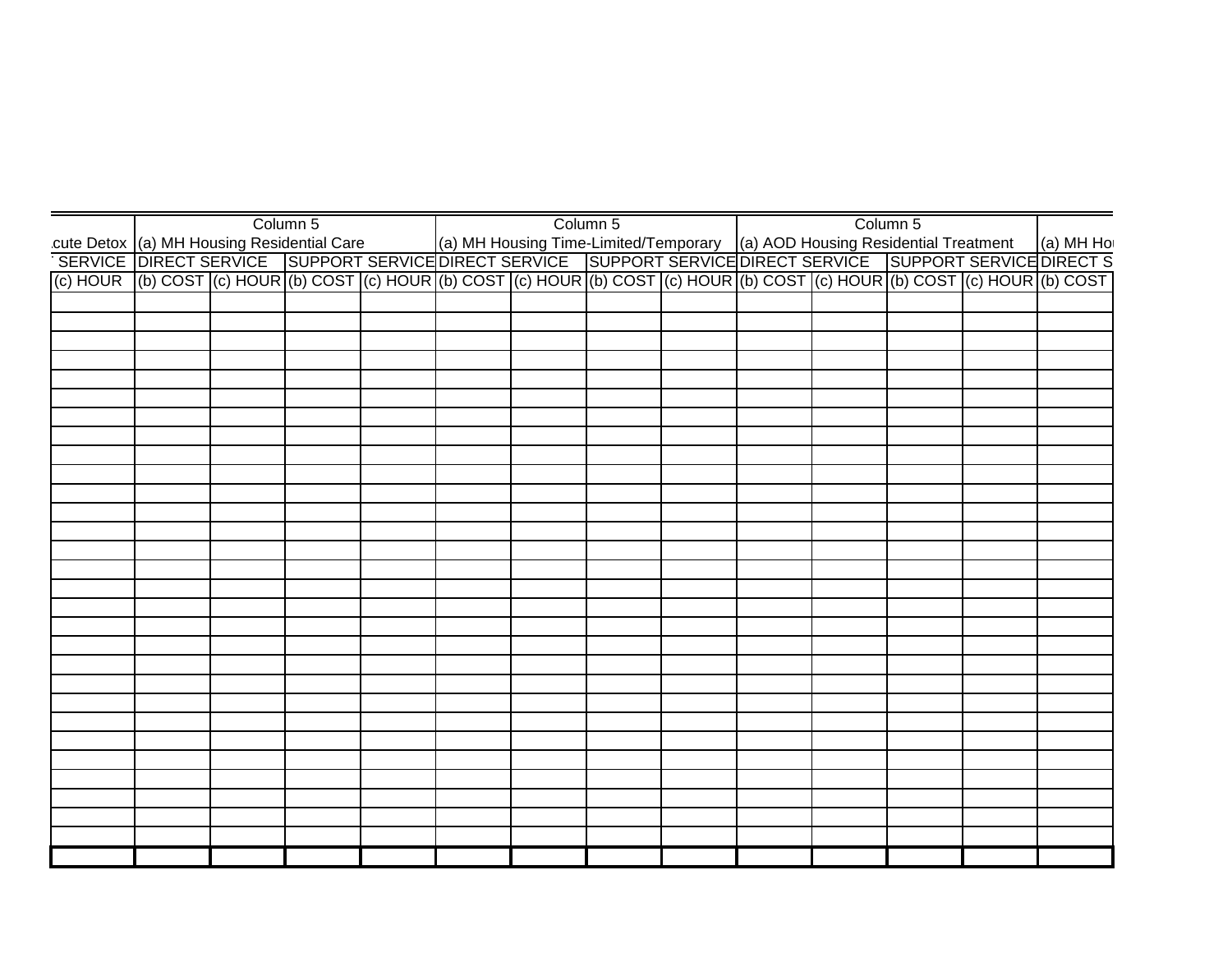|                                                                                                                                                                                                                                    |  | Column 5 |  | Column 5 |  | Column 5 |  |
|------------------------------------------------------------------------------------------------------------------------------------------------------------------------------------------------------------------------------------|--|----------|--|----------|--|----------|--|
| cute Detox (a) MH Housing Residential Care<br>SERVICE DIRECT SERVICE SUPPORT SERVICE DIRECT SERVICE SUPPORT SERVICE DIRECT SERVICE SUPPORT SERVICE SUPPORT<br>SERVICE DIRECT SERVICE SUPPORT SERVICE SUPPORT SERVICE SUPPORT SERVI |  |          |  |          |  |          |  |
|                                                                                                                                                                                                                                    |  |          |  |          |  |          |  |
| (c) HOUR (b) COST (c) HOUR (b) COST (c) HOUR (b) COST (c) HOUR (b) COST (c) HOUR (b) COST (c) HOUR (b) COST (c) HOUR (b) COST (c)                                                                                                  |  |          |  |          |  |          |  |
|                                                                                                                                                                                                                                    |  |          |  |          |  |          |  |
|                                                                                                                                                                                                                                    |  |          |  |          |  |          |  |
|                                                                                                                                                                                                                                    |  |          |  |          |  |          |  |
|                                                                                                                                                                                                                                    |  |          |  |          |  |          |  |
|                                                                                                                                                                                                                                    |  |          |  |          |  |          |  |
|                                                                                                                                                                                                                                    |  |          |  |          |  |          |  |
|                                                                                                                                                                                                                                    |  |          |  |          |  |          |  |
|                                                                                                                                                                                                                                    |  |          |  |          |  |          |  |
|                                                                                                                                                                                                                                    |  |          |  |          |  |          |  |
|                                                                                                                                                                                                                                    |  |          |  |          |  |          |  |
|                                                                                                                                                                                                                                    |  |          |  |          |  |          |  |
|                                                                                                                                                                                                                                    |  |          |  |          |  |          |  |
|                                                                                                                                                                                                                                    |  |          |  |          |  |          |  |
|                                                                                                                                                                                                                                    |  |          |  |          |  |          |  |
|                                                                                                                                                                                                                                    |  |          |  |          |  |          |  |
|                                                                                                                                                                                                                                    |  |          |  |          |  |          |  |
|                                                                                                                                                                                                                                    |  |          |  |          |  |          |  |
|                                                                                                                                                                                                                                    |  |          |  |          |  |          |  |
|                                                                                                                                                                                                                                    |  |          |  |          |  |          |  |
|                                                                                                                                                                                                                                    |  |          |  |          |  |          |  |
|                                                                                                                                                                                                                                    |  |          |  |          |  |          |  |
|                                                                                                                                                                                                                                    |  |          |  |          |  |          |  |
|                                                                                                                                                                                                                                    |  |          |  |          |  |          |  |
|                                                                                                                                                                                                                                    |  |          |  |          |  |          |  |
|                                                                                                                                                                                                                                    |  |          |  |          |  |          |  |
|                                                                                                                                                                                                                                    |  |          |  |          |  |          |  |
|                                                                                                                                                                                                                                    |  |          |  |          |  |          |  |
|                                                                                                                                                                                                                                    |  |          |  |          |  |          |  |
|                                                                                                                                                                                                                                    |  |          |  |          |  |          |  |
|                                                                                                                                                                                                                                    |  |          |  |          |  |          |  |
|                                                                                                                                                                                                                                    |  |          |  |          |  |          |  |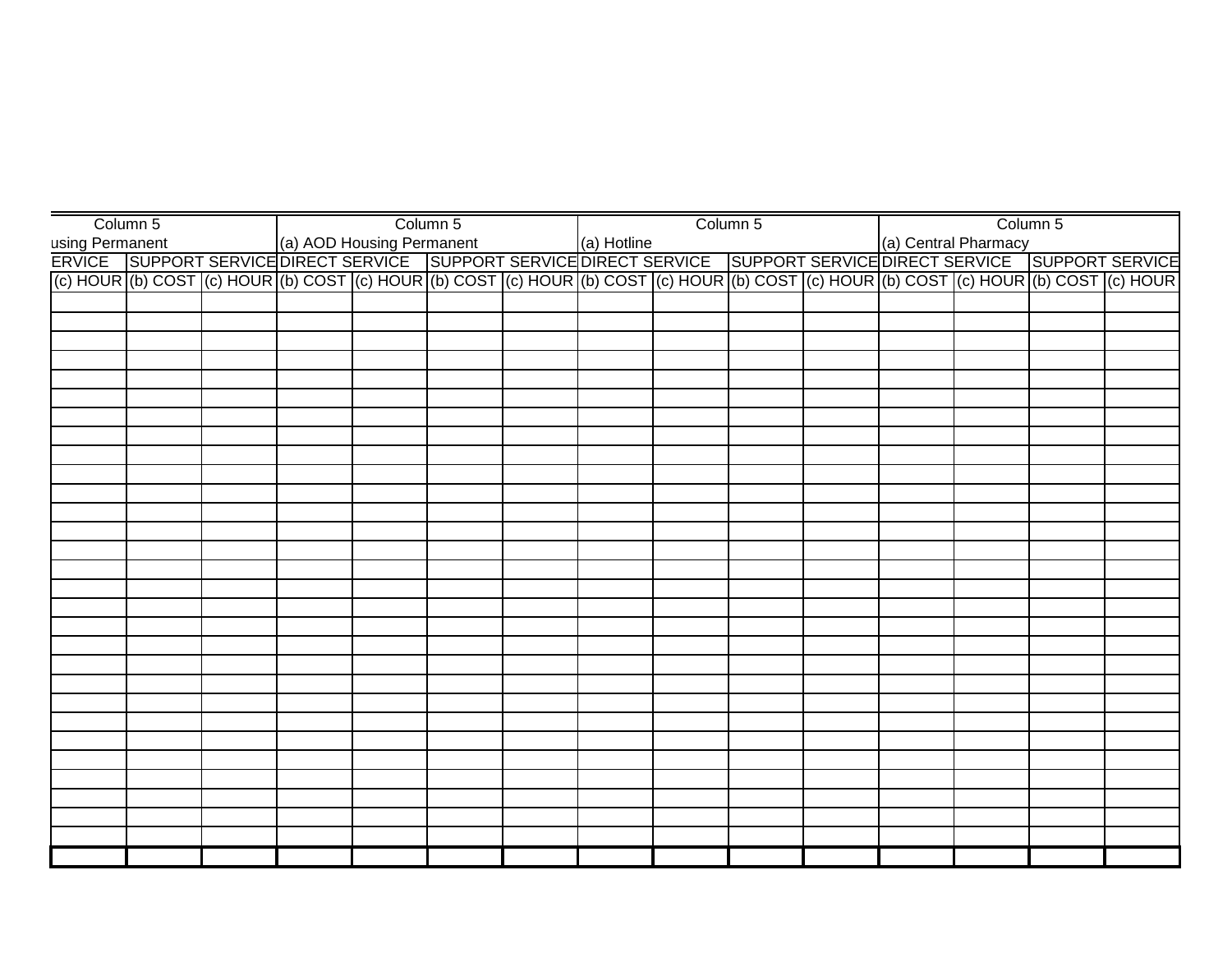| Column 5                                                                                                                                                                                                      |  | Column 5 |  |  | Column 5 |  | Column 5 |  |
|---------------------------------------------------------------------------------------------------------------------------------------------------------------------------------------------------------------|--|----------|--|--|----------|--|----------|--|
|                                                                                                                                                                                                               |  |          |  |  |          |  |          |  |
| using Permanent (a) AOD Housing Permanent (a) Hotline (a) Hotline (a) Central Pharmacy<br>ERVICE SUPPORT SERVICE DIRECT SERVICE SUPPORT SERVICE DIRECT SERVICE SUPPORT SERVICE DIRECT SERVICE SUPPORT SERVICE |  |          |  |  |          |  |          |  |
| (c) HOUR (b) COST (c) HOUR (b) COST (c) HOUR (b) COST (c) HOUR (b) COST (c) HOUR (b) COST (c) HOUR (b) COST (c) HOUR (b) COST (c) HOUR                                                                        |  |          |  |  |          |  |          |  |
|                                                                                                                                                                                                               |  |          |  |  |          |  |          |  |
|                                                                                                                                                                                                               |  |          |  |  |          |  |          |  |
|                                                                                                                                                                                                               |  |          |  |  |          |  |          |  |
|                                                                                                                                                                                                               |  |          |  |  |          |  |          |  |
|                                                                                                                                                                                                               |  |          |  |  |          |  |          |  |
|                                                                                                                                                                                                               |  |          |  |  |          |  |          |  |
|                                                                                                                                                                                                               |  |          |  |  |          |  |          |  |
|                                                                                                                                                                                                               |  |          |  |  |          |  |          |  |
|                                                                                                                                                                                                               |  |          |  |  |          |  |          |  |
|                                                                                                                                                                                                               |  |          |  |  |          |  |          |  |
|                                                                                                                                                                                                               |  |          |  |  |          |  |          |  |
|                                                                                                                                                                                                               |  |          |  |  |          |  |          |  |
|                                                                                                                                                                                                               |  |          |  |  |          |  |          |  |
|                                                                                                                                                                                                               |  |          |  |  |          |  |          |  |
|                                                                                                                                                                                                               |  |          |  |  |          |  |          |  |
|                                                                                                                                                                                                               |  |          |  |  |          |  |          |  |
|                                                                                                                                                                                                               |  |          |  |  |          |  |          |  |
|                                                                                                                                                                                                               |  |          |  |  |          |  |          |  |
|                                                                                                                                                                                                               |  |          |  |  |          |  |          |  |
|                                                                                                                                                                                                               |  |          |  |  |          |  |          |  |
|                                                                                                                                                                                                               |  |          |  |  |          |  |          |  |
|                                                                                                                                                                                                               |  |          |  |  |          |  |          |  |
|                                                                                                                                                                                                               |  |          |  |  |          |  |          |  |
|                                                                                                                                                                                                               |  |          |  |  |          |  |          |  |
|                                                                                                                                                                                                               |  |          |  |  |          |  |          |  |
|                                                                                                                                                                                                               |  |          |  |  |          |  |          |  |
|                                                                                                                                                                                                               |  |          |  |  |          |  |          |  |
|                                                                                                                                                                                                               |  |          |  |  |          |  |          |  |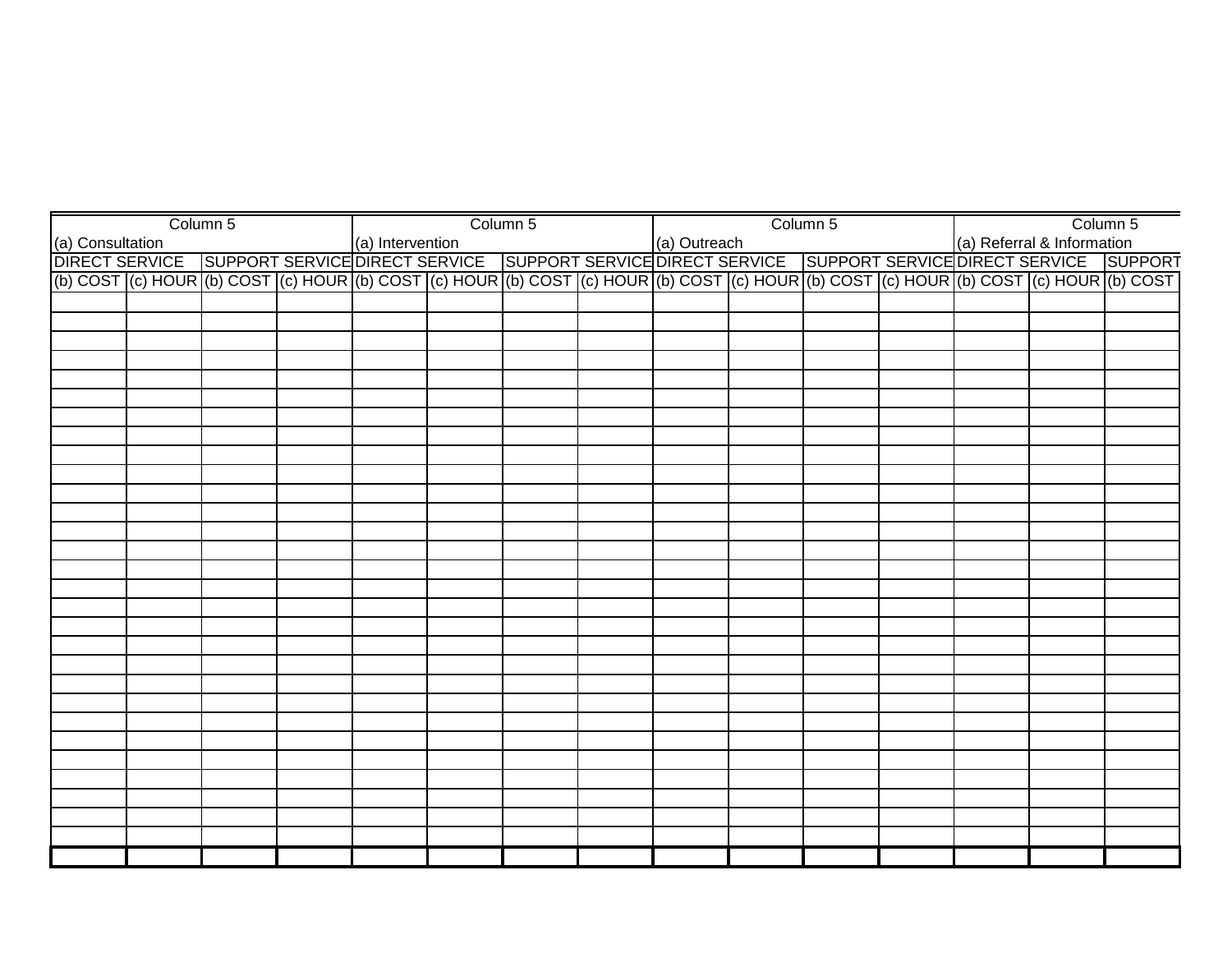|  | Column 5 |  | Column 5 |  | Column 5 |  | Column 5                                                                                                                                                                                                                           |
|--|----------|--|----------|--|----------|--|------------------------------------------------------------------------------------------------------------------------------------------------------------------------------------------------------------------------------------|
|  |          |  |          |  |          |  |                                                                                                                                                                                                                                    |
|  |          |  |          |  |          |  |                                                                                                                                                                                                                                    |
|  |          |  |          |  |          |  | a) Intervention (a) Consultation (a) Referral & Information (a) Outreach<br>DIRECT SERVICE SUPPORT SERVICE DIRECT SERVICE SUPPORT SERVICE DIRECT SERVICE SUPPORT SERVICE SUPPORT<br>(b) COST (c) HOUR (b) COST (c) HOUR (b) COST ( |
|  |          |  |          |  |          |  |                                                                                                                                                                                                                                    |
|  |          |  |          |  |          |  |                                                                                                                                                                                                                                    |
|  |          |  |          |  |          |  |                                                                                                                                                                                                                                    |
|  |          |  |          |  |          |  |                                                                                                                                                                                                                                    |
|  |          |  |          |  |          |  |                                                                                                                                                                                                                                    |
|  |          |  |          |  |          |  |                                                                                                                                                                                                                                    |
|  |          |  |          |  |          |  |                                                                                                                                                                                                                                    |
|  |          |  |          |  |          |  |                                                                                                                                                                                                                                    |
|  |          |  |          |  |          |  |                                                                                                                                                                                                                                    |
|  |          |  |          |  |          |  |                                                                                                                                                                                                                                    |
|  |          |  |          |  |          |  |                                                                                                                                                                                                                                    |
|  |          |  |          |  |          |  |                                                                                                                                                                                                                                    |
|  |          |  |          |  |          |  |                                                                                                                                                                                                                                    |
|  |          |  |          |  |          |  |                                                                                                                                                                                                                                    |
|  |          |  |          |  |          |  |                                                                                                                                                                                                                                    |
|  |          |  |          |  |          |  |                                                                                                                                                                                                                                    |
|  |          |  |          |  |          |  |                                                                                                                                                                                                                                    |
|  |          |  |          |  |          |  |                                                                                                                                                                                                                                    |
|  |          |  |          |  |          |  |                                                                                                                                                                                                                                    |
|  |          |  |          |  |          |  |                                                                                                                                                                                                                                    |
|  |          |  |          |  |          |  |                                                                                                                                                                                                                                    |
|  |          |  |          |  |          |  |                                                                                                                                                                                                                                    |
|  |          |  |          |  |          |  |                                                                                                                                                                                                                                    |
|  |          |  |          |  |          |  |                                                                                                                                                                                                                                    |
|  |          |  |          |  |          |  |                                                                                                                                                                                                                                    |
|  |          |  |          |  |          |  |                                                                                                                                                                                                                                    |
|  |          |  |          |  |          |  |                                                                                                                                                                                                                                    |
|  |          |  |          |  |          |  |                                                                                                                                                                                                                                    |
|  |          |  |          |  |          |  |                                                                                                                                                                                                                                    |
|  |          |  |          |  |          |  |                                                                                                                                                                                                                                    |
|  |          |  |          |  |          |  |                                                                                                                                                                                                                                    |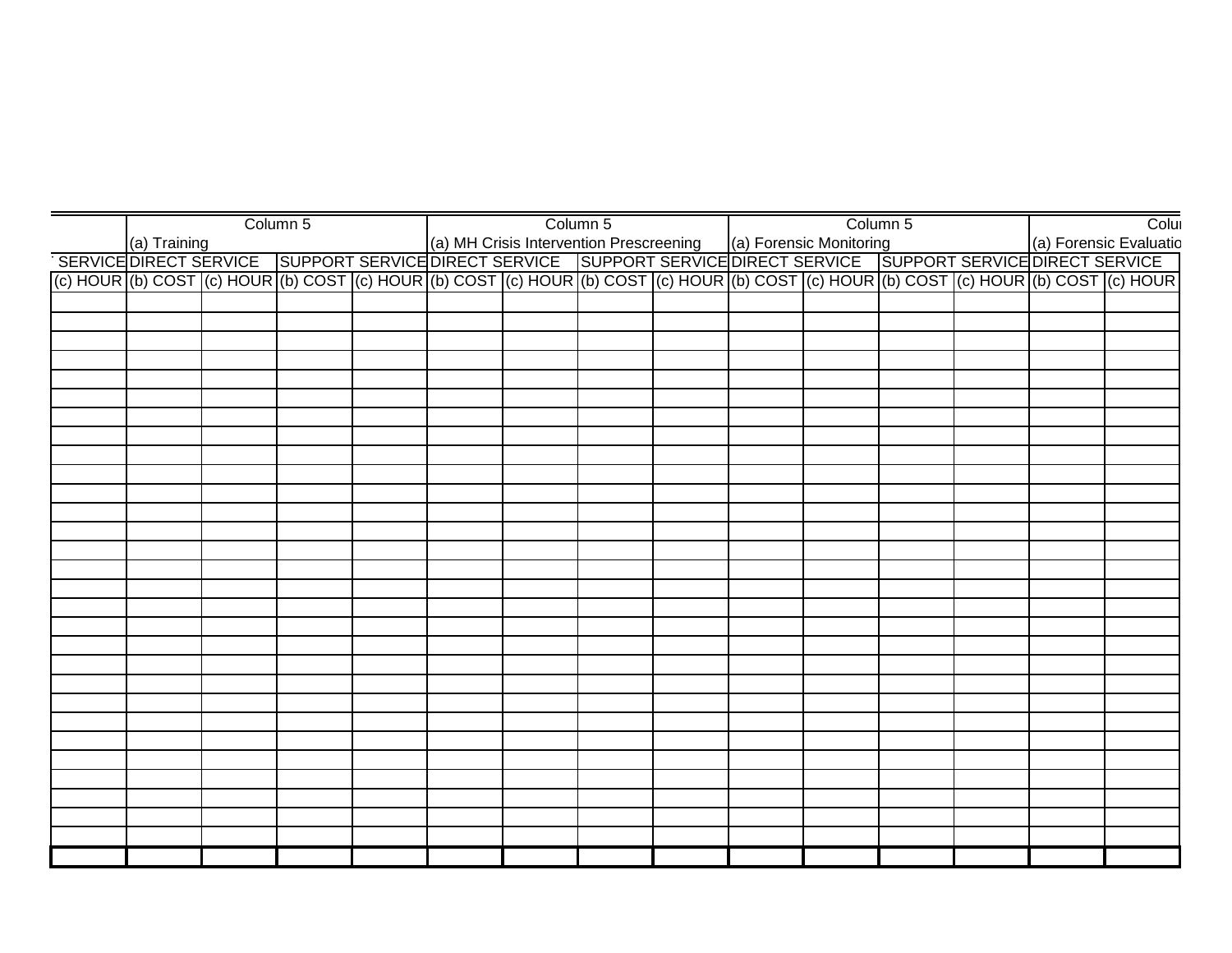|  |                                                                                                                                                                                                                                | Column 5 |  | Column 5 |  | Column 5 |                        | Colui |
|--|--------------------------------------------------------------------------------------------------------------------------------------------------------------------------------------------------------------------------------|----------|--|----------|--|----------|------------------------|-------|
|  | (a) Training (a) Experience (a) Horensic Evaluation Prescreening (a) Forensic Monitoring (a) Training (a) Forensic Evaluation Prescreening (a) Forensic Monitoring (a) Training (a) Forensic Evaluation Prescreening (a) Foren |          |  |          |  |          | (a) Forensic Evaluatio |       |
|  |                                                                                                                                                                                                                                |          |  |          |  |          |                        |       |
|  |                                                                                                                                                                                                                                |          |  |          |  |          |                        |       |
|  |                                                                                                                                                                                                                                |          |  |          |  |          |                        |       |
|  |                                                                                                                                                                                                                                |          |  |          |  |          |                        |       |
|  |                                                                                                                                                                                                                                |          |  |          |  |          |                        |       |
|  |                                                                                                                                                                                                                                |          |  |          |  |          |                        |       |
|  |                                                                                                                                                                                                                                |          |  |          |  |          |                        |       |
|  |                                                                                                                                                                                                                                |          |  |          |  |          |                        |       |
|  |                                                                                                                                                                                                                                |          |  |          |  |          |                        |       |
|  |                                                                                                                                                                                                                                |          |  |          |  |          |                        |       |
|  |                                                                                                                                                                                                                                |          |  |          |  |          |                        |       |
|  |                                                                                                                                                                                                                                |          |  |          |  |          |                        |       |
|  |                                                                                                                                                                                                                                |          |  |          |  |          |                        |       |
|  |                                                                                                                                                                                                                                |          |  |          |  |          |                        |       |
|  |                                                                                                                                                                                                                                |          |  |          |  |          |                        |       |
|  |                                                                                                                                                                                                                                |          |  |          |  |          |                        |       |
|  |                                                                                                                                                                                                                                |          |  |          |  |          |                        |       |
|  |                                                                                                                                                                                                                                |          |  |          |  |          |                        |       |
|  |                                                                                                                                                                                                                                |          |  |          |  |          |                        |       |
|  |                                                                                                                                                                                                                                |          |  |          |  |          |                        |       |
|  |                                                                                                                                                                                                                                |          |  |          |  |          |                        |       |
|  |                                                                                                                                                                                                                                |          |  |          |  |          |                        |       |
|  |                                                                                                                                                                                                                                |          |  |          |  |          |                        |       |
|  |                                                                                                                                                                                                                                |          |  |          |  |          |                        |       |
|  |                                                                                                                                                                                                                                |          |  |          |  |          |                        |       |
|  |                                                                                                                                                                                                                                |          |  |          |  |          |                        |       |
|  |                                                                                                                                                                                                                                |          |  |          |  |          |                        |       |
|  |                                                                                                                                                                                                                                |          |  |          |  |          |                        |       |
|  |                                                                                                                                                                                                                                |          |  |          |  |          |                        |       |
|  |                                                                                                                                                                                                                                |          |  |          |  |          |                        |       |
|  |                                                                                                                                                                                                                                |          |  |          |  |          |                        |       |
|  |                                                                                                                                                                                                                                |          |  |          |  |          |                        |       |
|  |                                                                                                                                                                                                                                |          |  |          |  |          |                        |       |
|  |                                                                                                                                                                                                                                |          |  |          |  |          |                        |       |
|  |                                                                                                                                                                                                                                |          |  |          |  |          |                        |       |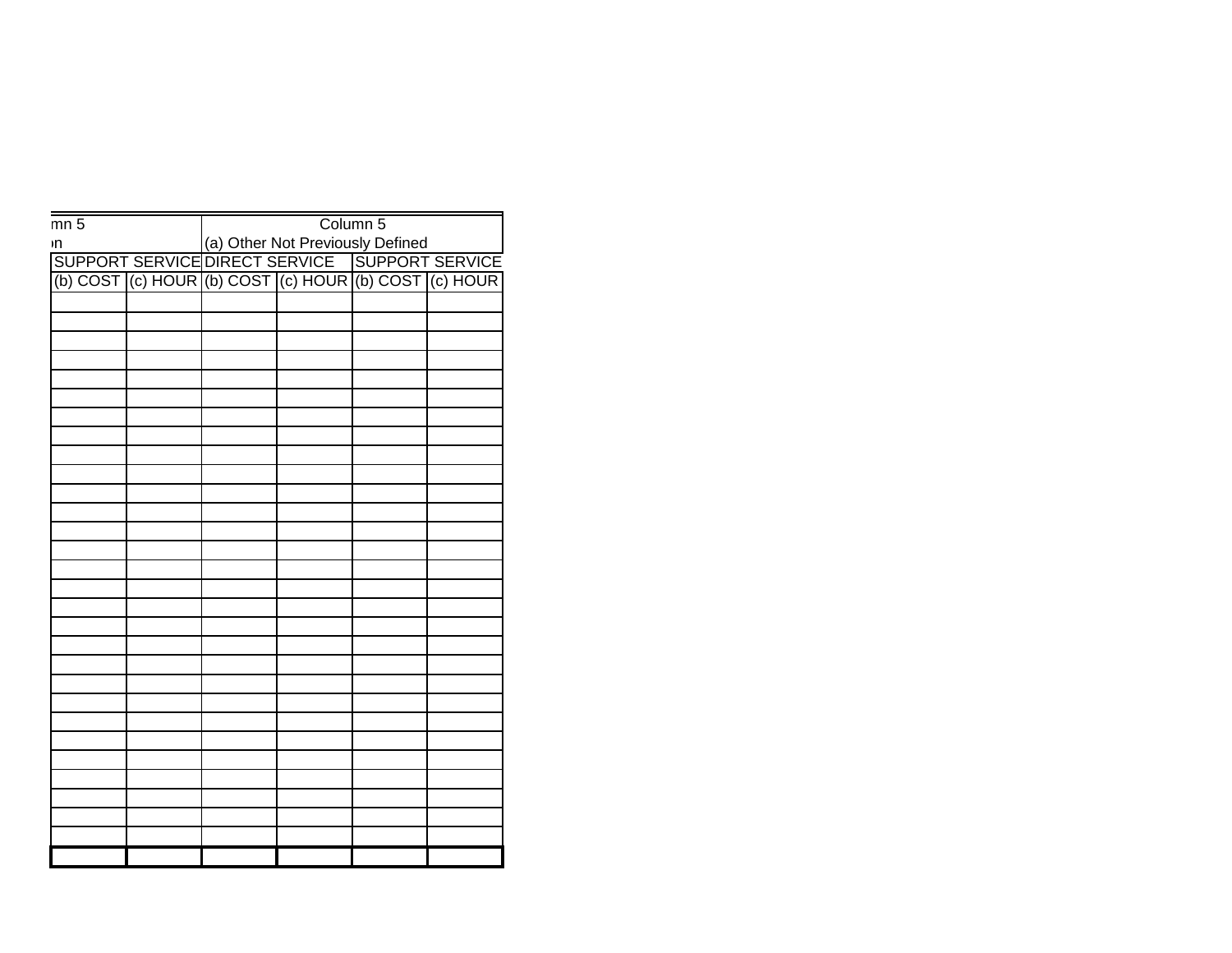| $\frac{1}{\text{mn } 5}$ |  | Column 5                                                                                                                                       |  |  |  |  |
|--------------------------|--|------------------------------------------------------------------------------------------------------------------------------------------------|--|--|--|--|
|                          |  | In (a) Other Not Previously Defined<br>SUPPORT SERVICE DIRECT SERVICE SUPPORT SERVICE<br>(b) COST (c) HOUR (b) COST (c) HOUR (b) COST (c) HOUR |  |  |  |  |
|                          |  |                                                                                                                                                |  |  |  |  |
|                          |  |                                                                                                                                                |  |  |  |  |
|                          |  |                                                                                                                                                |  |  |  |  |
|                          |  |                                                                                                                                                |  |  |  |  |
|                          |  |                                                                                                                                                |  |  |  |  |
|                          |  |                                                                                                                                                |  |  |  |  |
|                          |  |                                                                                                                                                |  |  |  |  |
|                          |  |                                                                                                                                                |  |  |  |  |
|                          |  |                                                                                                                                                |  |  |  |  |
|                          |  |                                                                                                                                                |  |  |  |  |
|                          |  |                                                                                                                                                |  |  |  |  |
|                          |  |                                                                                                                                                |  |  |  |  |
|                          |  |                                                                                                                                                |  |  |  |  |
|                          |  |                                                                                                                                                |  |  |  |  |
|                          |  |                                                                                                                                                |  |  |  |  |
|                          |  |                                                                                                                                                |  |  |  |  |
|                          |  |                                                                                                                                                |  |  |  |  |
|                          |  |                                                                                                                                                |  |  |  |  |
|                          |  |                                                                                                                                                |  |  |  |  |
|                          |  |                                                                                                                                                |  |  |  |  |
|                          |  |                                                                                                                                                |  |  |  |  |
|                          |  |                                                                                                                                                |  |  |  |  |
|                          |  |                                                                                                                                                |  |  |  |  |
|                          |  |                                                                                                                                                |  |  |  |  |
|                          |  |                                                                                                                                                |  |  |  |  |
|                          |  |                                                                                                                                                |  |  |  |  |
|                          |  |                                                                                                                                                |  |  |  |  |
|                          |  |                                                                                                                                                |  |  |  |  |
|                          |  |                                                                                                                                                |  |  |  |  |
|                          |  |                                                                                                                                                |  |  |  |  |
|                          |  |                                                                                                                                                |  |  |  |  |
|                          |  |                                                                                                                                                |  |  |  |  |
|                          |  |                                                                                                                                                |  |  |  |  |
|                          |  |                                                                                                                                                |  |  |  |  |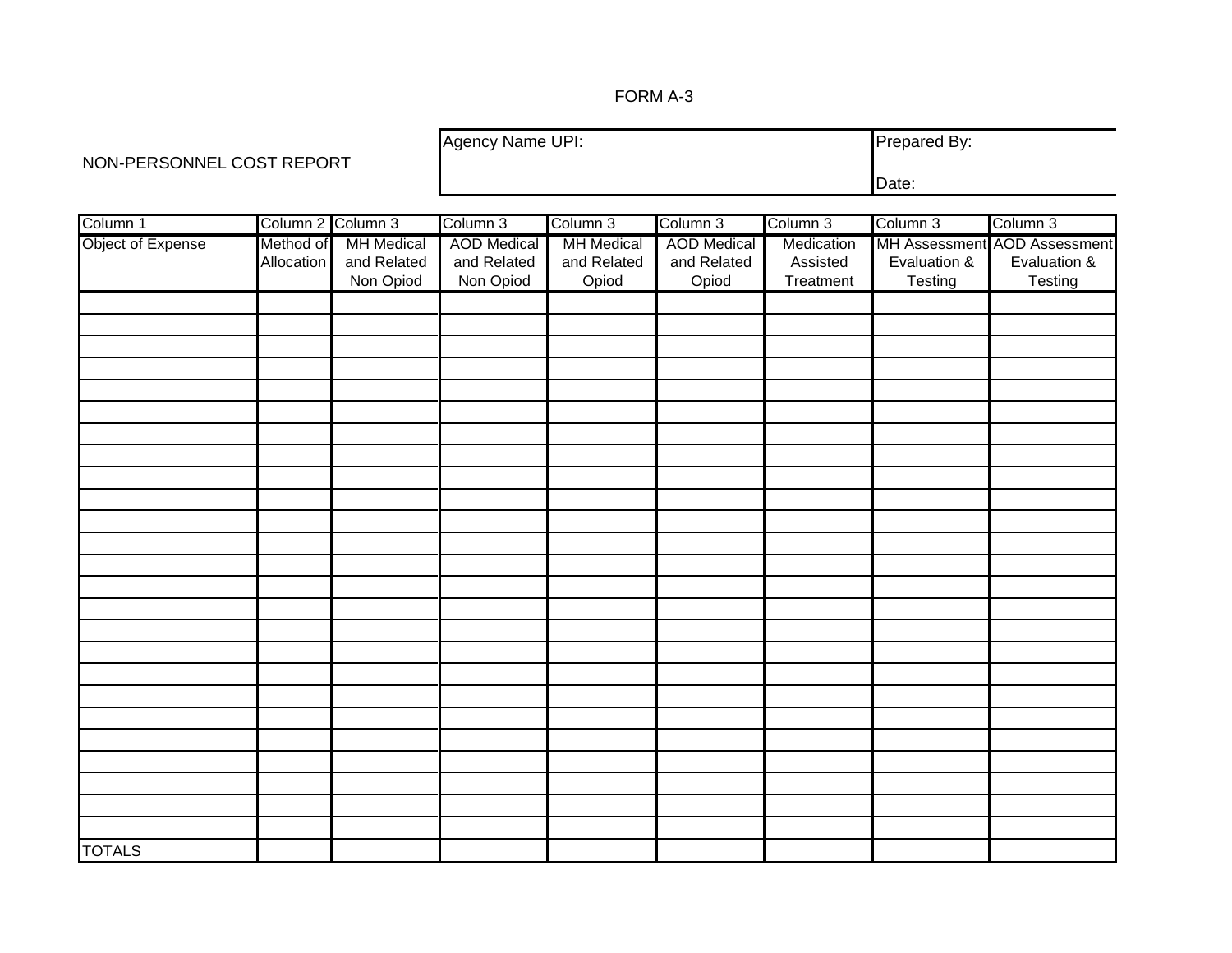### FORM A-3

NON-PERSONNEL COST REPORT

Agency Name UPI: Prepared By: Date:

| Column 1          | Column 2 Column 3 |                   | Column 3           | Column 3          | Column 3           | Column 3   | Column 3     | Column 3                     |
|-------------------|-------------------|-------------------|--------------------|-------------------|--------------------|------------|--------------|------------------------------|
| Object of Expense | Method of         | <b>MH Medical</b> | <b>AOD</b> Medical | <b>MH</b> Medical | <b>AOD</b> Medical | Medication |              | MH Assessment AOD Assessment |
|                   | Allocation        | and Related       | and Related        | and Related       | and Related        | Assisted   | Evaluation & | Evaluation &                 |
|                   |                   | Non Opiod         | Non Opiod          | Opiod             | Opiod              | Treatment  | Testing      | Testing                      |
|                   |                   |                   |                    |                   |                    |            |              |                              |
|                   |                   |                   |                    |                   |                    |            |              |                              |
|                   |                   |                   |                    |                   |                    |            |              |                              |
|                   |                   |                   |                    |                   |                    |            |              |                              |
|                   |                   |                   |                    |                   |                    |            |              |                              |
|                   |                   |                   |                    |                   |                    |            |              |                              |
|                   |                   |                   |                    |                   |                    |            |              |                              |
|                   |                   |                   |                    |                   |                    |            |              |                              |
|                   |                   |                   |                    |                   |                    |            |              |                              |
|                   |                   |                   |                    |                   |                    |            |              |                              |
|                   |                   |                   |                    |                   |                    |            |              |                              |
|                   |                   |                   |                    |                   |                    |            |              |                              |
|                   |                   |                   |                    |                   |                    |            |              |                              |
|                   |                   |                   |                    |                   |                    |            |              |                              |
|                   |                   |                   |                    |                   |                    |            |              |                              |
|                   |                   |                   |                    |                   |                    |            |              |                              |
|                   |                   |                   |                    |                   |                    |            |              |                              |
|                   |                   |                   |                    |                   |                    |            |              |                              |
|                   |                   |                   |                    |                   |                    |            |              |                              |
|                   |                   |                   |                    |                   |                    |            |              |                              |
|                   |                   |                   |                    |                   |                    |            |              |                              |
|                   |                   |                   |                    |                   |                    |            |              |                              |
|                   |                   |                   |                    |                   |                    |            |              |                              |
|                   |                   |                   |                    |                   |                    |            |              |                              |
|                   |                   |                   |                    |                   |                    |            |              |                              |
| <b>TOTALS</b>     |                   |                   |                    |                   |                    |            |              |                              |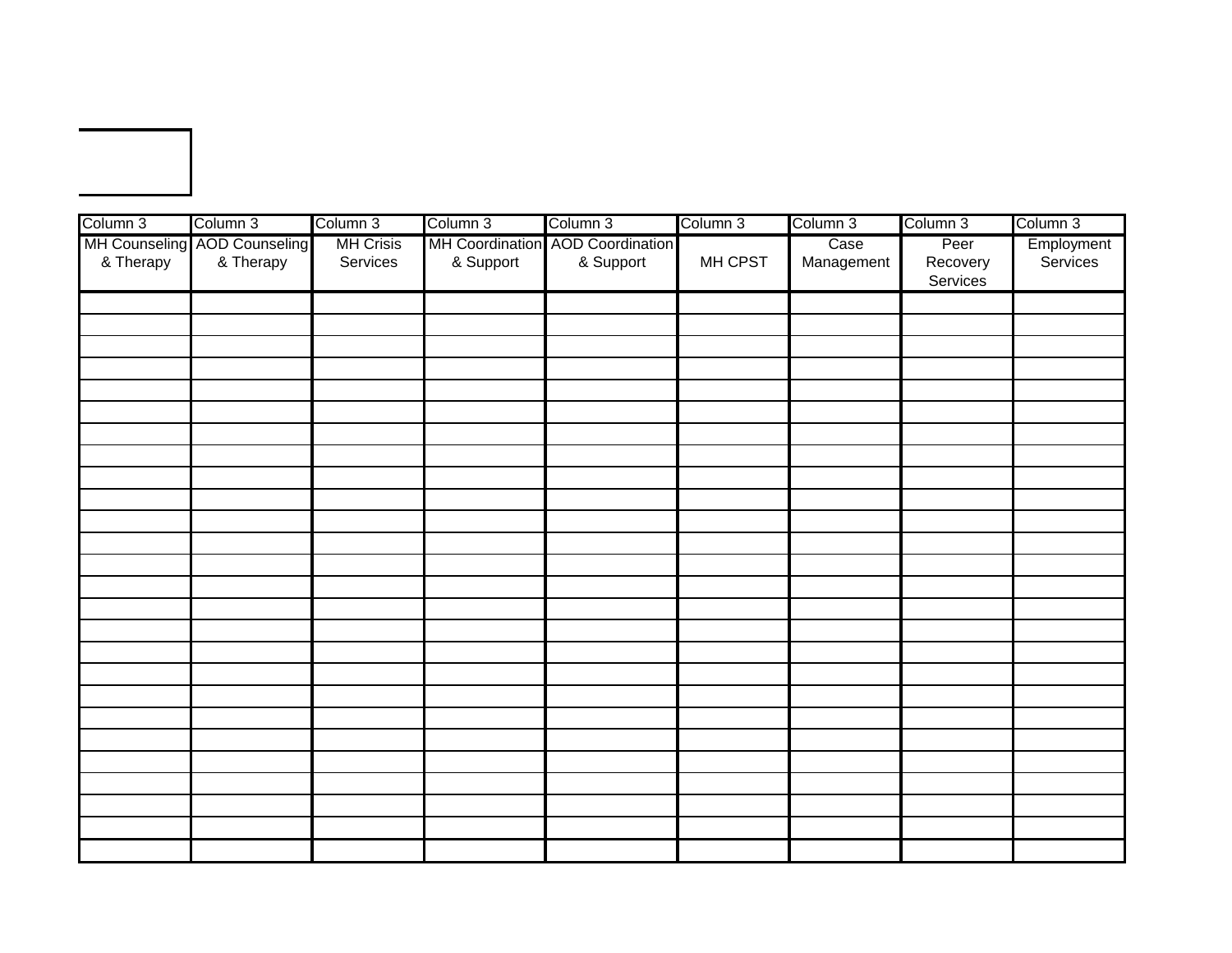| Column 3  | Column 3                                  | Column 3                     | Column 3  | Column 3                                      | Column 3 | Column 3           | Column 3                     | Column 3               |
|-----------|-------------------------------------------|------------------------------|-----------|-----------------------------------------------|----------|--------------------|------------------------------|------------------------|
| & Therapy | MH Counseling AOD Counseling<br>& Therapy | <b>MH Crisis</b><br>Services | & Support | MH Coordination AOD Coordination<br>& Support | MH CPST  | Case<br>Management | Peer<br>Recovery<br>Services | Employment<br>Services |
|           |                                           |                              |           |                                               |          |                    |                              |                        |
|           |                                           |                              |           |                                               |          |                    |                              |                        |
|           |                                           |                              |           |                                               |          |                    |                              |                        |
|           |                                           |                              |           |                                               |          |                    |                              |                        |
|           |                                           |                              |           |                                               |          |                    |                              |                        |
|           |                                           |                              |           |                                               |          |                    |                              |                        |
|           |                                           |                              |           |                                               |          |                    |                              |                        |
|           |                                           |                              |           |                                               |          |                    |                              |                        |
|           |                                           |                              |           |                                               |          |                    |                              |                        |
|           |                                           |                              |           |                                               |          |                    |                              |                        |
|           |                                           |                              |           |                                               |          |                    |                              |                        |
|           |                                           |                              |           |                                               |          |                    |                              |                        |
|           |                                           |                              |           |                                               |          |                    |                              |                        |
|           |                                           |                              |           |                                               |          |                    |                              |                        |
|           |                                           |                              |           |                                               |          |                    |                              |                        |
|           |                                           |                              |           |                                               |          |                    |                              |                        |
|           |                                           |                              |           |                                               |          |                    |                              |                        |
|           |                                           |                              |           |                                               |          |                    |                              |                        |
|           |                                           |                              |           |                                               |          |                    |                              |                        |
|           |                                           |                              |           |                                               |          |                    |                              |                        |
|           |                                           |                              |           |                                               |          |                    |                              |                        |
|           |                                           |                              |           |                                               |          |                    |                              |                        |
|           |                                           |                              |           |                                               |          |                    |                              |                        |
|           |                                           |                              |           |                                               |          |                    |                              |                        |
|           |                                           |                              |           |                                               |          |                    |                              |                        |
|           |                                           |                              |           |                                               |          |                    |                              |                        |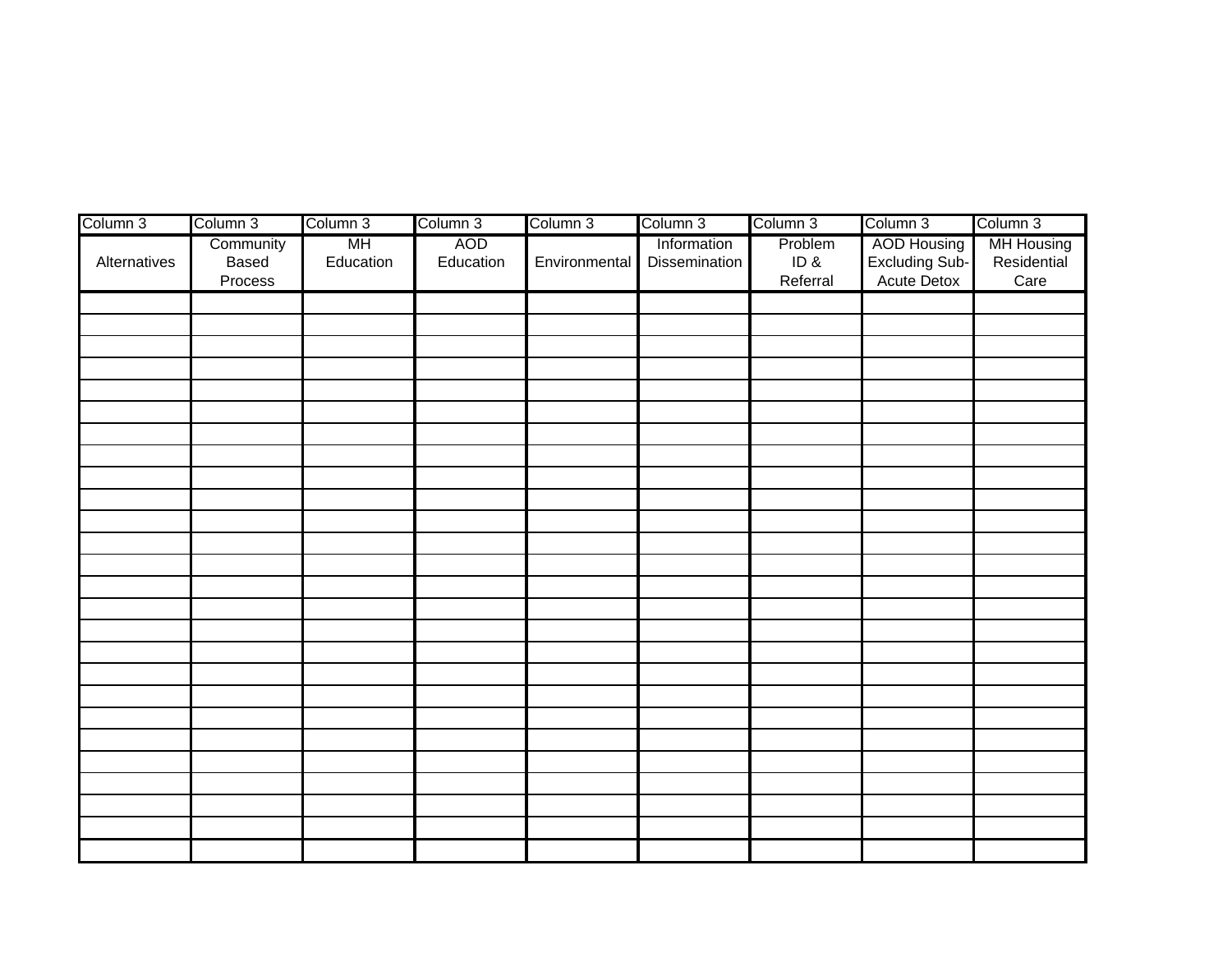| Column 3     | Column 3                      | Column 3        | Column 3         | Column 3      | Column 3                            | Column 3                   | Column 3                                     | Column 3                                 |
|--------------|-------------------------------|-----------------|------------------|---------------|-------------------------------------|----------------------------|----------------------------------------------|------------------------------------------|
| Alternatives | Community<br>Based<br>Process | MH<br>Education | AOD<br>Education | Environmental | Information<br><b>Dissemination</b> | Problem<br>ID&<br>Referral | AOD Housing<br>Excluding Sub-<br>Acute Detox | <b>MH Housing</b><br>Residential<br>Care |
|              |                               |                 |                  |               |                                     |                            |                                              |                                          |
|              |                               |                 |                  |               |                                     |                            |                                              |                                          |
|              |                               |                 |                  |               |                                     |                            |                                              |                                          |
|              |                               |                 |                  |               |                                     |                            |                                              |                                          |
|              |                               |                 |                  |               |                                     |                            |                                              |                                          |
|              |                               |                 |                  |               |                                     |                            |                                              |                                          |
|              |                               |                 |                  |               |                                     |                            |                                              |                                          |
|              |                               |                 |                  |               |                                     |                            |                                              |                                          |
|              |                               |                 |                  |               |                                     |                            |                                              |                                          |
|              |                               |                 |                  |               |                                     |                            |                                              |                                          |
|              |                               |                 |                  |               |                                     |                            |                                              |                                          |
|              |                               |                 |                  |               |                                     |                            |                                              |                                          |
|              |                               |                 |                  |               |                                     |                            |                                              |                                          |
|              |                               |                 |                  |               |                                     |                            |                                              |                                          |
|              |                               |                 |                  |               |                                     |                            |                                              |                                          |
|              |                               |                 |                  |               |                                     |                            |                                              |                                          |
|              |                               |                 |                  |               |                                     |                            |                                              |                                          |
|              |                               |                 |                  |               |                                     |                            |                                              |                                          |
|              |                               |                 |                  |               |                                     |                            |                                              |                                          |
|              |                               |                 |                  |               |                                     |                            |                                              |                                          |
|              |                               |                 |                  |               |                                     |                            |                                              |                                          |
|              |                               |                 |                  |               |                                     |                            |                                              |                                          |
|              |                               |                 |                  |               |                                     |                            |                                              |                                          |
|              |                               |                 |                  |               |                                     |                            |                                              |                                          |
|              |                               |                 |                  |               |                                     |                            |                                              |                                          |
|              |                               |                 |                  |               |                                     |                            |                                              |                                          |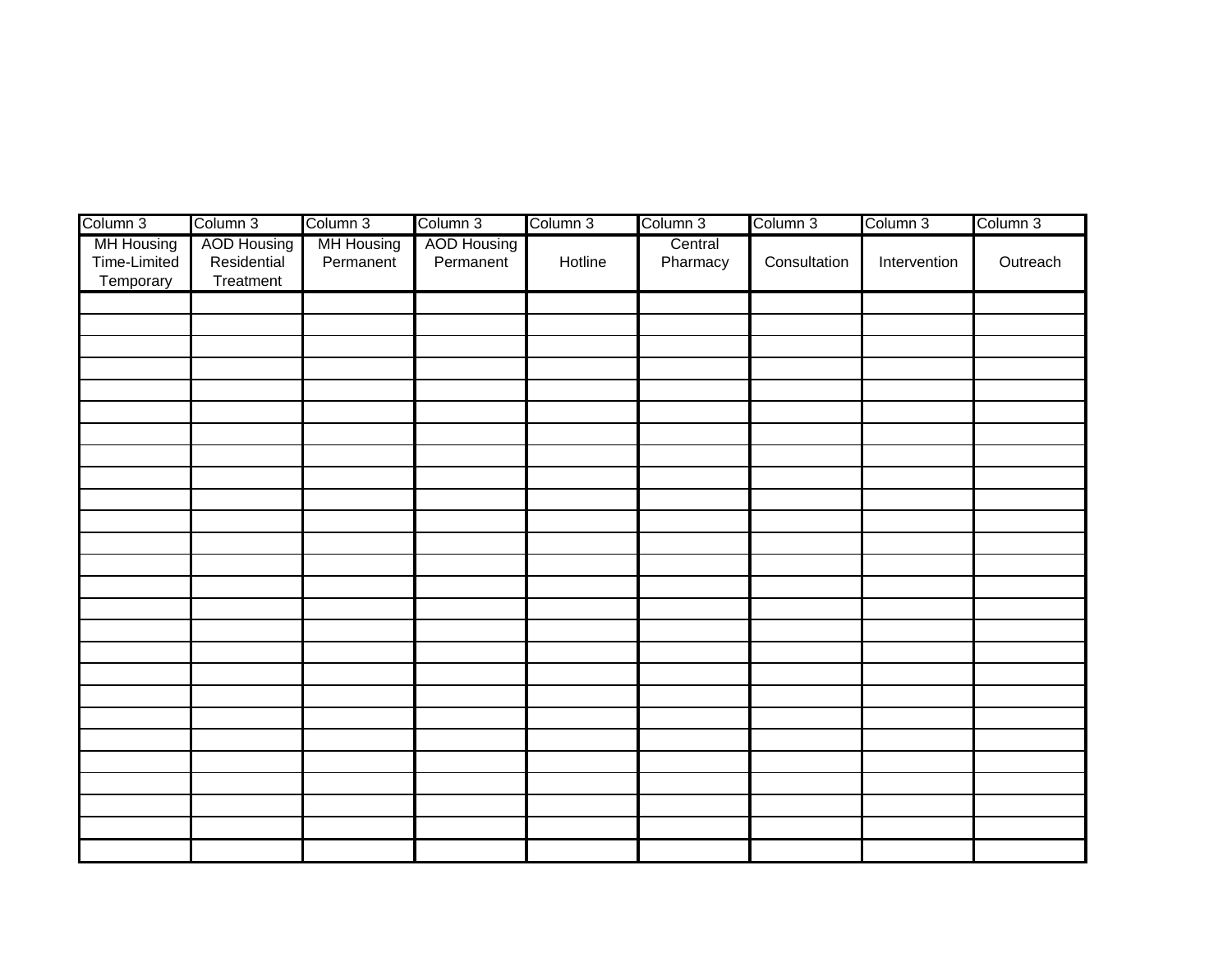| Column 3                                | Column 3                                | Column 3                       | Column 3                        | Column 3 | Column 3            | Column 3     | Column 3     | Column 3 |
|-----------------------------------------|-----------------------------------------|--------------------------------|---------------------------------|----------|---------------------|--------------|--------------|----------|
| MH Housing<br>Time-Limited<br>Temporary | AOD Housing<br>Residential<br>Treatment | <b>MH Housing</b><br>Permanent | <b>AOD Housing</b><br>Permanent | Hotline  | Central<br>Pharmacy | Consultation | Intervention | Outreach |
|                                         |                                         |                                |                                 |          |                     |              |              |          |
|                                         |                                         |                                |                                 |          |                     |              |              |          |
|                                         |                                         |                                |                                 |          |                     |              |              |          |
|                                         |                                         |                                |                                 |          |                     |              |              |          |
|                                         |                                         |                                |                                 |          |                     |              |              |          |
|                                         |                                         |                                |                                 |          |                     |              |              |          |
|                                         |                                         |                                |                                 |          |                     |              |              |          |
|                                         |                                         |                                |                                 |          |                     |              |              |          |
|                                         |                                         |                                |                                 |          |                     |              |              |          |
|                                         |                                         |                                |                                 |          |                     |              |              |          |
|                                         |                                         |                                |                                 |          |                     |              |              |          |
|                                         |                                         |                                |                                 |          |                     |              |              |          |
|                                         |                                         |                                |                                 |          |                     |              |              |          |
|                                         |                                         |                                |                                 |          |                     |              |              |          |
|                                         |                                         |                                |                                 |          |                     |              |              |          |
|                                         |                                         |                                |                                 |          |                     |              |              |          |
|                                         |                                         |                                |                                 |          |                     |              |              |          |
|                                         |                                         |                                |                                 |          |                     |              |              |          |
|                                         |                                         |                                |                                 |          |                     |              |              |          |
|                                         |                                         |                                |                                 |          |                     |              |              |          |
|                                         |                                         |                                |                                 |          |                     |              |              |          |
|                                         |                                         |                                |                                 |          |                     |              |              |          |
|                                         |                                         |                                |                                 |          |                     |              |              |          |
|                                         |                                         |                                |                                 |          |                     |              |              |          |
|                                         |                                         |                                |                                 |          |                     |              |              |          |
|                                         |                                         |                                |                                 |          |                     |              |              |          |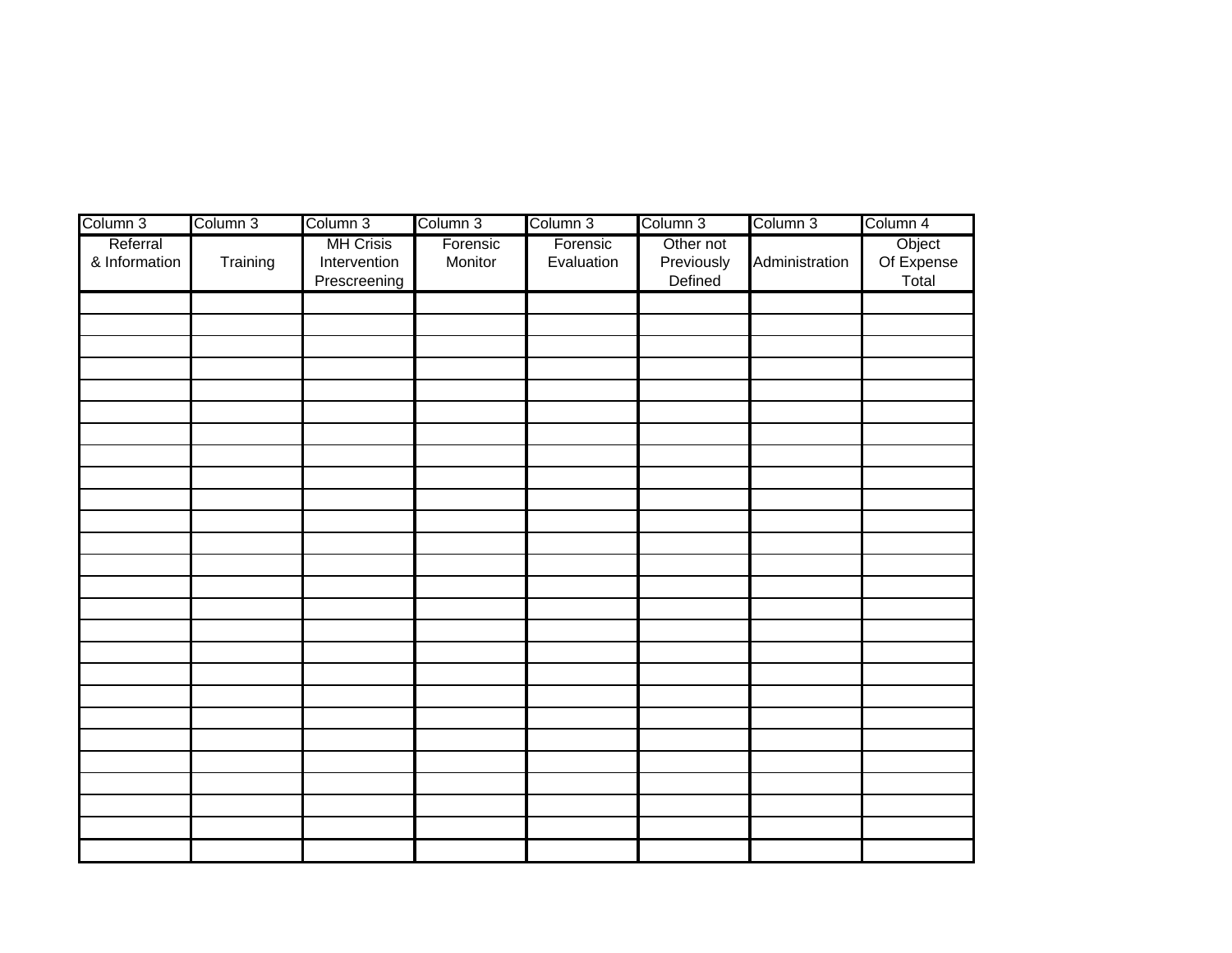| Column 3                  | Column 3 | Column 3                                         | Column 3            | Column 3               | Column 3                           | Column 3       | Column 4                      |
|---------------------------|----------|--------------------------------------------------|---------------------|------------------------|------------------------------------|----------------|-------------------------------|
| Referral<br>& Information | Training | <b>MH Crisis</b><br>Intervention<br>Prescreening | Forensic<br>Monitor | Forensic<br>Evaluation | Other not<br>Previously<br>Defined | Administration | Object<br>Of Expense<br>Total |
|                           |          |                                                  |                     |                        |                                    |                |                               |
|                           |          |                                                  |                     |                        |                                    |                |                               |
|                           |          |                                                  |                     |                        |                                    |                |                               |
|                           |          |                                                  |                     |                        |                                    |                |                               |
|                           |          |                                                  |                     |                        |                                    |                |                               |
|                           |          |                                                  |                     |                        |                                    |                |                               |
|                           |          |                                                  |                     |                        |                                    |                |                               |
|                           |          |                                                  |                     |                        |                                    |                |                               |
|                           |          |                                                  |                     |                        |                                    |                |                               |
|                           |          |                                                  |                     |                        |                                    |                |                               |
|                           |          |                                                  |                     |                        |                                    |                |                               |
|                           |          |                                                  |                     |                        |                                    |                |                               |
|                           |          |                                                  |                     |                        |                                    |                |                               |
|                           |          |                                                  |                     |                        |                                    |                |                               |
|                           |          |                                                  |                     |                        |                                    |                |                               |
|                           |          |                                                  |                     |                        |                                    |                |                               |
|                           |          |                                                  |                     |                        |                                    |                |                               |
|                           |          |                                                  |                     |                        |                                    |                |                               |
|                           |          |                                                  |                     |                        |                                    |                |                               |
|                           |          |                                                  |                     |                        |                                    |                |                               |
|                           |          |                                                  |                     |                        |                                    |                |                               |
|                           |          |                                                  |                     |                        |                                    |                |                               |
|                           |          |                                                  |                     |                        |                                    |                |                               |
|                           |          |                                                  |                     |                        |                                    |                |                               |
|                           |          |                                                  |                     |                        |                                    |                |                               |
|                           |          |                                                  |                     |                        |                                    |                |                               |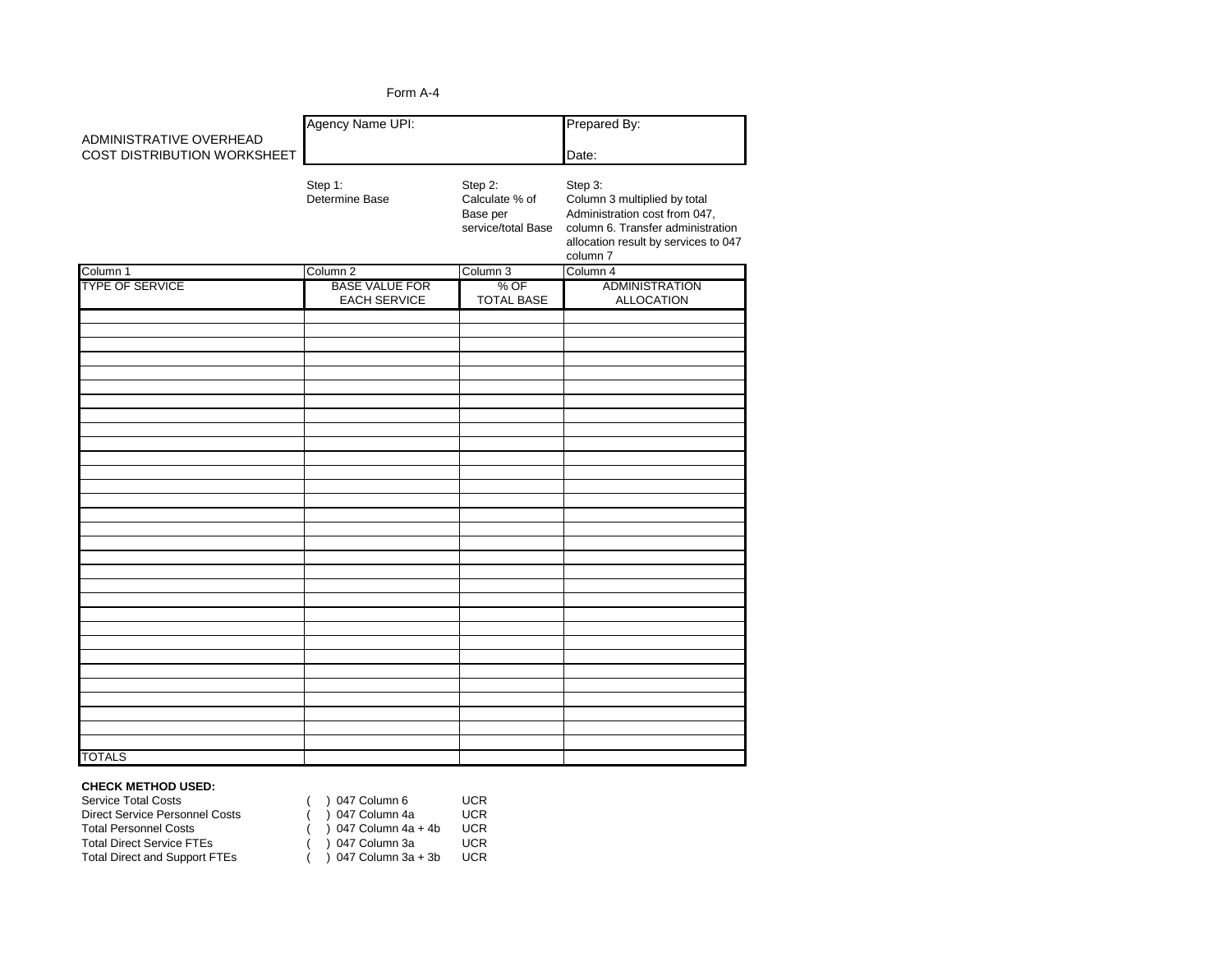|                             | Form A-4                                     |                                       |                                                                                       |  |
|-----------------------------|----------------------------------------------|---------------------------------------|---------------------------------------------------------------------------------------|--|
| ADMINISTRATIVE OVERHEAD     | Agency Name UPI:                             | Prepared By:                          |                                                                                       |  |
| COST DISTRIBUTION WORKSHEET | Step 1:<br>Determine Base                    | Step 2:<br>Calculate % of<br>Base per | Date:<br>Step 3:<br>Column 3 multiplied by total<br>Administration cost from 047,     |  |
|                             |                                              | service/total Base                    | column 6. Transfer administration<br>allocation result by services to 047<br>column 7 |  |
| Column 1                    | Column <sub>2</sub>                          | Column 3                              | Column 4                                                                              |  |
| <b>TYPE OF SERVICE</b>      | <b>BASE VALUE FOR</b><br><b>EACH SERVICE</b> | % OF<br><b>TOTAL BASE</b>             | <b>ADMINISTRATION</b><br><b>ALLOCATION</b>                                            |  |
|                             |                                              |                                       |                                                                                       |  |
|                             |                                              |                                       |                                                                                       |  |
|                             |                                              |                                       |                                                                                       |  |
|                             |                                              |                                       |                                                                                       |  |
|                             |                                              |                                       |                                                                                       |  |
|                             |                                              |                                       |                                                                                       |  |
|                             |                                              |                                       |                                                                                       |  |
|                             |                                              |                                       |                                                                                       |  |
|                             |                                              |                                       |                                                                                       |  |
|                             |                                              |                                       |                                                                                       |  |
|                             |                                              |                                       |                                                                                       |  |
|                             |                                              |                                       |                                                                                       |  |
|                             |                                              |                                       |                                                                                       |  |
|                             |                                              |                                       |                                                                                       |  |
| <b>TOTALS</b>               |                                              |                                       |                                                                                       |  |

#### **CHECK METHOD USED:**

| <b>Service Total Costs</b>            | $($ ) 047 Column 6   | <b>UCR</b> |
|---------------------------------------|----------------------|------------|
| <b>Direct Service Personnel Costs</b> | $($ ) 047 Column 4a  | <b>UCR</b> |
| <b>Total Personnel Costs</b>          | ) 047 Column 4a + 4b | <b>UCR</b> |
| <b>Total Direct Service FTEs</b>      | $($ ) 047 Column 3a  | <b>UCR</b> |
| <b>Total Direct and Support FTEs</b>  | ) 047 Column 3a + 3b | <b>UCR</b> |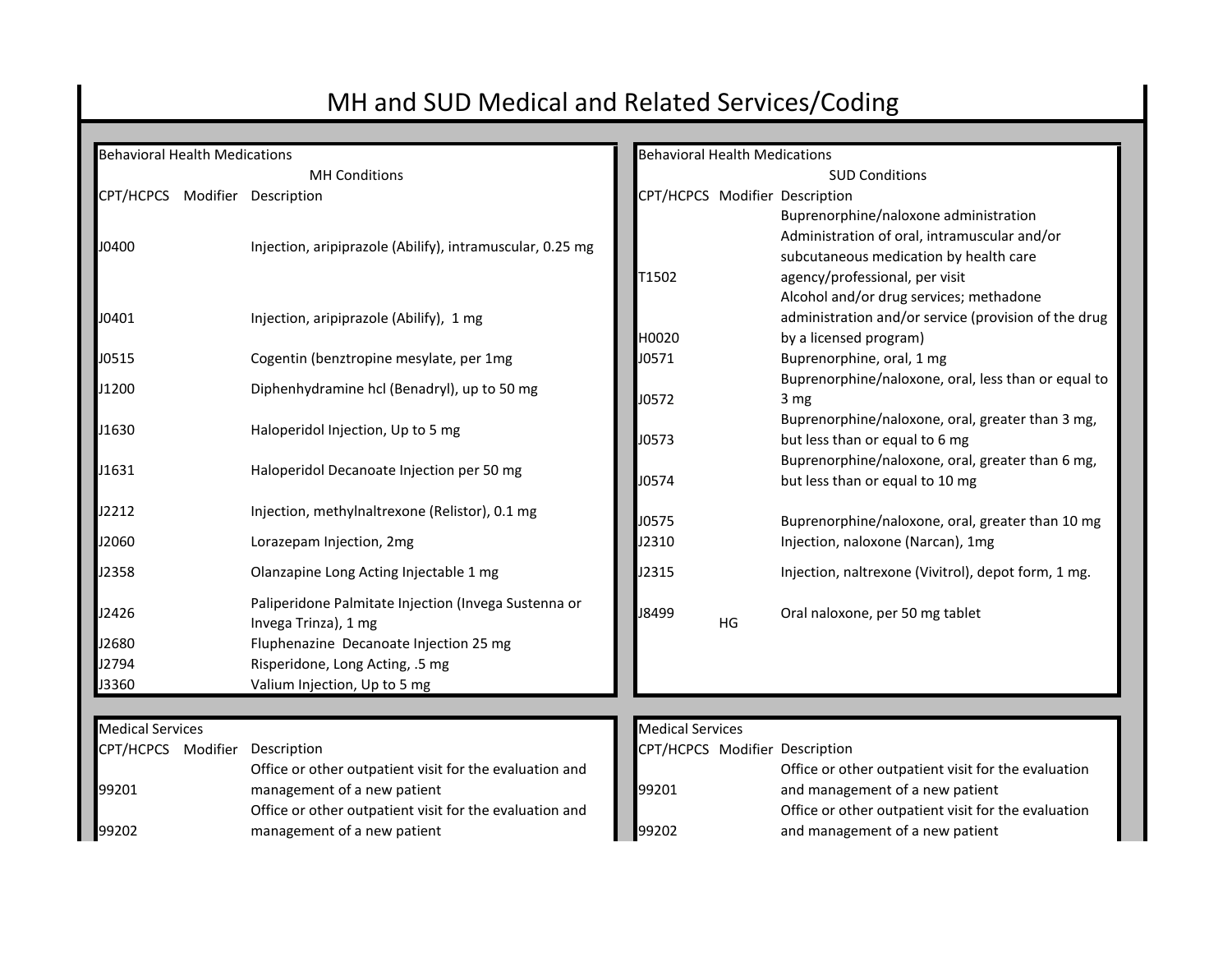# MH and SUD Medical and Related Services/Coding

| <b>Behavioral Health Medications</b> |                                                                                        |                         | <b>Behavioral Health Medications</b> |                                                                                                                                                                   |  |  |
|--------------------------------------|----------------------------------------------------------------------------------------|-------------------------|--------------------------------------|-------------------------------------------------------------------------------------------------------------------------------------------------------------------|--|--|
|                                      | <b>MH Conditions</b>                                                                   | <b>SUD Conditions</b>   |                                      |                                                                                                                                                                   |  |  |
| CPT/HCPCS Modifier Description       |                                                                                        |                         |                                      | CPT/HCPCS Modifier Description                                                                                                                                    |  |  |
| J0400                                | Injection, aripiprazole (Abilify), intramuscular, 0.25 mg                              | T1502                   |                                      | Buprenorphine/naloxone administration<br>Administration of oral, intramuscular and/or<br>subcutaneous medication by health care<br>agency/professional, per visit |  |  |
| J0401                                | Injection, aripiprazole (Abilify), 1 mg                                                | H0020                   |                                      | Alcohol and/or drug services; methadone<br>administration and/or service (provision of the drug<br>by a licensed program)                                         |  |  |
| J0515                                | Cogentin (benztropine mesylate, per 1mg                                                | J0571                   |                                      | Buprenorphine, oral, 1 mg                                                                                                                                         |  |  |
| J1200                                | Diphenhydramine hcl (Benadryl), up to 50 mg                                            | J0572                   |                                      | Buprenorphine/naloxone, oral, less than or equal to<br>3 mg                                                                                                       |  |  |
| J1630                                | Haloperidol Injection, Up to 5 mg                                                      | J0573                   |                                      | Buprenorphine/naloxone, oral, greater than 3 mg,<br>but less than or equal to 6 mg                                                                                |  |  |
| J1631                                | Haloperidol Decanoate Injection per 50 mg                                              | J0574                   |                                      | Buprenorphine/naloxone, oral, greater than 6 mg,<br>but less than or equal to 10 mg                                                                               |  |  |
| J2212                                | Injection, methylnaltrexone (Relistor), 0.1 mg                                         | J0575                   |                                      | Buprenorphine/naloxone, oral, greater than 10 mg                                                                                                                  |  |  |
| J2060                                | Lorazepam Injection, 2mg                                                               | J2310                   |                                      | Injection, naloxone (Narcan), 1mg                                                                                                                                 |  |  |
| J2358                                | Olanzapine Long Acting Injectable 1 mg                                                 | J2315                   |                                      | Injection, naltrexone (Vivitrol), depot form, 1 mg.                                                                                                               |  |  |
| J2426                                | Paliperidone Palmitate Injection (Invega Sustenna or<br>Invega Trinza), 1 mg           | J8499                   | HG                                   | Oral naloxone, per 50 mg tablet                                                                                                                                   |  |  |
| J2680                                | Fluphenazine Decanoate Injection 25 mg                                                 |                         |                                      |                                                                                                                                                                   |  |  |
| J2794                                | Risperidone, Long Acting, .5 mg                                                        |                         |                                      |                                                                                                                                                                   |  |  |
| J3360                                | Valium Injection, Up to 5 mg                                                           |                         |                                      |                                                                                                                                                                   |  |  |
|                                      |                                                                                        |                         |                                      |                                                                                                                                                                   |  |  |
| <b>Medical Services</b>              |                                                                                        | <b>Medical Services</b> |                                      |                                                                                                                                                                   |  |  |
| CPT/HCPCS Modifier Description       |                                                                                        |                         |                                      | CPT/HCPCS Modifier Description                                                                                                                                    |  |  |
|                                      | Office or other outpatient visit for the evaluation and<br>management of a new patient |                         |                                      | Office or other outpatient visit for the evaluation<br>and management of a new patient                                                                            |  |  |
| 99201                                | Office or other outpatient visit for the evaluation and                                | 99201                   |                                      | Office or other outpatient visit for the evaluation                                                                                                               |  |  |
| 99202                                | management of a new patient                                                            | 99202                   |                                      | and management of a new patient                                                                                                                                   |  |  |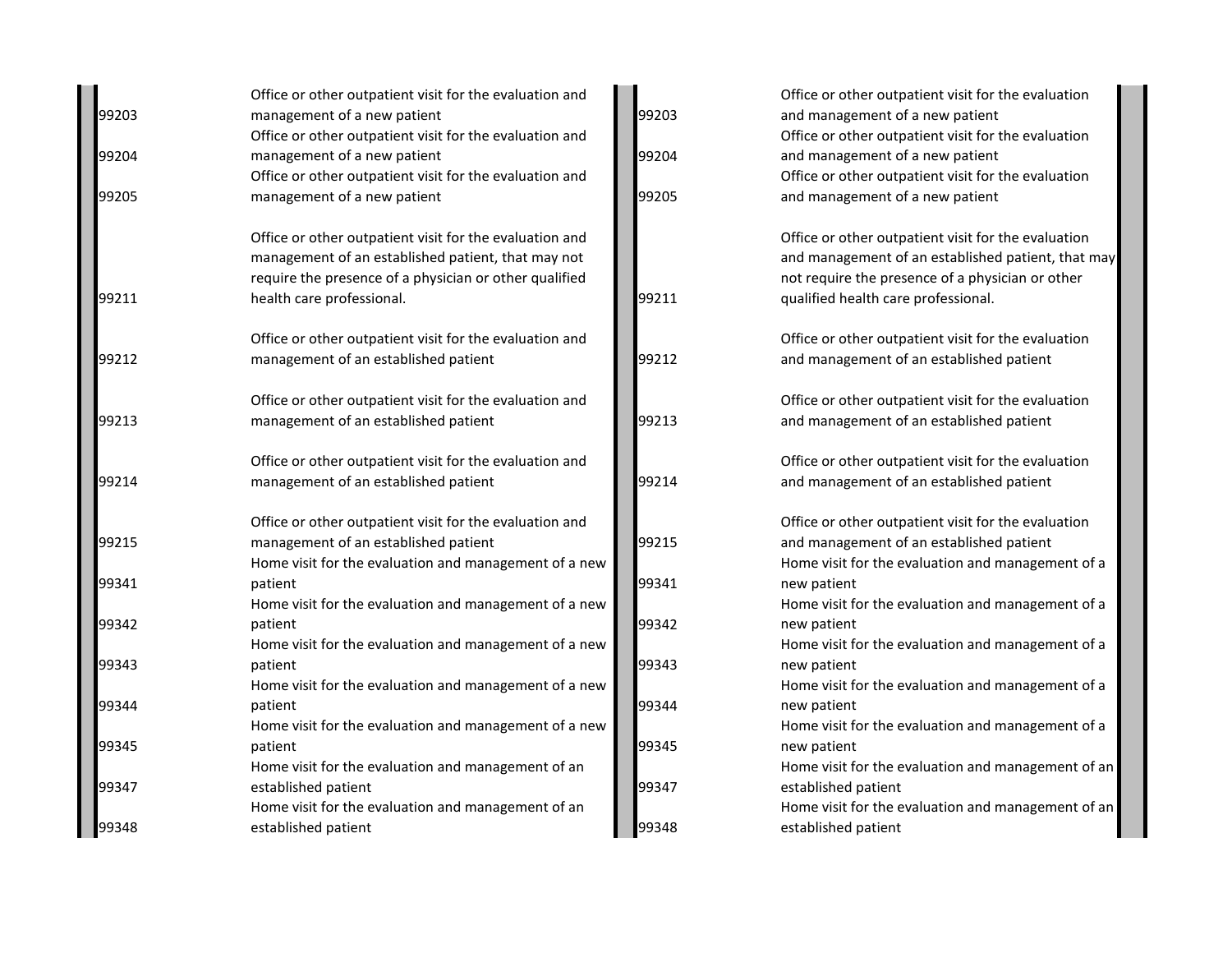| 99203 | Office or other outpatient visit for the evaluation and<br>management of a new patient | 99203 | Office or other outpatient visit for the evaluation<br>and management of a new patient |
|-------|----------------------------------------------------------------------------------------|-------|----------------------------------------------------------------------------------------|
|       | Office or other outpatient visit for the evaluation and                                |       | Office or other outpatient visit for the evaluation                                    |
| 99204 | management of a new patient                                                            | 99204 | and management of a new patient                                                        |
|       | Office or other outpatient visit for the evaluation and                                |       | Office or other outpatient visit for the evaluation                                    |
| 99205 | management of a new patient                                                            | 99205 | and management of a new patient                                                        |
|       | Office or other outpatient visit for the evaluation and                                |       | Office or other outpatient visit for the evaluation                                    |
|       | management of an established patient, that may not                                     |       | and management of an established patient, that may                                     |
|       | require the presence of a physician or other qualified                                 |       | not require the presence of a physician or other                                       |
| 99211 | health care professional.                                                              | 99211 | qualified health care professional.                                                    |
|       | Office or other outpatient visit for the evaluation and                                |       | Office or other outpatient visit for the evaluation                                    |
| 99212 | management of an established patient                                                   | 99212 | and management of an established patient                                               |
|       | Office or other outpatient visit for the evaluation and                                |       | Office or other outpatient visit for the evaluation                                    |
| 99213 | management of an established patient                                                   | 99213 | and management of an established patient                                               |
|       | Office or other outpatient visit for the evaluation and                                |       | Office or other outpatient visit for the evaluation                                    |
| 99214 | management of an established patient                                                   | 99214 | and management of an established patient                                               |
|       | Office or other outpatient visit for the evaluation and                                |       | Office or other outpatient visit for the evaluation                                    |
| 99215 | management of an established patient                                                   | 99215 | and management of an established patient                                               |
|       | Home visit for the evaluation and management of a new                                  |       | Home visit for the evaluation and management of a                                      |
| 99341 | patient                                                                                | 99341 | new patient                                                                            |
|       | Home visit for the evaluation and management of a new                                  |       | Home visit for the evaluation and management of a                                      |
| 99342 | patient                                                                                | 99342 | new patient                                                                            |
| 99343 | Home visit for the evaluation and management of a new                                  | 99343 | Home visit for the evaluation and management of a                                      |
|       | patient<br>Home visit for the evaluation and management of a new                       |       | new patient<br>Home visit for the evaluation and management of a                       |
| 99344 | patient                                                                                | 99344 | new patient                                                                            |
|       | Home visit for the evaluation and management of a new                                  |       | Home visit for the evaluation and management of a                                      |
| 99345 | patient                                                                                | 99345 | new patient                                                                            |
|       | Home visit for the evaluation and management of an                                     |       | Home visit for the evaluation and management of an                                     |
| 99347 | established patient                                                                    | 99347 | established patient                                                                    |
|       | Home visit for the evaluation and management of an                                     |       | Home visit for the evaluation and management of an                                     |
| 99348 | established patient                                                                    | 99348 | established patient                                                                    |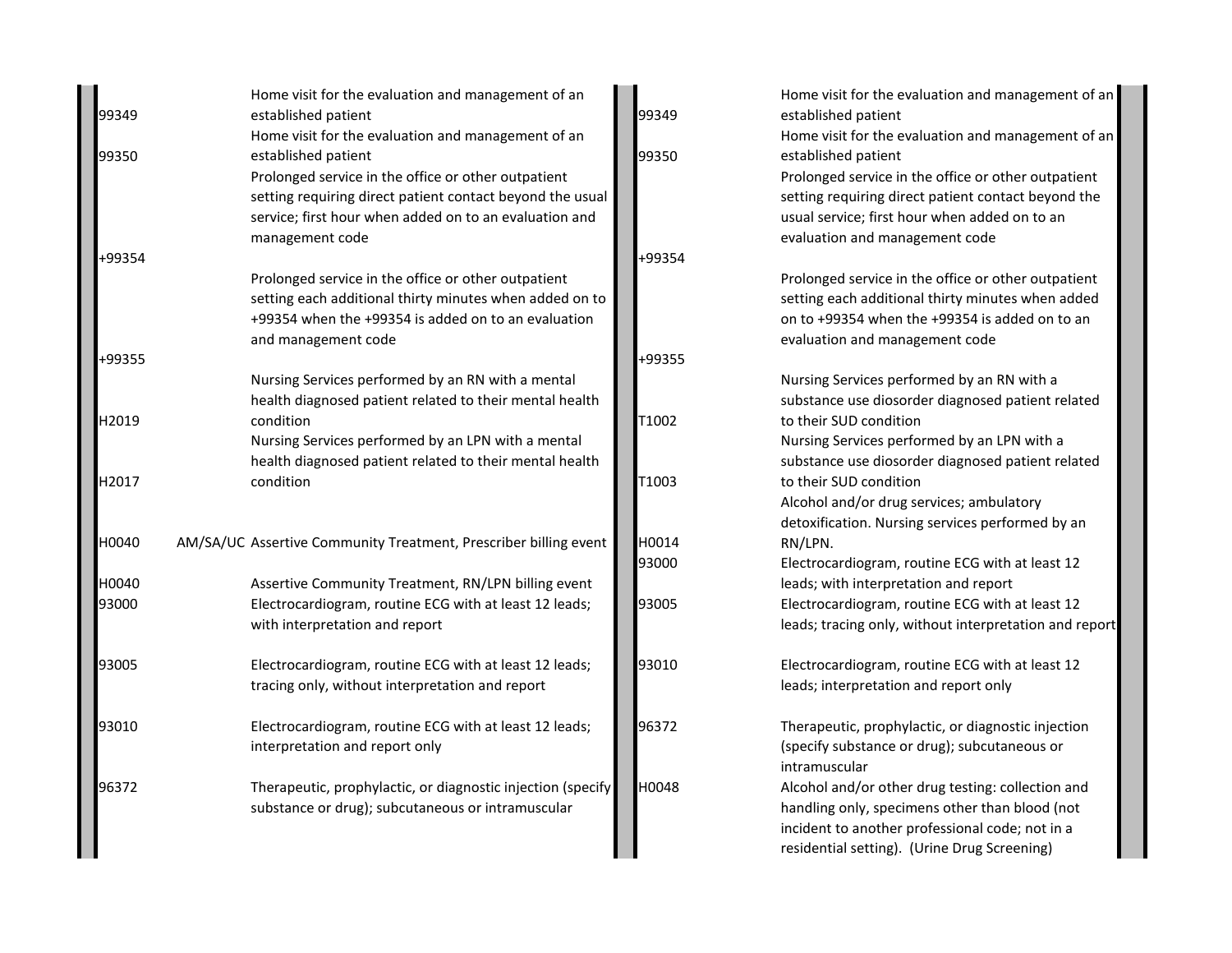|        | Home visit for the evaluation and management of an               |        | Home visit for the evaluation and management of an     |
|--------|------------------------------------------------------------------|--------|--------------------------------------------------------|
| 99349  | established patient                                              | 99349  | established patient                                    |
|        | Home visit for the evaluation and management of an               |        | Home visit for the evaluation and management of an     |
| 99350  | established patient                                              | 99350  | established patient                                    |
|        | Prolonged service in the office or other outpatient              |        | Prolonged service in the office or other outpatient    |
|        | setting requiring direct patient contact beyond the usual        |        | setting requiring direct patient contact beyond the    |
|        | service; first hour when added on to an evaluation and           |        | usual service; first hour when added on to an          |
|        | management code                                                  |        | evaluation and management code                         |
| +99354 |                                                                  | +99354 |                                                        |
|        | Prolonged service in the office or other outpatient              |        | Prolonged service in the office or other outpatient    |
|        | setting each additional thirty minutes when added on to          |        | setting each additional thirty minutes when added      |
|        | +99354 when the +99354 is added on to an evaluation              |        | on to +99354 when the +99354 is added on to an         |
|        | and management code                                              |        | evaluation and management code                         |
| +99355 |                                                                  | +99355 |                                                        |
|        | Nursing Services performed by an RN with a mental                |        | Nursing Services performed by an RN with a             |
|        | health diagnosed patient related to their mental health          |        | substance use diosorder diagnosed patient related      |
| H2019  | condition                                                        | T1002  | to their SUD condition                                 |
|        | Nursing Services performed by an LPN with a mental               |        | Nursing Services performed by an LPN with a            |
|        | health diagnosed patient related to their mental health          |        | substance use diosorder diagnosed patient related      |
| H2017  | condition                                                        | T1003  | to their SUD condition                                 |
|        |                                                                  |        | Alcohol and/or drug services; ambulatory               |
|        |                                                                  |        | detoxification. Nursing services performed by an       |
| H0040  | AM/SA/UC Assertive Community Treatment, Prescriber billing event | H0014  | RN/LPN.                                                |
|        |                                                                  | 93000  | Electrocardiogram, routine ECG with at least 12        |
| H0040  | Assertive Community Treatment, RN/LPN billing event              |        | leads; with interpretation and report                  |
| 93000  | Electrocardiogram, routine ECG with at least 12 leads;           | 93005  | Electrocardiogram, routine ECG with at least 12        |
|        | with interpretation and report                                   |        | leads; tracing only, without interpretation and report |
| 93005  | Electrocardiogram, routine ECG with at least 12 leads;           | 93010  | Electrocardiogram, routine ECG with at least 12        |
|        | tracing only, without interpretation and report                  |        | leads; interpretation and report only                  |
| 93010  | Electrocardiogram, routine ECG with at least 12 leads;           | 96372  | Therapeutic, prophylactic, or diagnostic injection     |
|        | interpretation and report only                                   |        | (specify substance or drug); subcutaneous or           |
|        |                                                                  |        | intramuscular                                          |
| 96372  | Therapeutic, prophylactic, or diagnostic injection (specify      | H0048  | Alcohol and/or other drug testing: collection and      |
|        | substance or drug); subcutaneous or intramuscular                |        | handling only, specimens other than blood (not         |
|        |                                                                  |        | incident to another professional code; not in a        |
|        |                                                                  |        | residential setting). (Urine Drug Screening)           |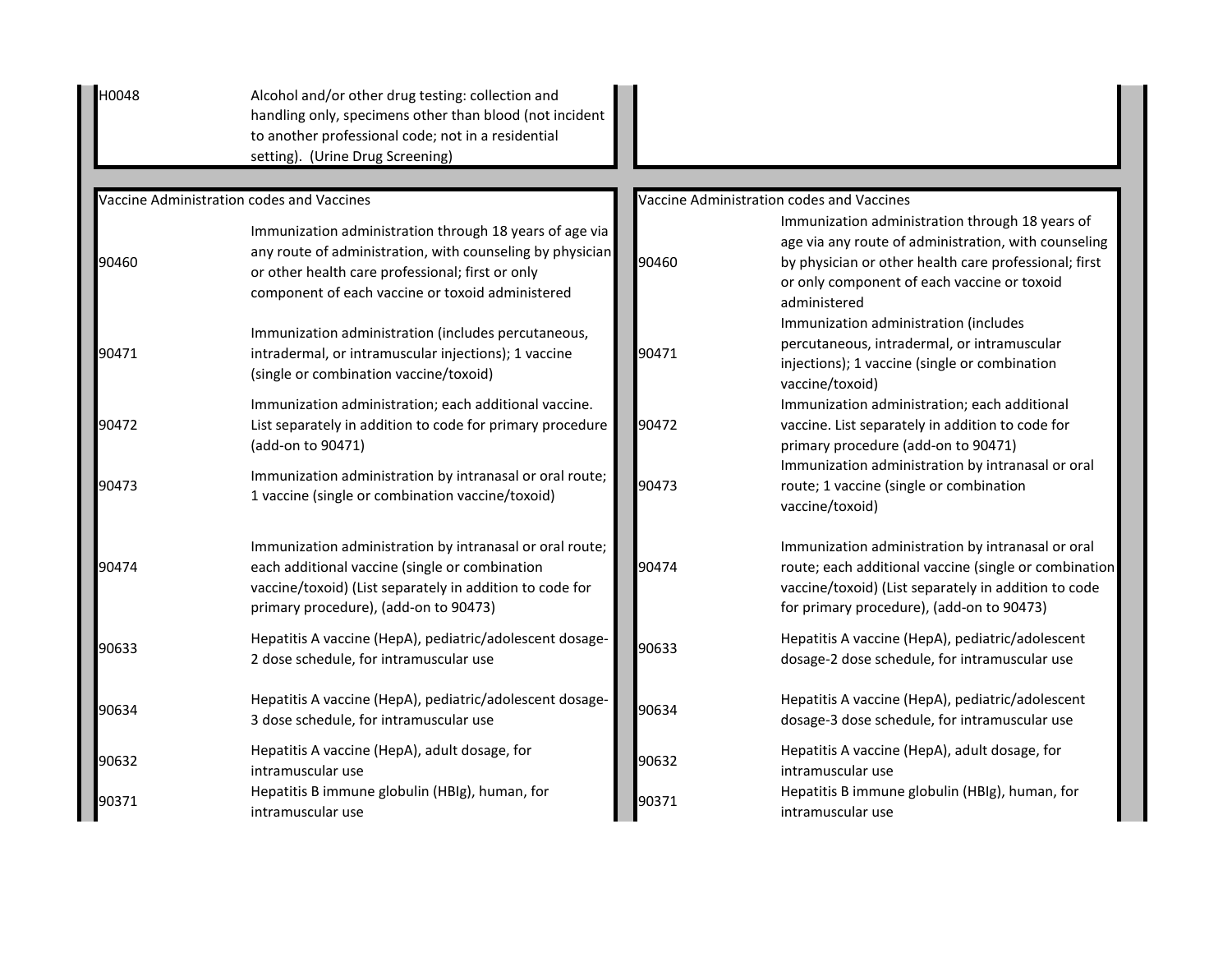| H0048 | Alcohol and/or other drug testing: collection and<br>handling only, specimens other than blood (not incident<br>to another professional code; not in a residential<br>setting). (Urine Drug Screening)                       |       |                                                                                                                                                                                                                                 |
|-------|------------------------------------------------------------------------------------------------------------------------------------------------------------------------------------------------------------------------------|-------|---------------------------------------------------------------------------------------------------------------------------------------------------------------------------------------------------------------------------------|
|       | Vaccine Administration codes and Vaccines                                                                                                                                                                                    |       | Vaccine Administration codes and Vaccines                                                                                                                                                                                       |
| 90460 | Immunization administration through 18 years of age via<br>any route of administration, with counseling by physician<br>or other health care professional; first or only<br>component of each vaccine or toxoid administered | 90460 | Immunization administration through 18 years of<br>age via any route of administration, with counseling<br>by physician or other health care professional; first<br>or only component of each vaccine or toxoid<br>administered |
| 90471 | Immunization administration (includes percutaneous,<br>intradermal, or intramuscular injections); 1 vaccine<br>(single or combination vaccine/toxoid)                                                                        | 90471 | Immunization administration (includes<br>percutaneous, intradermal, or intramuscular<br>injections); 1 vaccine (single or combination<br>vaccine/toxoid)                                                                        |
| 90472 | Immunization administration; each additional vaccine.<br>List separately in addition to code for primary procedure<br>(add-on to 90471)                                                                                      | 90472 | Immunization administration; each additional<br>vaccine. List separately in addition to code for<br>primary procedure (add-on to 90471)                                                                                         |
| 90473 | Immunization administration by intranasal or oral route;<br>1 vaccine (single or combination vaccine/toxoid)                                                                                                                 | 90473 | Immunization administration by intranasal or oral<br>route; 1 vaccine (single or combination<br>vaccine/toxoid)                                                                                                                 |
| 90474 | Immunization administration by intranasal or oral route;<br>each additional vaccine (single or combination<br>vaccine/toxoid) (List separately in addition to code for<br>primary procedure), (add-on to 90473)              | 90474 | Immunization administration by intranasal or oral<br>route; each additional vaccine (single or combination<br>vaccine/toxoid) (List separately in addition to code<br>for primary procedure), (add-on to 90473)                 |
| 90633 | Hepatitis A vaccine (HepA), pediatric/adolescent dosage-<br>2 dose schedule, for intramuscular use                                                                                                                           | 90633 | Hepatitis A vaccine (HepA), pediatric/adolescent<br>dosage-2 dose schedule, for intramuscular use                                                                                                                               |
| 90634 | Hepatitis A vaccine (HepA), pediatric/adolescent dosage-<br>3 dose schedule, for intramuscular use                                                                                                                           | 90634 | Hepatitis A vaccine (HepA), pediatric/adolescent<br>dosage-3 dose schedule, for intramuscular use                                                                                                                               |
| 90632 | Hepatitis A vaccine (HepA), adult dosage, for<br>intramuscular use                                                                                                                                                           | 90632 | Hepatitis A vaccine (HepA), adult dosage, for<br>intramuscular use                                                                                                                                                              |
| 90371 | Hepatitis B immune globulin (HBIg), human, for<br>intramuscular use                                                                                                                                                          | 90371 | Hepatitis B immune globulin (HBIg), human, for<br>intramuscular use                                                                                                                                                             |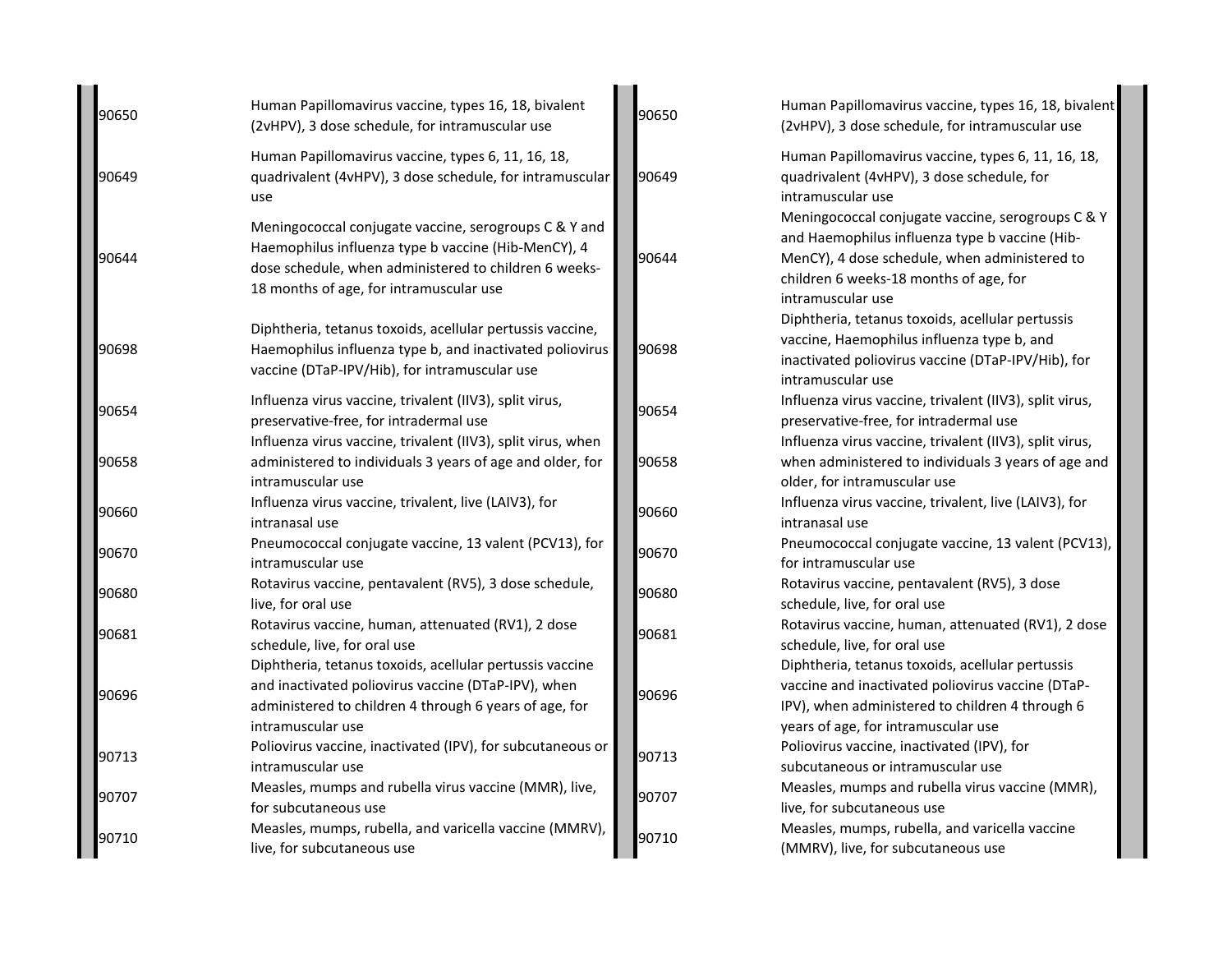| 90650 | Human Papillomavirus vaccine, types 16, 18, bivalent<br>(2vHPV), 3 dose schedule, for intramuscular use                                                                                                          | 90650 | Human Papillomavirus vaccine, types 16, 18, bivalent<br>(2vHPV), 3 dose schedule, for intramuscular use                                                                                                             |
|-------|------------------------------------------------------------------------------------------------------------------------------------------------------------------------------------------------------------------|-------|---------------------------------------------------------------------------------------------------------------------------------------------------------------------------------------------------------------------|
| 90649 | Human Papillomavirus vaccine, types 6, 11, 16, 18,<br>quadrivalent (4vHPV), 3 dose schedule, for intramuscular<br>use                                                                                            | 90649 | Human Papillomavirus vaccine, types 6, 11, 16, 18,<br>quadrivalent (4vHPV), 3 dose schedule, for<br>intramuscular use                                                                                               |
| 90644 | Meningococcal conjugate vaccine, serogroups C & Y and<br>Haemophilus influenza type b vaccine (Hib-MenCY), 4<br>dose schedule, when administered to children 6 weeks-<br>18 months of age, for intramuscular use | 90644 | Meningococcal conjugate vaccine, serogroups C & Y<br>and Haemophilus influenza type b vaccine (Hib-<br>MenCY), 4 dose schedule, when administered to<br>children 6 weeks-18 months of age, for<br>intramuscular use |
| 90698 | Diphtheria, tetanus toxoids, acellular pertussis vaccine,<br>Haemophilus influenza type b, and inactivated poliovirus<br>vaccine (DTaP-IPV/Hib), for intramuscular use                                           | 90698 | Diphtheria, tetanus toxoids, acellular pertussis<br>vaccine, Haemophilus influenza type b, and<br>inactivated poliovirus vaccine (DTaP-IPV/Hib), for<br>intramuscular use                                           |
| 90654 | Influenza virus vaccine, trivalent (IIV3), split virus,<br>preservative-free, for intradermal use                                                                                                                | 90654 | Influenza virus vaccine, trivalent (IIV3), split virus,<br>preservative-free, for intradermal use                                                                                                                   |
| 90658 | Influenza virus vaccine, trivalent (IIV3), split virus, when<br>administered to individuals 3 years of age and older, for<br>intramuscular use                                                                   | 90658 | Influenza virus vaccine, trivalent (IIV3), split virus,<br>when administered to individuals 3 years of age and<br>older, for intramuscular use                                                                      |
| 90660 | Influenza virus vaccine, trivalent, live (LAIV3), for<br>intranasal use                                                                                                                                          | 90660 | Influenza virus vaccine, trivalent, live (LAIV3), for<br>intranasal use                                                                                                                                             |
| 90670 | Pneumococcal conjugate vaccine, 13 valent (PCV13), for<br>intramuscular use                                                                                                                                      | 90670 | Pneumococcal conjugate vaccine, 13 valent (PCV13),<br>for intramuscular use                                                                                                                                         |
| 90680 | Rotavirus vaccine, pentavalent (RV5), 3 dose schedule,<br>live, for oral use                                                                                                                                     | 90680 | Rotavirus vaccine, pentavalent (RV5), 3 dose<br>schedule, live, for oral use                                                                                                                                        |
| 90681 | Rotavirus vaccine, human, attenuated (RV1), 2 dose<br>schedule, live, for oral use                                                                                                                               | 90681 | Rotavirus vaccine, human, attenuated (RV1), 2 dose<br>schedule, live, for oral use                                                                                                                                  |
| 90696 | Diphtheria, tetanus toxoids, acellular pertussis vaccine<br>and inactivated poliovirus vaccine (DTaP-IPV), when<br>administered to children 4 through 6 years of age, for<br>intramuscular use                   | 90696 | Diphtheria, tetanus toxoids, acellular pertussis<br>vaccine and inactivated poliovirus vaccine (DTaP-<br>IPV), when administered to children 4 through 6<br>years of age, for intramuscular use                     |
| 90713 | Poliovirus vaccine, inactivated (IPV), for subcutaneous or<br>intramuscular use                                                                                                                                  | 90713 | Poliovirus vaccine, inactivated (IPV), for<br>subcutaneous or intramuscular use                                                                                                                                     |
| 90707 | Measles, mumps and rubella virus vaccine (MMR), live,<br>for subcutaneous use                                                                                                                                    | 90707 | Measles, mumps and rubella virus vaccine (MMR),<br>live, for subcutaneous use                                                                                                                                       |
| 90710 | Measles, mumps, rubella, and varicella vaccine (MMRV),<br>live, for subcutaneous use                                                                                                                             | 90710 | Measles, mumps, rubella, and varicella vaccine<br>(MMRV), live, for subcutaneous use                                                                                                                                |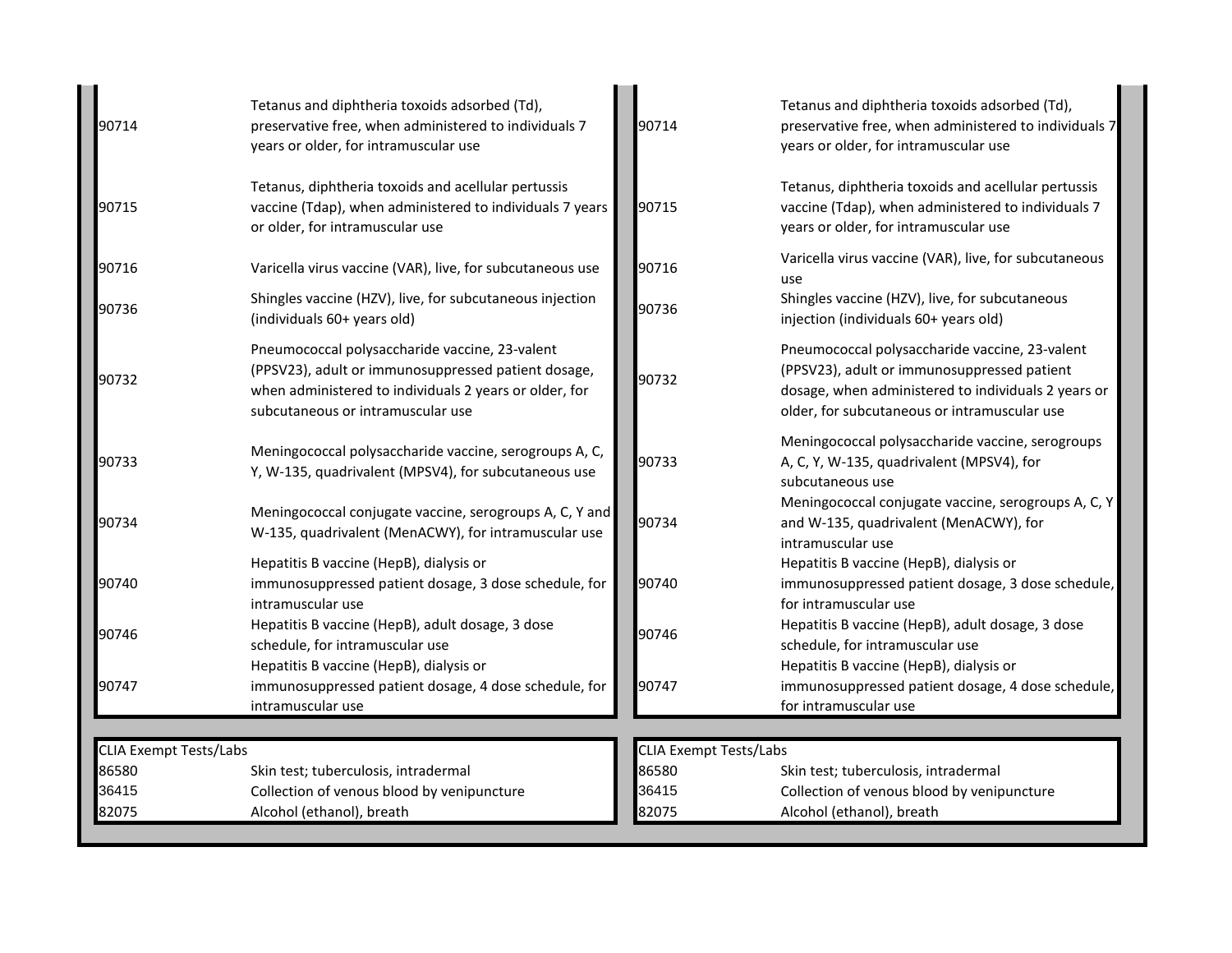| Tetanus and diphtheria toxoids adsorbed (Td),<br>preservative free, when administered to individuals 7<br>years or older, for intramuscular use                                                      | 90714                                                                                                                                                                                       | Tetanus and diphtheria toxoids adsorbed (Td),<br>preservative free, when administered to individuals 7<br>years or older, for intramuscular use                                                      |
|------------------------------------------------------------------------------------------------------------------------------------------------------------------------------------------------------|---------------------------------------------------------------------------------------------------------------------------------------------------------------------------------------------|------------------------------------------------------------------------------------------------------------------------------------------------------------------------------------------------------|
| Tetanus, diphtheria toxoids and acellular pertussis<br>vaccine (Tdap), when administered to individuals 7 years<br>or older, for intramuscular use                                                   | 90715                                                                                                                                                                                       | Tetanus, diphtheria toxoids and acellular pertussis<br>vaccine (Tdap), when administered to individuals 7<br>years or older, for intramuscular use                                                   |
| Varicella virus vaccine (VAR), live, for subcutaneous use                                                                                                                                            | 90716                                                                                                                                                                                       | Varicella virus vaccine (VAR), live, for subcutaneous<br>use                                                                                                                                         |
| Shingles vaccine (HZV), live, for subcutaneous injection<br>(individuals 60+ years old)                                                                                                              | 90736                                                                                                                                                                                       | Shingles vaccine (HZV), live, for subcutaneous<br>injection (individuals 60+ years old)                                                                                                              |
| Pneumococcal polysaccharide vaccine, 23-valent<br>(PPSV23), adult or immunosuppressed patient dosage,<br>when administered to individuals 2 years or older, for<br>subcutaneous or intramuscular use | 90732                                                                                                                                                                                       | Pneumococcal polysaccharide vaccine, 23-valent<br>(PPSV23), adult or immunosuppressed patient<br>dosage, when administered to individuals 2 years or<br>older, for subcutaneous or intramuscular use |
| Meningococcal polysaccharide vaccine, serogroups A, C,<br>Y, W-135, quadrivalent (MPSV4), for subcutaneous use                                                                                       | 90733                                                                                                                                                                                       | Meningococcal polysaccharide vaccine, serogroups<br>A, C, Y, W-135, quadrivalent (MPSV4), for<br>subcutaneous use                                                                                    |
| Meningococcal conjugate vaccine, serogroups A, C, Y and<br>W-135, quadrivalent (MenACWY), for intramuscular use                                                                                      | 90734                                                                                                                                                                                       | Meningococcal conjugate vaccine, serogroups A, C, Y<br>and W-135, quadrivalent (MenACWY), for<br>intramuscular use                                                                                   |
| Hepatitis B vaccine (HepB), dialysis or<br>immunosuppressed patient dosage, 3 dose schedule, for<br>intramuscular use                                                                                | 90740                                                                                                                                                                                       | Hepatitis B vaccine (HepB), dialysis or<br>immunosuppressed patient dosage, 3 dose schedule,<br>for intramuscular use                                                                                |
| Hepatitis B vaccine (HepB), adult dosage, 3 dose<br>schedule, for intramuscular use                                                                                                                  | 90746                                                                                                                                                                                       | Hepatitis B vaccine (HepB), adult dosage, 3 dose<br>schedule, for intramuscular use<br>Hepatitis B vaccine (HepB), dialysis or                                                                       |
| immunosuppressed patient dosage, 4 dose schedule, for<br>intramuscular use                                                                                                                           | 90747                                                                                                                                                                                       | immunosuppressed patient dosage, 4 dose schedule,<br>for intramuscular use                                                                                                                           |
|                                                                                                                                                                                                      |                                                                                                                                                                                             |                                                                                                                                                                                                      |
|                                                                                                                                                                                                      |                                                                                                                                                                                             | Skin test; tuberculosis, intradermal                                                                                                                                                                 |
|                                                                                                                                                                                                      |                                                                                                                                                                                             | Collection of venous blood by venipuncture                                                                                                                                                           |
|                                                                                                                                                                                                      |                                                                                                                                                                                             | Alcohol (ethanol), breath                                                                                                                                                                            |
|                                                                                                                                                                                                      | Hepatitis B vaccine (HepB), dialysis or<br><b>CLIA Exempt Tests/Labs</b><br>Skin test; tuberculosis, intradermal<br>Collection of venous blood by venipuncture<br>Alcohol (ethanol), breath | <b>CLIA Exempt Tests/Labs</b><br>86580<br>36415<br>82075                                                                                                                                             |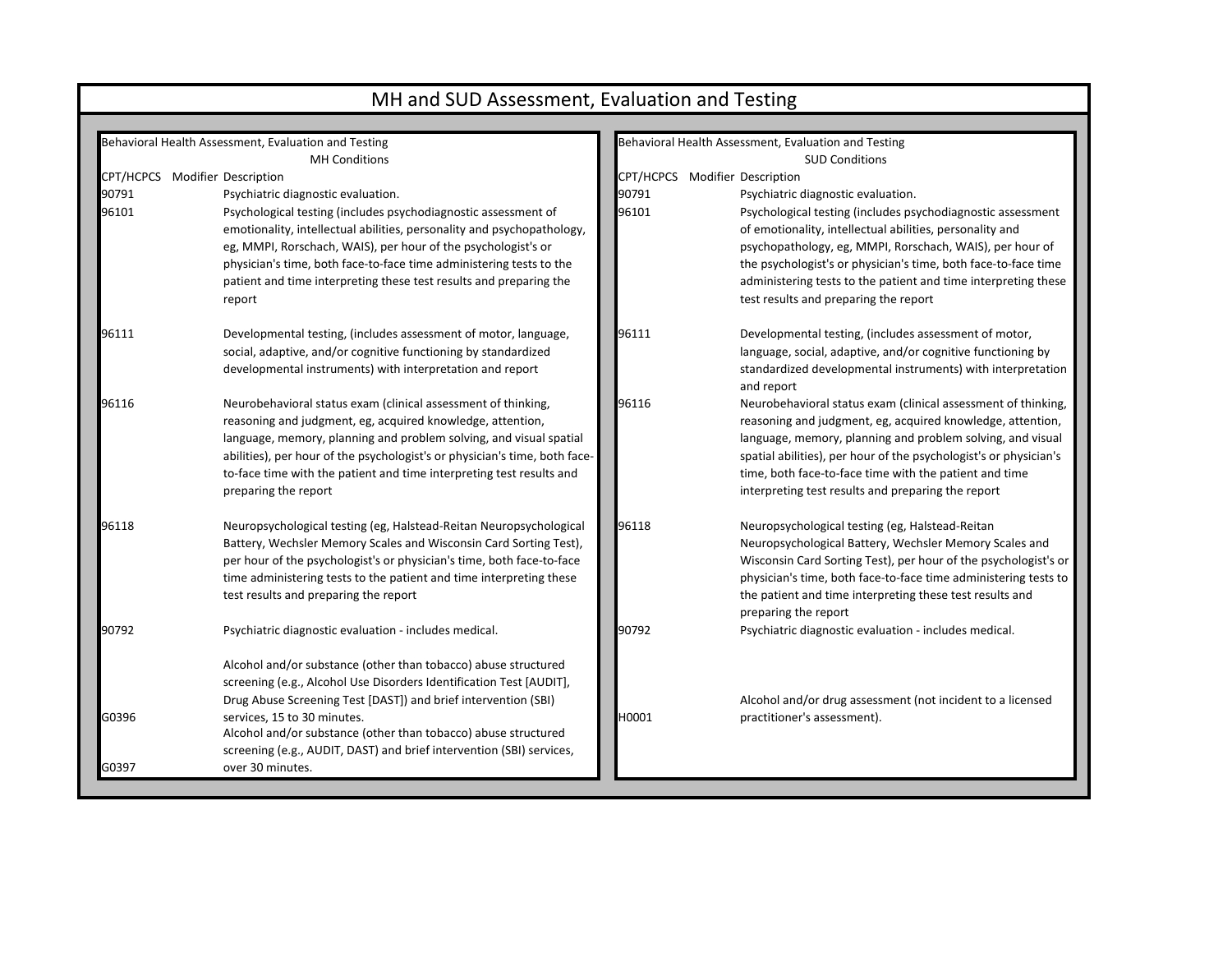|                                | MH and SUD Assessment, Evaluation and Testing                                                                                                                                                                                                                                                                                                                                   |                                |                                                                                                                                                                                                                                                                                                                                                                                |  |  |  |  |  |
|--------------------------------|---------------------------------------------------------------------------------------------------------------------------------------------------------------------------------------------------------------------------------------------------------------------------------------------------------------------------------------------------------------------------------|--------------------------------|--------------------------------------------------------------------------------------------------------------------------------------------------------------------------------------------------------------------------------------------------------------------------------------------------------------------------------------------------------------------------------|--|--|--|--|--|
|                                |                                                                                                                                                                                                                                                                                                                                                                                 |                                |                                                                                                                                                                                                                                                                                                                                                                                |  |  |  |  |  |
|                                | Behavioral Health Assessment, Evaluation and Testing<br><b>MH Conditions</b>                                                                                                                                                                                                                                                                                                    |                                | Behavioral Health Assessment, Evaluation and Testing<br><b>SUD Conditions</b>                                                                                                                                                                                                                                                                                                  |  |  |  |  |  |
| CPT/HCPCS Modifier Description |                                                                                                                                                                                                                                                                                                                                                                                 | CPT/HCPCS Modifier Description |                                                                                                                                                                                                                                                                                                                                                                                |  |  |  |  |  |
| 90791                          | Psychiatric diagnostic evaluation.                                                                                                                                                                                                                                                                                                                                              | 90791                          | Psychiatric diagnostic evaluation.                                                                                                                                                                                                                                                                                                                                             |  |  |  |  |  |
| 96101                          | Psychological testing (includes psychodiagnostic assessment of<br>emotionality, intellectual abilities, personality and psychopathology,<br>eg, MMPI, Rorschach, WAIS), per hour of the psychologist's or<br>physician's time, both face-to-face time administering tests to the<br>patient and time interpreting these test results and preparing the<br>report                | 96101                          | Psychological testing (includes psychodiagnostic assessment<br>of emotionality, intellectual abilities, personality and<br>psychopathology, eg, MMPI, Rorschach, WAIS), per hour of<br>the psychologist's or physician's time, both face-to-face time<br>administering tests to the patient and time interpreting these<br>test results and preparing the report               |  |  |  |  |  |
| 96111                          | Developmental testing, (includes assessment of motor, language,<br>social, adaptive, and/or cognitive functioning by standardized<br>developmental instruments) with interpretation and report                                                                                                                                                                                  | 96111                          | Developmental testing, (includes assessment of motor,<br>language, social, adaptive, and/or cognitive functioning by<br>standardized developmental instruments) with interpretation<br>and report                                                                                                                                                                              |  |  |  |  |  |
| 96116                          | Neurobehavioral status exam (clinical assessment of thinking,<br>reasoning and judgment, eg, acquired knowledge, attention,<br>language, memory, planning and problem solving, and visual spatial<br>abilities), per hour of the psychologist's or physician's time, both face-<br>to-face time with the patient and time interpreting test results and<br>preparing the report | 96116                          | Neurobehavioral status exam (clinical assessment of thinking,<br>reasoning and judgment, eg, acquired knowledge, attention,<br>language, memory, planning and problem solving, and visual<br>spatial abilities), per hour of the psychologist's or physician's<br>time, both face-to-face time with the patient and time<br>interpreting test results and preparing the report |  |  |  |  |  |
| 96118                          | Neuropsychological testing (eg, Halstead-Reitan Neuropsychological<br>Battery, Wechsler Memory Scales and Wisconsin Card Sorting Test),<br>per hour of the psychologist's or physician's time, both face-to-face<br>time administering tests to the patient and time interpreting these<br>test results and preparing the report                                                | 96118                          | Neuropsychological testing (eg, Halstead-Reitan<br>Neuropsychological Battery, Wechsler Memory Scales and<br>Wisconsin Card Sorting Test), per hour of the psychologist's or<br>physician's time, both face-to-face time administering tests to<br>the patient and time interpreting these test results and<br>preparing the report                                            |  |  |  |  |  |
| 90792                          | Psychiatric diagnostic evaluation - includes medical.<br>Alcohol and/or substance (other than tobacco) abuse structured<br>screening (e.g., Alcohol Use Disorders Identification Test [AUDIT],                                                                                                                                                                                  | 90792                          | Psychiatric diagnostic evaluation - includes medical.                                                                                                                                                                                                                                                                                                                          |  |  |  |  |  |
| G0396<br>G0397                 | Drug Abuse Screening Test [DAST]) and brief intervention (SBI)<br>services, 15 to 30 minutes.<br>Alcohol and/or substance (other than tobacco) abuse structured<br>screening (e.g., AUDIT, DAST) and brief intervention (SBI) services,<br>over 30 minutes.                                                                                                                     | H0001                          | Alcohol and/or drug assessment (not incident to a licensed<br>practitioner's assessment).                                                                                                                                                                                                                                                                                      |  |  |  |  |  |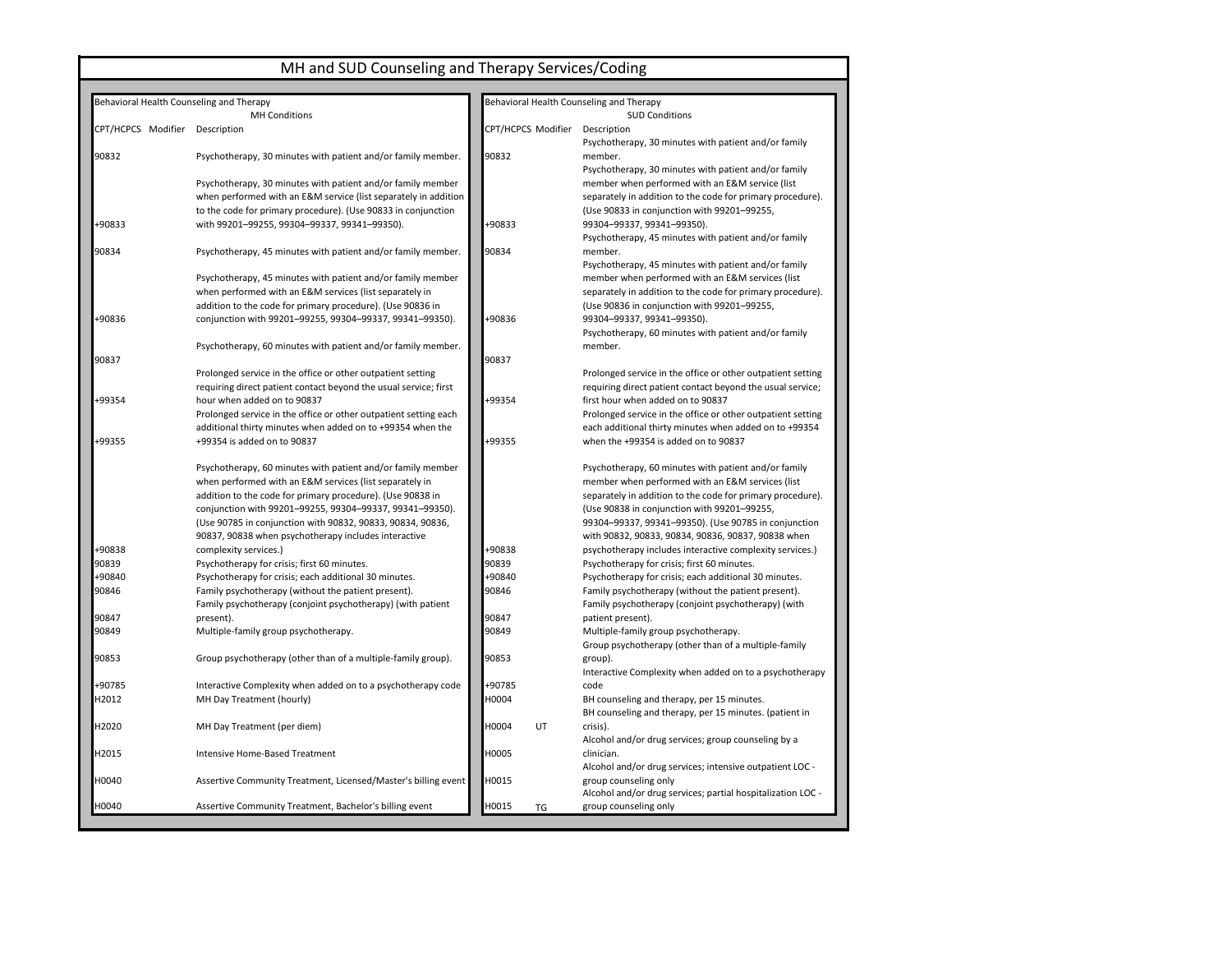### MH and SUD Counseling and Therapy Services/Coding

| Behavioral Health Counseling and Therapy |                                                                  |                    | Behavioral Health Counseling and Therapy                                             |
|------------------------------------------|------------------------------------------------------------------|--------------------|--------------------------------------------------------------------------------------|
|                                          | <b>MH Conditions</b>                                             |                    | <b>SUD Conditions</b>                                                                |
| CPT/HCPCS Modifier Description           |                                                                  | CPT/HCPCS Modifier | Description<br>Psychotherapy, 30 minutes with patient and/or family                  |
| 90832                                    | Psychotherapy, 30 minutes with patient and/or family member.     | 90832              | member.<br>Psychotherapy, 30 minutes with patient and/or family                      |
|                                          | Psychotherapy, 30 minutes with patient and/or family member      |                    | member when performed with an E&M service (list                                      |
|                                          | when performed with an E&M service (list separately in addition  |                    | separately in addition to the code for primary procedure).                           |
|                                          | to the code for primary procedure). (Use 90833 in conjunction    |                    | (Use 90833 in conjunction with 99201-99255,                                          |
| +90833                                   | with 99201-99255, 99304-99337, 99341-99350).                     | +90833             | 99304-99337, 99341-99350).                                                           |
|                                          |                                                                  |                    | Psychotherapy, 45 minutes with patient and/or family                                 |
| 90834                                    | Psychotherapy, 45 minutes with patient and/or family member.     | 90834              | member.                                                                              |
|                                          |                                                                  |                    | Psychotherapy, 45 minutes with patient and/or family                                 |
|                                          | Psychotherapy, 45 minutes with patient and/or family member      |                    | member when performed with an E&M services (list                                     |
|                                          | when performed with an E&M services (list separately in          |                    | separately in addition to the code for primary procedure).                           |
|                                          | addition to the code for primary procedure). (Use 90836 in       |                    | (Use 90836 in conjunction with 99201-99255,                                          |
| +90836                                   | conjunction with 99201-99255, 99304-99337, 99341-99350).         | +90836             | 99304-99337, 99341-99350).                                                           |
|                                          |                                                                  |                    | Psychotherapy, 60 minutes with patient and/or family                                 |
|                                          | Psychotherapy, 60 minutes with patient and/or family member.     |                    | member.                                                                              |
| 90837                                    |                                                                  | 90837              |                                                                                      |
|                                          | Prolonged service in the office or other outpatient setting      |                    | Prolonged service in the office or other outpatient setting                          |
|                                          | requiring direct patient contact beyond the usual service; first |                    | requiring direct patient contact beyond the usual service;                           |
| +99354                                   | hour when added on to 90837                                      | +99354             | first hour when added on to 90837                                                    |
|                                          | Prolonged service in the office or other outpatient setting each |                    | Prolonged service in the office or other outpatient setting                          |
|                                          | additional thirty minutes when added on to +99354 when the       |                    | each additional thirty minutes when added on to +99354                               |
| +99355                                   | +99354 is added on to 90837                                      | +99355             | when the +99354 is added on to 90837                                                 |
|                                          | Psychotherapy, 60 minutes with patient and/or family member      |                    | Psychotherapy, 60 minutes with patient and/or family                                 |
|                                          | when performed with an E&M services (list separately in          |                    | member when performed with an E&M services (list                                     |
|                                          | addition to the code for primary procedure). (Use 90838 in       |                    | separately in addition to the code for primary procedure).                           |
|                                          | conjunction with 99201-99255, 99304-99337, 99341-99350).         |                    | (Use 90838 in conjunction with 99201-99255,                                          |
|                                          | (Use 90785 in conjunction with 90832, 90833, 90834, 90836,       |                    | 99304-99337, 99341-99350). (Use 90785 in conjunction                                 |
|                                          | 90837, 90838 when psychotherapy includes interactive             |                    | with 90832, 90833, 90834, 90836, 90837, 90838 when                                   |
| +90838                                   | complexity services.)                                            | +90838             | psychotherapy includes interactive complexity services.)                             |
| 90839                                    | Psychotherapy for crisis; first 60 minutes.                      | 90839              | Psychotherapy for crisis; first 60 minutes.                                          |
| +90840                                   | Psychotherapy for crisis; each additional 30 minutes.            | +90840             | Psychotherapy for crisis; each additional 30 minutes.                                |
| 90846                                    | Family psychotherapy (without the patient present).              | 90846              | Family psychotherapy (without the patient present).                                  |
|                                          | Family psychotherapy (conjoint psychotherapy) (with patient      |                    | Family psychotherapy (conjoint psychotherapy) (with                                  |
| 90847                                    | present).                                                        | 90847              | patient present).                                                                    |
| 90849                                    | Multiple-family group psychotherapy.                             | 90849              | Multiple-family group psychotherapy.                                                 |
|                                          |                                                                  |                    | Group psychotherapy (other than of a multiple-family                                 |
| 90853                                    | Group psychotherapy (other than of a multiple-family group).     | 90853              | group).                                                                              |
|                                          |                                                                  |                    | Interactive Complexity when added on to a psychotherapy                              |
| +90785                                   | Interactive Complexity when added on to a psychotherapy code     | +90785             | code                                                                                 |
| H2012                                    | MH Day Treatment (hourly)                                        | H0004              | BH counseling and therapy, per 15 minutes.                                           |
|                                          |                                                                  |                    | BH counseling and therapy, per 15 minutes. (patient in                               |
| H2020                                    | MH Day Treatment (per diem)                                      | H0004<br>UT.       | crisis).                                                                             |
| H2015                                    | Intensive Home-Based Treatment                                   | H0005              | Alcohol and/or drug services; group counseling by a<br>clinician.                    |
|                                          |                                                                  |                    |                                                                                      |
| H0040                                    |                                                                  | H0015              | Alcohol and/or drug services; intensive outpatient LOC -                             |
|                                          | Assertive Community Treatment, Licensed/Master's billing event   |                    | group counseling only<br>Alcohol and/or drug services; partial hospitalization LOC - |
| H0040                                    | Assertive Community Treatment, Bachelor's billing event          | H0015<br>TG        | group counseling only                                                                |
|                                          |                                                                  |                    |                                                                                      |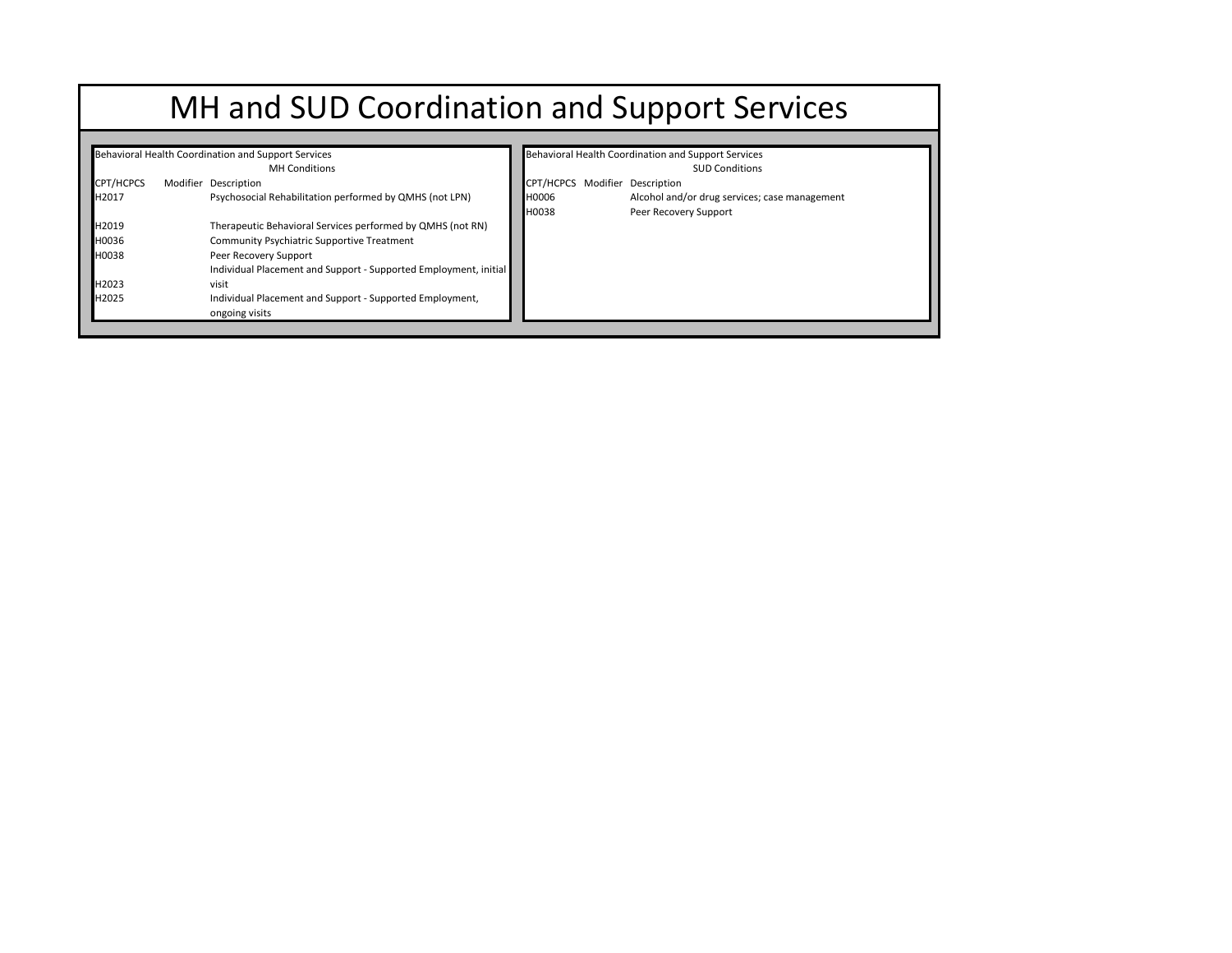# MH and SUD Coordination and Support Services

|                  | Behavioral Health Coordination and Support Services              |           | Behavioral Health Coordination and Support Services |  |
|------------------|------------------------------------------------------------------|-----------|-----------------------------------------------------|--|
|                  | <b>MH</b> Conditions                                             |           | <b>SUD Conditions</b>                               |  |
| <b>CPT/HCPCS</b> | Modifier Description                                             | CPT/HCPCS | Modifier Description                                |  |
| H2017            | Psychosocial Rehabilitation performed by QMHS (not LPN)          | H0006     | Alcohol and/or drug services; case management       |  |
|                  |                                                                  | H0038     | Peer Recovery Support                               |  |
| H2019            | Therapeutic Behavioral Services performed by QMHS (not RN)       |           |                                                     |  |
| H0036            | Community Psychiatric Supportive Treatment                       |           |                                                     |  |
| H0038            | Peer Recovery Support                                            |           |                                                     |  |
|                  | Individual Placement and Support - Supported Employment, initial |           |                                                     |  |
| H2023            | visit                                                            |           |                                                     |  |
| H2025            | Individual Placement and Support - Supported Employment,         |           |                                                     |  |
|                  | ongoing visits                                                   |           |                                                     |  |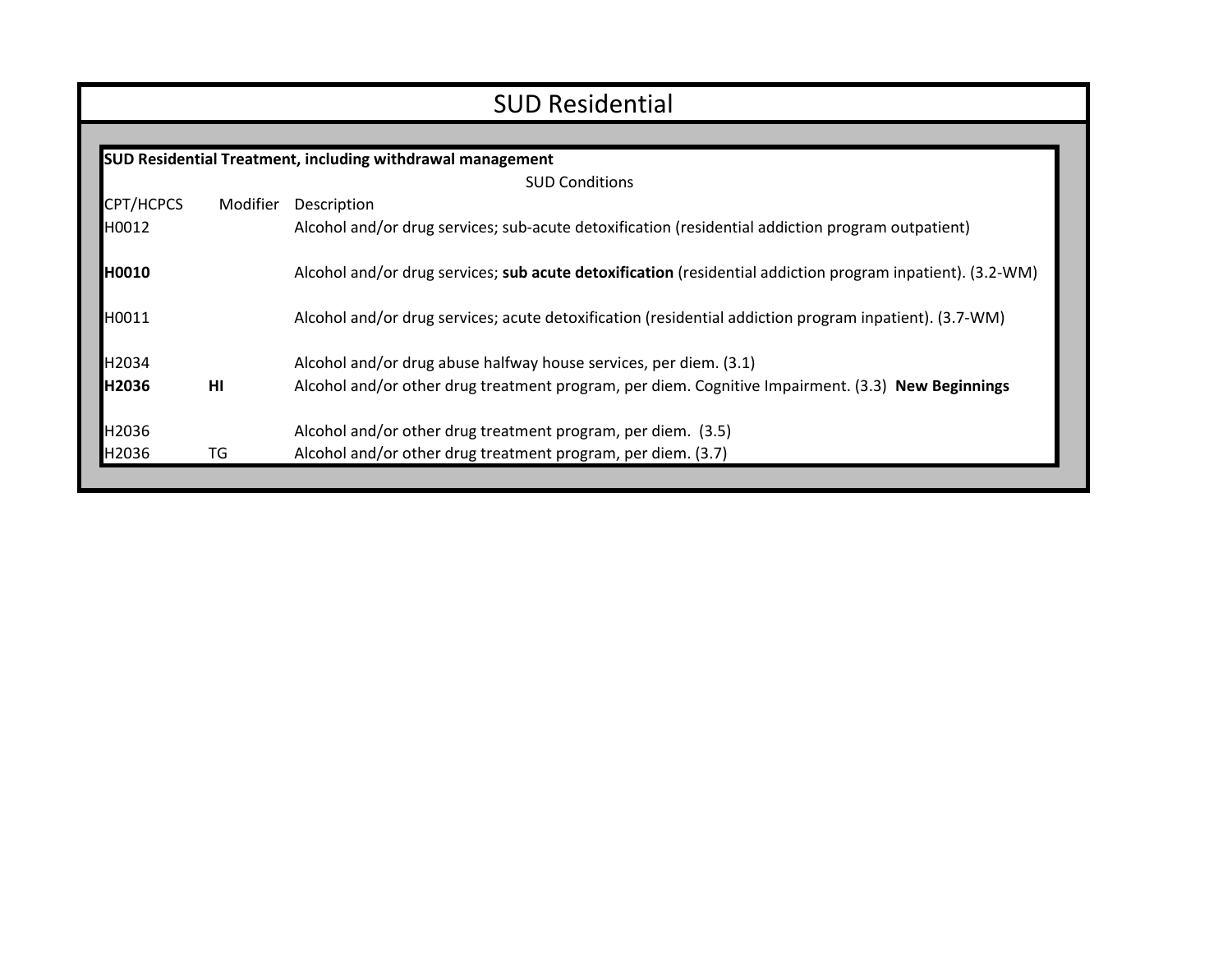| <b>SUD Residential</b> |                 |                                                                                                            |  |  |  |  |  |
|------------------------|-----------------|------------------------------------------------------------------------------------------------------------|--|--|--|--|--|
|                        |                 |                                                                                                            |  |  |  |  |  |
|                        |                 | <b>SUD Residential Treatment, including withdrawal management</b>                                          |  |  |  |  |  |
|                        |                 | <b>SUD Conditions</b>                                                                                      |  |  |  |  |  |
| CPT/HCPCS              | Modifier        | Description                                                                                                |  |  |  |  |  |
| H0012                  |                 | Alcohol and/or drug services; sub-acute detoxification (residential addiction program outpatient)          |  |  |  |  |  |
| H0010                  |                 | Alcohol and/or drug services; sub acute detoxification (residential addiction program inpatient). (3.2-WM) |  |  |  |  |  |
| H0011                  |                 | Alcohol and/or drug services; acute detoxification (residential addiction program inpatient). (3.7-WM)     |  |  |  |  |  |
| H2034                  |                 | Alcohol and/or drug abuse halfway house services, per diem. (3.1)                                          |  |  |  |  |  |
| H2036                  | H <sub>II</sub> | Alcohol and/or other drug treatment program, per diem. Cognitive Impairment. (3.3) New Beginnings          |  |  |  |  |  |
| H2036                  |                 | Alcohol and/or other drug treatment program, per diem. (3.5)                                               |  |  |  |  |  |
| H2036                  | TG              | Alcohol and/or other drug treatment program, per diem. (3.7)                                               |  |  |  |  |  |
|                        |                 |                                                                                                            |  |  |  |  |  |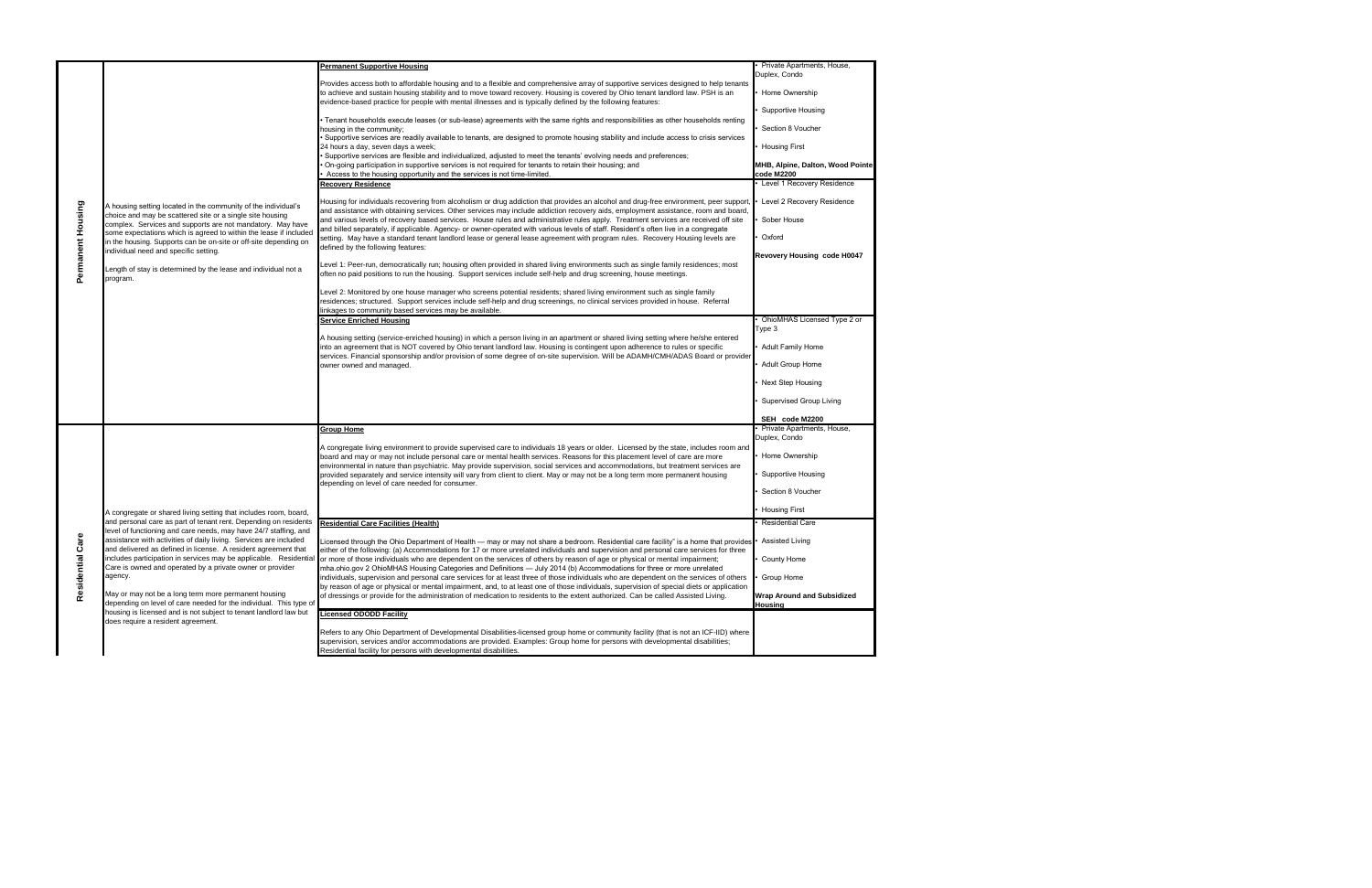| <b>Permanent Supportive Housing</b><br>Private Apartments, House,<br>Duplex, Condo<br>Provides access both to affordable housing and to a flexible and comprehensive array of supportive services designed to help tenants<br>Home Ownership<br>to achieve and sustain housing stability and to move toward recovery. Housing is covered by Ohio tenant landlord law. PSH is an<br>evidence-based practice for people with mental illnesses and is typically defined by the following features:<br><b>Supportive Housing</b><br>Tenant households execute leases (or sub-lease) agreements with the same rights and responsibilities as other households renting<br>Section 8 Voucher<br>housing in the community;<br>Supportive services are readily available to tenants, are designed to promote housing stability and include access to crisis services<br><b>Housing First</b><br>24 hours a day, seven days a week;<br>Supportive services are flexible and individualized, adjusted to meet the tenants' evolving needs and preferences;<br>On-going participation in supportive services is not required for tenants to retain their housing; and<br>MHB, Alpine, Dalton, Wood Pointe<br>Access to the housing opportunity and the services is not time-limited.<br>code M2200<br><b>Recovery Residence</b><br>Level 1 Recovery Residence<br>Level 2 Recovery Residence<br>Housing for individuals recovering from alcoholism or drug addiction that provides an alcohol and drug-free environment, peer support<br>Permanent Housing<br>A housing setting located in the community of the individual's<br>and assistance with obtaining services. Other services may include addiction recovery aids, employment assistance, room and board,<br>choice and may be scattered site or a single site housing<br>Sober House<br>and various levels of recovery based services. House rules and administrative rules apply. Treatment services are received off site<br>complex. Services and supports are not mandatory. May have<br>and billed separately, if applicable. Agency- or owner-operated with various levels of staff. Resident's often live in a congregate<br>some expectations which is agreed to within the lease if included<br>Oxford<br>setting. May have a standard tenant landlord lease or general lease agreement with program rules. Recovery Housing levels are<br>in the housing. Supports can be on-site or off-site depending on<br>defined by the following features:<br>individual need and specific setting.<br>Revovery Housing code H0047<br>evel 1: Peer-run, democratically run; housing often provided in shared living environments such as single family residences; most<br>Length of stay is determined by the lease and individual not a<br>often no paid positions to run the housing. Support services include self-help and drug screening, house meetings.<br>program.<br>Level 2: Monitored by one house manager who screens potential residents; shared living environment such as single family<br>residences; structured. Support services include self-help and drug screenings, no clinical services provided in house. Referral<br>linkages to community based services may be available.<br>OhioMHAS Licensed Type 2 or<br><b>Service Enriched Housing</b><br>Type 3<br>A housing setting (service-enriched housing) in which a person living in an apartment or shared living setting where he/she entered |  |
|-----------------------------------------------------------------------------------------------------------------------------------------------------------------------------------------------------------------------------------------------------------------------------------------------------------------------------------------------------------------------------------------------------------------------------------------------------------------------------------------------------------------------------------------------------------------------------------------------------------------------------------------------------------------------------------------------------------------------------------------------------------------------------------------------------------------------------------------------------------------------------------------------------------------------------------------------------------------------------------------------------------------------------------------------------------------------------------------------------------------------------------------------------------------------------------------------------------------------------------------------------------------------------------------------------------------------------------------------------------------------------------------------------------------------------------------------------------------------------------------------------------------------------------------------------------------------------------------------------------------------------------------------------------------------------------------------------------------------------------------------------------------------------------------------------------------------------------------------------------------------------------------------------------------------------------------------------------------------------------------------------------------------------------------------------------------------------------------------------------------------------------------------------------------------------------------------------------------------------------------------------------------------------------------------------------------------------------------------------------------------------------------------------------------------------------------------------------------------------------------------------------------------------------------------------------------------------------------------------------------------------------------------------------------------------------------------------------------------------------------------------------------------------------------------------------------------------------------------------------------------------------------------------------------------------------------------------------------------------------------------------------------------------------------------------------------------------------------------------------------------------------------------------------------------------------------------------------------------------------------------------------------------------------------------------------------------------------------------------------------------------------------------------------------------------------------------------------------------|--|
|                                                                                                                                                                                                                                                                                                                                                                                                                                                                                                                                                                                                                                                                                                                                                                                                                                                                                                                                                                                                                                                                                                                                                                                                                                                                                                                                                                                                                                                                                                                                                                                                                                                                                                                                                                                                                                                                                                                                                                                                                                                                                                                                                                                                                                                                                                                                                                                                                                                                                                                                                                                                                                                                                                                                                                                                                                                                                                                                                                                                                                                                                                                                                                                                                                                                                                                                                                                                                                                                       |  |
|                                                                                                                                                                                                                                                                                                                                                                                                                                                                                                                                                                                                                                                                                                                                                                                                                                                                                                                                                                                                                                                                                                                                                                                                                                                                                                                                                                                                                                                                                                                                                                                                                                                                                                                                                                                                                                                                                                                                                                                                                                                                                                                                                                                                                                                                                                                                                                                                                                                                                                                                                                                                                                                                                                                                                                                                                                                                                                                                                                                                                                                                                                                                                                                                                                                                                                                                                                                                                                                                       |  |
|                                                                                                                                                                                                                                                                                                                                                                                                                                                                                                                                                                                                                                                                                                                                                                                                                                                                                                                                                                                                                                                                                                                                                                                                                                                                                                                                                                                                                                                                                                                                                                                                                                                                                                                                                                                                                                                                                                                                                                                                                                                                                                                                                                                                                                                                                                                                                                                                                                                                                                                                                                                                                                                                                                                                                                                                                                                                                                                                                                                                                                                                                                                                                                                                                                                                                                                                                                                                                                                                       |  |
|                                                                                                                                                                                                                                                                                                                                                                                                                                                                                                                                                                                                                                                                                                                                                                                                                                                                                                                                                                                                                                                                                                                                                                                                                                                                                                                                                                                                                                                                                                                                                                                                                                                                                                                                                                                                                                                                                                                                                                                                                                                                                                                                                                                                                                                                                                                                                                                                                                                                                                                                                                                                                                                                                                                                                                                                                                                                                                                                                                                                                                                                                                                                                                                                                                                                                                                                                                                                                                                                       |  |
|                                                                                                                                                                                                                                                                                                                                                                                                                                                                                                                                                                                                                                                                                                                                                                                                                                                                                                                                                                                                                                                                                                                                                                                                                                                                                                                                                                                                                                                                                                                                                                                                                                                                                                                                                                                                                                                                                                                                                                                                                                                                                                                                                                                                                                                                                                                                                                                                                                                                                                                                                                                                                                                                                                                                                                                                                                                                                                                                                                                                                                                                                                                                                                                                                                                                                                                                                                                                                                                                       |  |
|                                                                                                                                                                                                                                                                                                                                                                                                                                                                                                                                                                                                                                                                                                                                                                                                                                                                                                                                                                                                                                                                                                                                                                                                                                                                                                                                                                                                                                                                                                                                                                                                                                                                                                                                                                                                                                                                                                                                                                                                                                                                                                                                                                                                                                                                                                                                                                                                                                                                                                                                                                                                                                                                                                                                                                                                                                                                                                                                                                                                                                                                                                                                                                                                                                                                                                                                                                                                                                                                       |  |
|                                                                                                                                                                                                                                                                                                                                                                                                                                                                                                                                                                                                                                                                                                                                                                                                                                                                                                                                                                                                                                                                                                                                                                                                                                                                                                                                                                                                                                                                                                                                                                                                                                                                                                                                                                                                                                                                                                                                                                                                                                                                                                                                                                                                                                                                                                                                                                                                                                                                                                                                                                                                                                                                                                                                                                                                                                                                                                                                                                                                                                                                                                                                                                                                                                                                                                                                                                                                                                                                       |  |
|                                                                                                                                                                                                                                                                                                                                                                                                                                                                                                                                                                                                                                                                                                                                                                                                                                                                                                                                                                                                                                                                                                                                                                                                                                                                                                                                                                                                                                                                                                                                                                                                                                                                                                                                                                                                                                                                                                                                                                                                                                                                                                                                                                                                                                                                                                                                                                                                                                                                                                                                                                                                                                                                                                                                                                                                                                                                                                                                                                                                                                                                                                                                                                                                                                                                                                                                                                                                                                                                       |  |
|                                                                                                                                                                                                                                                                                                                                                                                                                                                                                                                                                                                                                                                                                                                                                                                                                                                                                                                                                                                                                                                                                                                                                                                                                                                                                                                                                                                                                                                                                                                                                                                                                                                                                                                                                                                                                                                                                                                                                                                                                                                                                                                                                                                                                                                                                                                                                                                                                                                                                                                                                                                                                                                                                                                                                                                                                                                                                                                                                                                                                                                                                                                                                                                                                                                                                                                                                                                                                                                                       |  |
|                                                                                                                                                                                                                                                                                                                                                                                                                                                                                                                                                                                                                                                                                                                                                                                                                                                                                                                                                                                                                                                                                                                                                                                                                                                                                                                                                                                                                                                                                                                                                                                                                                                                                                                                                                                                                                                                                                                                                                                                                                                                                                                                                                                                                                                                                                                                                                                                                                                                                                                                                                                                                                                                                                                                                                                                                                                                                                                                                                                                                                                                                                                                                                                                                                                                                                                                                                                                                                                                       |  |
|                                                                                                                                                                                                                                                                                                                                                                                                                                                                                                                                                                                                                                                                                                                                                                                                                                                                                                                                                                                                                                                                                                                                                                                                                                                                                                                                                                                                                                                                                                                                                                                                                                                                                                                                                                                                                                                                                                                                                                                                                                                                                                                                                                                                                                                                                                                                                                                                                                                                                                                                                                                                                                                                                                                                                                                                                                                                                                                                                                                                                                                                                                                                                                                                                                                                                                                                                                                                                                                                       |  |
|                                                                                                                                                                                                                                                                                                                                                                                                                                                                                                                                                                                                                                                                                                                                                                                                                                                                                                                                                                                                                                                                                                                                                                                                                                                                                                                                                                                                                                                                                                                                                                                                                                                                                                                                                                                                                                                                                                                                                                                                                                                                                                                                                                                                                                                                                                                                                                                                                                                                                                                                                                                                                                                                                                                                                                                                                                                                                                                                                                                                                                                                                                                                                                                                                                                                                                                                                                                                                                                                       |  |
|                                                                                                                                                                                                                                                                                                                                                                                                                                                                                                                                                                                                                                                                                                                                                                                                                                                                                                                                                                                                                                                                                                                                                                                                                                                                                                                                                                                                                                                                                                                                                                                                                                                                                                                                                                                                                                                                                                                                                                                                                                                                                                                                                                                                                                                                                                                                                                                                                                                                                                                                                                                                                                                                                                                                                                                                                                                                                                                                                                                                                                                                                                                                                                                                                                                                                                                                                                                                                                                                       |  |
|                                                                                                                                                                                                                                                                                                                                                                                                                                                                                                                                                                                                                                                                                                                                                                                                                                                                                                                                                                                                                                                                                                                                                                                                                                                                                                                                                                                                                                                                                                                                                                                                                                                                                                                                                                                                                                                                                                                                                                                                                                                                                                                                                                                                                                                                                                                                                                                                                                                                                                                                                                                                                                                                                                                                                                                                                                                                                                                                                                                                                                                                                                                                                                                                                                                                                                                                                                                                                                                                       |  |
| <b>Adult Family Home</b><br>into an agreement that is NOT covered by Ohio tenant landlord law. Housing is contingent upon adherence to rules or specific<br>services. Financial sponsorship and/or provision of some degree of on-site supervision. Will be ADAMH/CMH/ADAS Board or provider                                                                                                                                                                                                                                                                                                                                                                                                                                                                                                                                                                                                                                                                                                                                                                                                                                                                                                                                                                                                                                                                                                                                                                                                                                                                                                                                                                                                                                                                                                                                                                                                                                                                                                                                                                                                                                                                                                                                                                                                                                                                                                                                                                                                                                                                                                                                                                                                                                                                                                                                                                                                                                                                                                                                                                                                                                                                                                                                                                                                                                                                                                                                                                          |  |
| Adult Group Home<br>owner owned and managed.                                                                                                                                                                                                                                                                                                                                                                                                                                                                                                                                                                                                                                                                                                                                                                                                                                                                                                                                                                                                                                                                                                                                                                                                                                                                                                                                                                                                                                                                                                                                                                                                                                                                                                                                                                                                                                                                                                                                                                                                                                                                                                                                                                                                                                                                                                                                                                                                                                                                                                                                                                                                                                                                                                                                                                                                                                                                                                                                                                                                                                                                                                                                                                                                                                                                                                                                                                                                                          |  |
| Next Step Housing                                                                                                                                                                                                                                                                                                                                                                                                                                                                                                                                                                                                                                                                                                                                                                                                                                                                                                                                                                                                                                                                                                                                                                                                                                                                                                                                                                                                                                                                                                                                                                                                                                                                                                                                                                                                                                                                                                                                                                                                                                                                                                                                                                                                                                                                                                                                                                                                                                                                                                                                                                                                                                                                                                                                                                                                                                                                                                                                                                                                                                                                                                                                                                                                                                                                                                                                                                                                                                                     |  |
| Supervised Group Living<br>SEH code M2200                                                                                                                                                                                                                                                                                                                                                                                                                                                                                                                                                                                                                                                                                                                                                                                                                                                                                                                                                                                                                                                                                                                                                                                                                                                                                                                                                                                                                                                                                                                                                                                                                                                                                                                                                                                                                                                                                                                                                                                                                                                                                                                                                                                                                                                                                                                                                                                                                                                                                                                                                                                                                                                                                                                                                                                                                                                                                                                                                                                                                                                                                                                                                                                                                                                                                                                                                                                                                             |  |
| Private Apartments, House,<br><b>Group Home</b>                                                                                                                                                                                                                                                                                                                                                                                                                                                                                                                                                                                                                                                                                                                                                                                                                                                                                                                                                                                                                                                                                                                                                                                                                                                                                                                                                                                                                                                                                                                                                                                                                                                                                                                                                                                                                                                                                                                                                                                                                                                                                                                                                                                                                                                                                                                                                                                                                                                                                                                                                                                                                                                                                                                                                                                                                                                                                                                                                                                                                                                                                                                                                                                                                                                                                                                                                                                                                       |  |
| Duplex, Condo<br>A congregate living environment to provide supervised care to individuals 18 years or older. Licensed by the state, includes room and                                                                                                                                                                                                                                                                                                                                                                                                                                                                                                                                                                                                                                                                                                                                                                                                                                                                                                                                                                                                                                                                                                                                                                                                                                                                                                                                                                                                                                                                                                                                                                                                                                                                                                                                                                                                                                                                                                                                                                                                                                                                                                                                                                                                                                                                                                                                                                                                                                                                                                                                                                                                                                                                                                                                                                                                                                                                                                                                                                                                                                                                                                                                                                                                                                                                                                                |  |
| Home Ownership<br>board and may or may not include personal care or mental health services. Reasons for this placement level of care are more<br>environmental in nature than psychiatric. May provide supervision, social services and accommodations, but treatment services are                                                                                                                                                                                                                                                                                                                                                                                                                                                                                                                                                                                                                                                                                                                                                                                                                                                                                                                                                                                                                                                                                                                                                                                                                                                                                                                                                                                                                                                                                                                                                                                                                                                                                                                                                                                                                                                                                                                                                                                                                                                                                                                                                                                                                                                                                                                                                                                                                                                                                                                                                                                                                                                                                                                                                                                                                                                                                                                                                                                                                                                                                                                                                                                    |  |
| <b>Supportive Housing</b><br>provided separately and service intensity will vary from client to client. May or may not be a long term more permanent housing<br>depending on level of care needed for consumer.                                                                                                                                                                                                                                                                                                                                                                                                                                                                                                                                                                                                                                                                                                                                                                                                                                                                                                                                                                                                                                                                                                                                                                                                                                                                                                                                                                                                                                                                                                                                                                                                                                                                                                                                                                                                                                                                                                                                                                                                                                                                                                                                                                                                                                                                                                                                                                                                                                                                                                                                                                                                                                                                                                                                                                                                                                                                                                                                                                                                                                                                                                                                                                                                                                                       |  |
| Section 8 Voucher                                                                                                                                                                                                                                                                                                                                                                                                                                                                                                                                                                                                                                                                                                                                                                                                                                                                                                                                                                                                                                                                                                                                                                                                                                                                                                                                                                                                                                                                                                                                                                                                                                                                                                                                                                                                                                                                                                                                                                                                                                                                                                                                                                                                                                                                                                                                                                                                                                                                                                                                                                                                                                                                                                                                                                                                                                                                                                                                                                                                                                                                                                                                                                                                                                                                                                                                                                                                                                                     |  |
| <b>Housing First</b><br>A congregate or shared living setting that includes room, board,                                                                                                                                                                                                                                                                                                                                                                                                                                                                                                                                                                                                                                                                                                                                                                                                                                                                                                                                                                                                                                                                                                                                                                                                                                                                                                                                                                                                                                                                                                                                                                                                                                                                                                                                                                                                                                                                                                                                                                                                                                                                                                                                                                                                                                                                                                                                                                                                                                                                                                                                                                                                                                                                                                                                                                                                                                                                                                                                                                                                                                                                                                                                                                                                                                                                                                                                                                              |  |
| and personal care as part of tenant rent. Depending on residents<br><b>Residential Care Facilities (Health)</b><br><b>Residential Care</b><br>level of functioning and care needs, may have 24/7 staffing, and                                                                                                                                                                                                                                                                                                                                                                                                                                                                                                                                                                                                                                                                                                                                                                                                                                                                                                                                                                                                                                                                                                                                                                                                                                                                                                                                                                                                                                                                                                                                                                                                                                                                                                                                                                                                                                                                                                                                                                                                                                                                                                                                                                                                                                                                                                                                                                                                                                                                                                                                                                                                                                                                                                                                                                                                                                                                                                                                                                                                                                                                                                                                                                                                                                                        |  |
| Care<br>assistance with activities of daily living. Services are included<br>icensed through the Ohio Department of Health — may or may not share a bedroom. Residential care facility" is a home that provides<br>• Assisted Living<br>and delivered as defined in license. A resident agreement that<br>either of the following: (a) Accommodations for 17 or more unrelated individuals and supervision and personal care services for three                                                                                                                                                                                                                                                                                                                                                                                                                                                                                                                                                                                                                                                                                                                                                                                                                                                                                                                                                                                                                                                                                                                                                                                                                                                                                                                                                                                                                                                                                                                                                                                                                                                                                                                                                                                                                                                                                                                                                                                                                                                                                                                                                                                                                                                                                                                                                                                                                                                                                                                                                                                                                                                                                                                                                                                                                                                                                                                                                                                                                       |  |
| includes participation in services may be applicable. Residential<br>or more of those individuals who are dependent on the services of others by reason of age or physical or mental impairment;<br>County Home                                                                                                                                                                                                                                                                                                                                                                                                                                                                                                                                                                                                                                                                                                                                                                                                                                                                                                                                                                                                                                                                                                                                                                                                                                                                                                                                                                                                                                                                                                                                                                                                                                                                                                                                                                                                                                                                                                                                                                                                                                                                                                                                                                                                                                                                                                                                                                                                                                                                                                                                                                                                                                                                                                                                                                                                                                                                                                                                                                                                                                                                                                                                                                                                                                                       |  |
| Residential<br>Care is owned and operated by a private owner or provider<br>mha.ohio.gov 2 OhioMHAS Housing Categories and Definitions - July 2014 (b) Accommodations for three or more unrelated<br>agency.<br>individuals, supervision and personal care services for at least three of those individuals who are dependent on the services of others<br>Group Home<br>by reason of age or physical or mental impairment, and, to at least one of those individuals, supervision of special diets or application                                                                                                                                                                                                                                                                                                                                                                                                                                                                                                                                                                                                                                                                                                                                                                                                                                                                                                                                                                                                                                                                                                                                                                                                                                                                                                                                                                                                                                                                                                                                                                                                                                                                                                                                                                                                                                                                                                                                                                                                                                                                                                                                                                                                                                                                                                                                                                                                                                                                                                                                                                                                                                                                                                                                                                                                                                                                                                                                                    |  |
| May or may not be a long term more permanent housing<br>of dressings or provide for the administration of medication to residents to the extent authorized. Can be called Assisted Living.<br><b>Wrap Around and Subsidized</b><br>depending on level of care needed for the individual. This type of<br><b>Housing</b>                                                                                                                                                                                                                                                                                                                                                                                                                                                                                                                                                                                                                                                                                                                                                                                                                                                                                                                                                                                                                                                                                                                                                                                                                                                                                                                                                                                                                                                                                                                                                                                                                                                                                                                                                                                                                                                                                                                                                                                                                                                                                                                                                                                                                                                                                                                                                                                                                                                                                                                                                                                                                                                                                                                                                                                                                                                                                                                                                                                                                                                                                                                                               |  |
| housing is licensed and is not subject to tenant landlord law but<br><b>Licensed ODODD Facility</b><br>does require a resident agreement.                                                                                                                                                                                                                                                                                                                                                                                                                                                                                                                                                                                                                                                                                                                                                                                                                                                                                                                                                                                                                                                                                                                                                                                                                                                                                                                                                                                                                                                                                                                                                                                                                                                                                                                                                                                                                                                                                                                                                                                                                                                                                                                                                                                                                                                                                                                                                                                                                                                                                                                                                                                                                                                                                                                                                                                                                                                                                                                                                                                                                                                                                                                                                                                                                                                                                                                             |  |
| Refers to any Ohio Department of Developmental Disabilities-licensed group home or community facility (that is not an ICF-IID) where<br>supervision, services and/or accommodations are provided. Examples: Group home for persons with developmental disabilities;<br>Residential facility for persons with developmental disabilities.                                                                                                                                                                                                                                                                                                                                                                                                                                                                                                                                                                                                                                                                                                                                                                                                                                                                                                                                                                                                                                                                                                                                                                                                                                                                                                                                                                                                                                                                                                                                                                                                                                                                                                                                                                                                                                                                                                                                                                                                                                                                                                                                                                                                                                                                                                                                                                                                                                                                                                                                                                                                                                                                                                                                                                                                                                                                                                                                                                                                                                                                                                                              |  |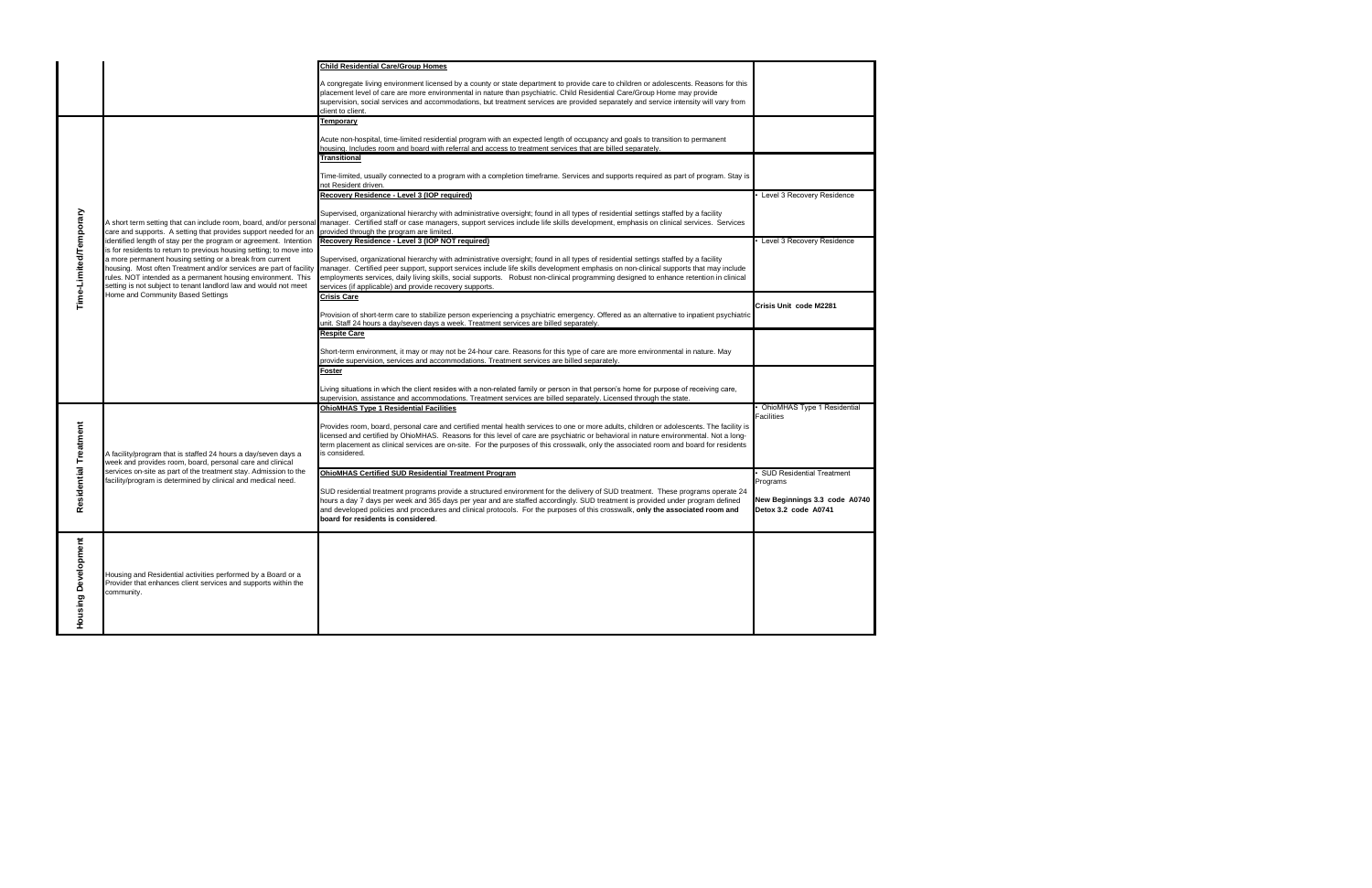| A congregate living environment licensed by a county or state department to provide care to children or adolescents. Reasons for this<br>placement level of care are more environmental in nature than psychiatric. Child Residential Care/Group Home may provide<br>supervision, social services and accommodations, but treatment services are provided separately and service intensity will vary from<br>client to client.<br><b>Temporary</b><br>Acute non-hospital, time-limited residential program with an expected length of occupancy and goals to transition to permanent<br>housing. Includes room and board with referral and access to treatment services that are billed separately.<br>Transitional<br>Time-limited, usually connected to a program with a completion timeframe. Services and supports required as part of program. Stay is<br>not Resident driven.<br>Recovery Residence - Level 3 (IOP required)<br>Level 3 Recovery Residence<br>Time-Limited/Temporary<br>Supervised, organizational hierarchy with administrative oversight; found in all types of residential settings staffed by a facility<br>A short term setting that can include room, board, and/or personal manager. Certified staff or case managers, support services include life skills development, emphasis on clinical services. Services<br>provided through the program are limited.<br>care and supports. A setting that provides support needed for an<br>Recovery Residence - Level 3 (IOP NOT required)<br>Level 3 Recovery Residence<br>identified length of stay per the program or agreement. Intention<br>is for residents to return to previous housing setting; to move into<br>a more permanent housing setting or a break from current<br>Supervised, organizational hierarchy with administrative oversight; found in all types of residential settings staffed by a facility<br>housing. Most often Treatment and/or services are part of facility<br>manager. Certified peer support, support services include life skills development emphasis on non-clinical supports that may include<br>rules. NOT intended as a permanent housing environment. This<br>employments services, daily living skills, social supports. Robust non-clinical programming designed to enhance retention in clinical<br>setting is not subject to tenant landlord law and would not meet<br>services (if applicable) and provide recovery supports.<br>Home and Community Based Settings<br><b>Crisis Care</b><br>Crisis Unit code M2281<br>Provision of short-term care to stabilize person experiencing a psychiatric emergency. Offered as an alternative to inpatient psychiatric<br>unit. Staff 24 hours a day/seven days a week. Treatment services are billed separately.<br><b>Respite Care</b><br>Short-term environment, it may or may not be 24-hour care. Reasons for this type of care are more environmental in nature. May<br>provide supervision, services and accommodations. Treatment services are billed separately.<br>Foster<br>Living situations in which the client resides with a non-related family or person in that person's home for purpose of receiving care,<br>supervision, assistance and accommodations. Treatment services are billed separately. Licensed through the state.<br>OhioMHAS Type 1 Residential<br><b>OhioMHAS Type 1 Residential Facilities</b><br><b>Facilities</b><br>Residential Treatment<br>Provides room, board, personal care and certified mental health services to one or more adults, children or adolescents. The facility is<br>licensed and certified by OhioMHAS. Reasons for this level of care are psychiatric or behavioral in nature environmental. Not a long-<br>term placement as clinical services are on-site. For the purposes of this crosswalk, only the associated room and board for residents<br>A facility/program that is staffed 24 hours a day/seven days a<br>is considered.<br>week and provides room, board, personal care and clinical<br>services on-site as part of the treatment stay. Admission to the<br><b>OhioMHAS Certified SUD Residential Treatment Program</b><br><b>SUD Residential Treatment</b><br>acility/program is determined by clinical and medical need.<br>Programs<br>SUD residential treatment programs provide a structured environment for the delivery of SUD treatment. These programs operate 24<br>hours a day 7 days per week and 365 days per year and are staffed accordingly. SUD treatment is provided under program defined<br>New Beginnings 3.3 code A0740<br>Detox 3.2 code A0741<br>and developed policies and procedures and clinical protocols. For the purposes of this crosswalk, only the associated room and<br>board for residents is considered.<br><b>Housing Develo</b><br>Housing and Residential activities performed by a Board or a<br>Provider that enhances client services and supports within the<br>community. |  | <b>Child Residential Care/Group Homes</b> |  |
|---------------------------------------------------------------------------------------------------------------------------------------------------------------------------------------------------------------------------------------------------------------------------------------------------------------------------------------------------------------------------------------------------------------------------------------------------------------------------------------------------------------------------------------------------------------------------------------------------------------------------------------------------------------------------------------------------------------------------------------------------------------------------------------------------------------------------------------------------------------------------------------------------------------------------------------------------------------------------------------------------------------------------------------------------------------------------------------------------------------------------------------------------------------------------------------------------------------------------------------------------------------------------------------------------------------------------------------------------------------------------------------------------------------------------------------------------------------------------------------------------------------------------------------------------------------------------------------------------------------------------------------------------------------------------------------------------------------------------------------------------------------------------------------------------------------------------------------------------------------------------------------------------------------------------------------------------------------------------------------------------------------------------------------------------------------------------------------------------------------------------------------------------------------------------------------------------------------------------------------------------------------------------------------------------------------------------------------------------------------------------------------------------------------------------------------------------------------------------------------------------------------------------------------------------------------------------------------------------------------------------------------------------------------------------------------------------------------------------------------------------------------------------------------------------------------------------------------------------------------------------------------------------------------------------------------------------------------------------------------------------------------------------------------------------------------------------------------------------------------------------------------------------------------------------------------------------------------------------------------------------------------------------------------------------------------------------------------------------------------------------------------------------------------------------------------------------------------------------------------------------------------------------------------------------------------------------------------------------------------------------------------------------------------------------------------------------------------------------------------------------------------------------------------------------------------------------------------------------------------------------------------------------------------------------------------------------------------------------------------------------------------------------------------------------------------------------------------------------------------------------------------------------------------------------------------------------------------------------------------------------------------------------------------------------------------------------------------------------------------------------------------------------------------------------------------------------------------------------------------------------------------------------------------------------------------------------------------------------------------------------------------------------------------------------------------------------------------------------------------------------------------------------------------------------------------------------------------------------------------------------------------------------------------------------------------------------------------------|--|-------------------------------------------|--|
|                                                                                                                                                                                                                                                                                                                                                                                                                                                                                                                                                                                                                                                                                                                                                                                                                                                                                                                                                                                                                                                                                                                                                                                                                                                                                                                                                                                                                                                                                                                                                                                                                                                                                                                                                                                                                                                                                                                                                                                                                                                                                                                                                                                                                                                                                                                                                                                                                                                                                                                                                                                                                                                                                                                                                                                                                                                                                                                                                                                                                                                                                                                                                                                                                                                                                                                                                                                                                                                                                                                                                                                                                                                                                                                                                                                                                                                                                                                                                                                                                                                                                                                                                                                                                                                                                                                                                                                                                                                                                                                                                                                                                                                                                                                                                                                                                                                                                                                                                                     |  |                                           |  |
|                                                                                                                                                                                                                                                                                                                                                                                                                                                                                                                                                                                                                                                                                                                                                                                                                                                                                                                                                                                                                                                                                                                                                                                                                                                                                                                                                                                                                                                                                                                                                                                                                                                                                                                                                                                                                                                                                                                                                                                                                                                                                                                                                                                                                                                                                                                                                                                                                                                                                                                                                                                                                                                                                                                                                                                                                                                                                                                                                                                                                                                                                                                                                                                                                                                                                                                                                                                                                                                                                                                                                                                                                                                                                                                                                                                                                                                                                                                                                                                                                                                                                                                                                                                                                                                                                                                                                                                                                                                                                                                                                                                                                                                                                                                                                                                                                                                                                                                                                                     |  |                                           |  |
|                                                                                                                                                                                                                                                                                                                                                                                                                                                                                                                                                                                                                                                                                                                                                                                                                                                                                                                                                                                                                                                                                                                                                                                                                                                                                                                                                                                                                                                                                                                                                                                                                                                                                                                                                                                                                                                                                                                                                                                                                                                                                                                                                                                                                                                                                                                                                                                                                                                                                                                                                                                                                                                                                                                                                                                                                                                                                                                                                                                                                                                                                                                                                                                                                                                                                                                                                                                                                                                                                                                                                                                                                                                                                                                                                                                                                                                                                                                                                                                                                                                                                                                                                                                                                                                                                                                                                                                                                                                                                                                                                                                                                                                                                                                                                                                                                                                                                                                                                                     |  |                                           |  |
|                                                                                                                                                                                                                                                                                                                                                                                                                                                                                                                                                                                                                                                                                                                                                                                                                                                                                                                                                                                                                                                                                                                                                                                                                                                                                                                                                                                                                                                                                                                                                                                                                                                                                                                                                                                                                                                                                                                                                                                                                                                                                                                                                                                                                                                                                                                                                                                                                                                                                                                                                                                                                                                                                                                                                                                                                                                                                                                                                                                                                                                                                                                                                                                                                                                                                                                                                                                                                                                                                                                                                                                                                                                                                                                                                                                                                                                                                                                                                                                                                                                                                                                                                                                                                                                                                                                                                                                                                                                                                                                                                                                                                                                                                                                                                                                                                                                                                                                                                                     |  |                                           |  |
|                                                                                                                                                                                                                                                                                                                                                                                                                                                                                                                                                                                                                                                                                                                                                                                                                                                                                                                                                                                                                                                                                                                                                                                                                                                                                                                                                                                                                                                                                                                                                                                                                                                                                                                                                                                                                                                                                                                                                                                                                                                                                                                                                                                                                                                                                                                                                                                                                                                                                                                                                                                                                                                                                                                                                                                                                                                                                                                                                                                                                                                                                                                                                                                                                                                                                                                                                                                                                                                                                                                                                                                                                                                                                                                                                                                                                                                                                                                                                                                                                                                                                                                                                                                                                                                                                                                                                                                                                                                                                                                                                                                                                                                                                                                                                                                                                                                                                                                                                                     |  |                                           |  |
|                                                                                                                                                                                                                                                                                                                                                                                                                                                                                                                                                                                                                                                                                                                                                                                                                                                                                                                                                                                                                                                                                                                                                                                                                                                                                                                                                                                                                                                                                                                                                                                                                                                                                                                                                                                                                                                                                                                                                                                                                                                                                                                                                                                                                                                                                                                                                                                                                                                                                                                                                                                                                                                                                                                                                                                                                                                                                                                                                                                                                                                                                                                                                                                                                                                                                                                                                                                                                                                                                                                                                                                                                                                                                                                                                                                                                                                                                                                                                                                                                                                                                                                                                                                                                                                                                                                                                                                                                                                                                                                                                                                                                                                                                                                                                                                                                                                                                                                                                                     |  |                                           |  |
|                                                                                                                                                                                                                                                                                                                                                                                                                                                                                                                                                                                                                                                                                                                                                                                                                                                                                                                                                                                                                                                                                                                                                                                                                                                                                                                                                                                                                                                                                                                                                                                                                                                                                                                                                                                                                                                                                                                                                                                                                                                                                                                                                                                                                                                                                                                                                                                                                                                                                                                                                                                                                                                                                                                                                                                                                                                                                                                                                                                                                                                                                                                                                                                                                                                                                                                                                                                                                                                                                                                                                                                                                                                                                                                                                                                                                                                                                                                                                                                                                                                                                                                                                                                                                                                                                                                                                                                                                                                                                                                                                                                                                                                                                                                                                                                                                                                                                                                                                                     |  |                                           |  |
|                                                                                                                                                                                                                                                                                                                                                                                                                                                                                                                                                                                                                                                                                                                                                                                                                                                                                                                                                                                                                                                                                                                                                                                                                                                                                                                                                                                                                                                                                                                                                                                                                                                                                                                                                                                                                                                                                                                                                                                                                                                                                                                                                                                                                                                                                                                                                                                                                                                                                                                                                                                                                                                                                                                                                                                                                                                                                                                                                                                                                                                                                                                                                                                                                                                                                                                                                                                                                                                                                                                                                                                                                                                                                                                                                                                                                                                                                                                                                                                                                                                                                                                                                                                                                                                                                                                                                                                                                                                                                                                                                                                                                                                                                                                                                                                                                                                                                                                                                                     |  |                                           |  |
|                                                                                                                                                                                                                                                                                                                                                                                                                                                                                                                                                                                                                                                                                                                                                                                                                                                                                                                                                                                                                                                                                                                                                                                                                                                                                                                                                                                                                                                                                                                                                                                                                                                                                                                                                                                                                                                                                                                                                                                                                                                                                                                                                                                                                                                                                                                                                                                                                                                                                                                                                                                                                                                                                                                                                                                                                                                                                                                                                                                                                                                                                                                                                                                                                                                                                                                                                                                                                                                                                                                                                                                                                                                                                                                                                                                                                                                                                                                                                                                                                                                                                                                                                                                                                                                                                                                                                                                                                                                                                                                                                                                                                                                                                                                                                                                                                                                                                                                                                                     |  |                                           |  |
|                                                                                                                                                                                                                                                                                                                                                                                                                                                                                                                                                                                                                                                                                                                                                                                                                                                                                                                                                                                                                                                                                                                                                                                                                                                                                                                                                                                                                                                                                                                                                                                                                                                                                                                                                                                                                                                                                                                                                                                                                                                                                                                                                                                                                                                                                                                                                                                                                                                                                                                                                                                                                                                                                                                                                                                                                                                                                                                                                                                                                                                                                                                                                                                                                                                                                                                                                                                                                                                                                                                                                                                                                                                                                                                                                                                                                                                                                                                                                                                                                                                                                                                                                                                                                                                                                                                                                                                                                                                                                                                                                                                                                                                                                                                                                                                                                                                                                                                                                                     |  |                                           |  |
|                                                                                                                                                                                                                                                                                                                                                                                                                                                                                                                                                                                                                                                                                                                                                                                                                                                                                                                                                                                                                                                                                                                                                                                                                                                                                                                                                                                                                                                                                                                                                                                                                                                                                                                                                                                                                                                                                                                                                                                                                                                                                                                                                                                                                                                                                                                                                                                                                                                                                                                                                                                                                                                                                                                                                                                                                                                                                                                                                                                                                                                                                                                                                                                                                                                                                                                                                                                                                                                                                                                                                                                                                                                                                                                                                                                                                                                                                                                                                                                                                                                                                                                                                                                                                                                                                                                                                                                                                                                                                                                                                                                                                                                                                                                                                                                                                                                                                                                                                                     |  |                                           |  |
|                                                                                                                                                                                                                                                                                                                                                                                                                                                                                                                                                                                                                                                                                                                                                                                                                                                                                                                                                                                                                                                                                                                                                                                                                                                                                                                                                                                                                                                                                                                                                                                                                                                                                                                                                                                                                                                                                                                                                                                                                                                                                                                                                                                                                                                                                                                                                                                                                                                                                                                                                                                                                                                                                                                                                                                                                                                                                                                                                                                                                                                                                                                                                                                                                                                                                                                                                                                                                                                                                                                                                                                                                                                                                                                                                                                                                                                                                                                                                                                                                                                                                                                                                                                                                                                                                                                                                                                                                                                                                                                                                                                                                                                                                                                                                                                                                                                                                                                                                                     |  |                                           |  |
|                                                                                                                                                                                                                                                                                                                                                                                                                                                                                                                                                                                                                                                                                                                                                                                                                                                                                                                                                                                                                                                                                                                                                                                                                                                                                                                                                                                                                                                                                                                                                                                                                                                                                                                                                                                                                                                                                                                                                                                                                                                                                                                                                                                                                                                                                                                                                                                                                                                                                                                                                                                                                                                                                                                                                                                                                                                                                                                                                                                                                                                                                                                                                                                                                                                                                                                                                                                                                                                                                                                                                                                                                                                                                                                                                                                                                                                                                                                                                                                                                                                                                                                                                                                                                                                                                                                                                                                                                                                                                                                                                                                                                                                                                                                                                                                                                                                                                                                                                                     |  |                                           |  |
|                                                                                                                                                                                                                                                                                                                                                                                                                                                                                                                                                                                                                                                                                                                                                                                                                                                                                                                                                                                                                                                                                                                                                                                                                                                                                                                                                                                                                                                                                                                                                                                                                                                                                                                                                                                                                                                                                                                                                                                                                                                                                                                                                                                                                                                                                                                                                                                                                                                                                                                                                                                                                                                                                                                                                                                                                                                                                                                                                                                                                                                                                                                                                                                                                                                                                                                                                                                                                                                                                                                                                                                                                                                                                                                                                                                                                                                                                                                                                                                                                                                                                                                                                                                                                                                                                                                                                                                                                                                                                                                                                                                                                                                                                                                                                                                                                                                                                                                                                                     |  |                                           |  |
|                                                                                                                                                                                                                                                                                                                                                                                                                                                                                                                                                                                                                                                                                                                                                                                                                                                                                                                                                                                                                                                                                                                                                                                                                                                                                                                                                                                                                                                                                                                                                                                                                                                                                                                                                                                                                                                                                                                                                                                                                                                                                                                                                                                                                                                                                                                                                                                                                                                                                                                                                                                                                                                                                                                                                                                                                                                                                                                                                                                                                                                                                                                                                                                                                                                                                                                                                                                                                                                                                                                                                                                                                                                                                                                                                                                                                                                                                                                                                                                                                                                                                                                                                                                                                                                                                                                                                                                                                                                                                                                                                                                                                                                                                                                                                                                                                                                                                                                                                                     |  |                                           |  |
|                                                                                                                                                                                                                                                                                                                                                                                                                                                                                                                                                                                                                                                                                                                                                                                                                                                                                                                                                                                                                                                                                                                                                                                                                                                                                                                                                                                                                                                                                                                                                                                                                                                                                                                                                                                                                                                                                                                                                                                                                                                                                                                                                                                                                                                                                                                                                                                                                                                                                                                                                                                                                                                                                                                                                                                                                                                                                                                                                                                                                                                                                                                                                                                                                                                                                                                                                                                                                                                                                                                                                                                                                                                                                                                                                                                                                                                                                                                                                                                                                                                                                                                                                                                                                                                                                                                                                                                                                                                                                                                                                                                                                                                                                                                                                                                                                                                                                                                                                                     |  |                                           |  |
|                                                                                                                                                                                                                                                                                                                                                                                                                                                                                                                                                                                                                                                                                                                                                                                                                                                                                                                                                                                                                                                                                                                                                                                                                                                                                                                                                                                                                                                                                                                                                                                                                                                                                                                                                                                                                                                                                                                                                                                                                                                                                                                                                                                                                                                                                                                                                                                                                                                                                                                                                                                                                                                                                                                                                                                                                                                                                                                                                                                                                                                                                                                                                                                                                                                                                                                                                                                                                                                                                                                                                                                                                                                                                                                                                                                                                                                                                                                                                                                                                                                                                                                                                                                                                                                                                                                                                                                                                                                                                                                                                                                                                                                                                                                                                                                                                                                                                                                                                                     |  |                                           |  |
|                                                                                                                                                                                                                                                                                                                                                                                                                                                                                                                                                                                                                                                                                                                                                                                                                                                                                                                                                                                                                                                                                                                                                                                                                                                                                                                                                                                                                                                                                                                                                                                                                                                                                                                                                                                                                                                                                                                                                                                                                                                                                                                                                                                                                                                                                                                                                                                                                                                                                                                                                                                                                                                                                                                                                                                                                                                                                                                                                                                                                                                                                                                                                                                                                                                                                                                                                                                                                                                                                                                                                                                                                                                                                                                                                                                                                                                                                                                                                                                                                                                                                                                                                                                                                                                                                                                                                                                                                                                                                                                                                                                                                                                                                                                                                                                                                                                                                                                                                                     |  |                                           |  |
|                                                                                                                                                                                                                                                                                                                                                                                                                                                                                                                                                                                                                                                                                                                                                                                                                                                                                                                                                                                                                                                                                                                                                                                                                                                                                                                                                                                                                                                                                                                                                                                                                                                                                                                                                                                                                                                                                                                                                                                                                                                                                                                                                                                                                                                                                                                                                                                                                                                                                                                                                                                                                                                                                                                                                                                                                                                                                                                                                                                                                                                                                                                                                                                                                                                                                                                                                                                                                                                                                                                                                                                                                                                                                                                                                                                                                                                                                                                                                                                                                                                                                                                                                                                                                                                                                                                                                                                                                                                                                                                                                                                                                                                                                                                                                                                                                                                                                                                                                                     |  |                                           |  |
|                                                                                                                                                                                                                                                                                                                                                                                                                                                                                                                                                                                                                                                                                                                                                                                                                                                                                                                                                                                                                                                                                                                                                                                                                                                                                                                                                                                                                                                                                                                                                                                                                                                                                                                                                                                                                                                                                                                                                                                                                                                                                                                                                                                                                                                                                                                                                                                                                                                                                                                                                                                                                                                                                                                                                                                                                                                                                                                                                                                                                                                                                                                                                                                                                                                                                                                                                                                                                                                                                                                                                                                                                                                                                                                                                                                                                                                                                                                                                                                                                                                                                                                                                                                                                                                                                                                                                                                                                                                                                                                                                                                                                                                                                                                                                                                                                                                                                                                                                                     |  |                                           |  |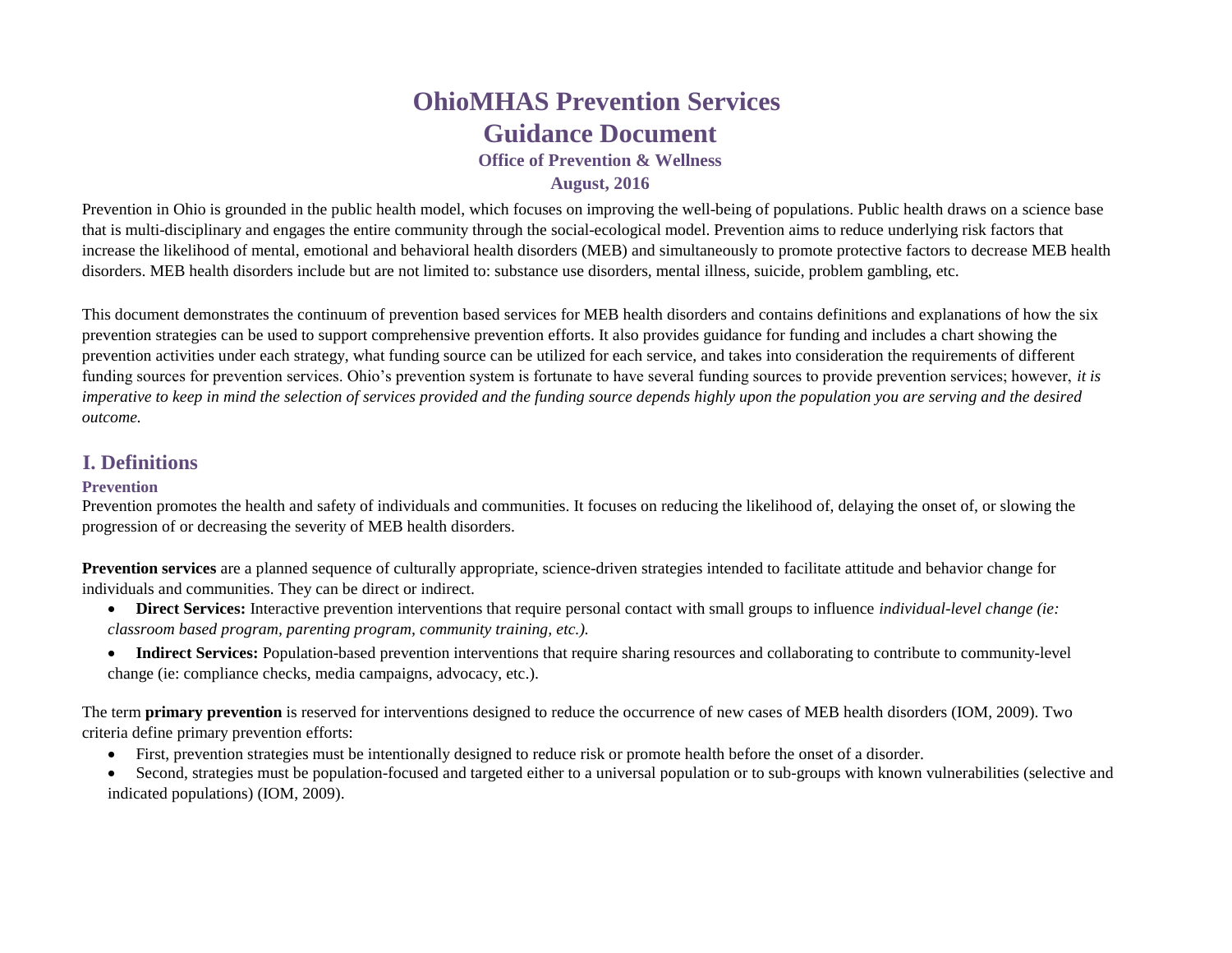# **OhioMHAS Prevention Services Guidance Document**

**Office of Prevention & Wellness**

### **August, 2016**

Prevention in Ohio is grounded in the public health model, which focuses on improving the well-being of populations. Public health draws on a science base that is multi-disciplinary and engages the entire community through the social-ecological model. Prevention aims to reduce underlying risk factors that increase the likelihood of mental, emotional and behavioral health disorders (MEB) and simultaneously to promote protective factors to decrease MEB health disorders. MEB health disorders include but are not limited to: substance use disorders, mental illness, suicide, problem gambling, etc.

This document demonstrates the continuum of prevention based services for MEB health disorders and contains definitions and explanations of how the six prevention strategies can be used to support comprehensive prevention efforts. It also provides guidance for funding and includes a chart showing the prevention activities under each strategy, what funding source can be utilized for each service, and takes into consideration the requirements of different funding sources for prevention services. Ohio's prevention system is fortunate to have several funding sources to provide prevention services; however, *it is imperative to keep in mind the selection of services provided and the funding source depends highly upon the population you are serving and the desired outcome.* 

# **I. Definitions**

#### **Prevention**

Prevention promotes the health and safety of individuals and communities. It focuses on reducing the likelihood of, delaying the onset of, or slowing the progression of or decreasing the severity of MEB health disorders.

**Prevention services** are a planned sequence of culturally appropriate, science-driven strategies intended to facilitate attitude and behavior change for individuals and communities. They can be direct or indirect.

- **Direct Services:** Interactive prevention interventions that require personal contact with small groups to influence *individual-level change (ie: classroom based program, parenting program, community training, etc.).*
- **Indirect Services:** Population-based prevention interventions that require sharing resources and collaborating to contribute to community-level change (ie: compliance checks, media campaigns, advocacy, etc.).

The term **primary prevention** is reserved for interventions designed to reduce the occurrence of new cases of MEB health disorders (IOM, 2009). Two criteria define primary prevention efforts:

- First, prevention strategies must be intentionally designed to reduce risk or promote health before the onset of a disorder.
- Second, strategies must be population-focused and targeted either to a universal population or to sub-groups with known vulnerabilities (selective and indicated populations) (IOM, 2009).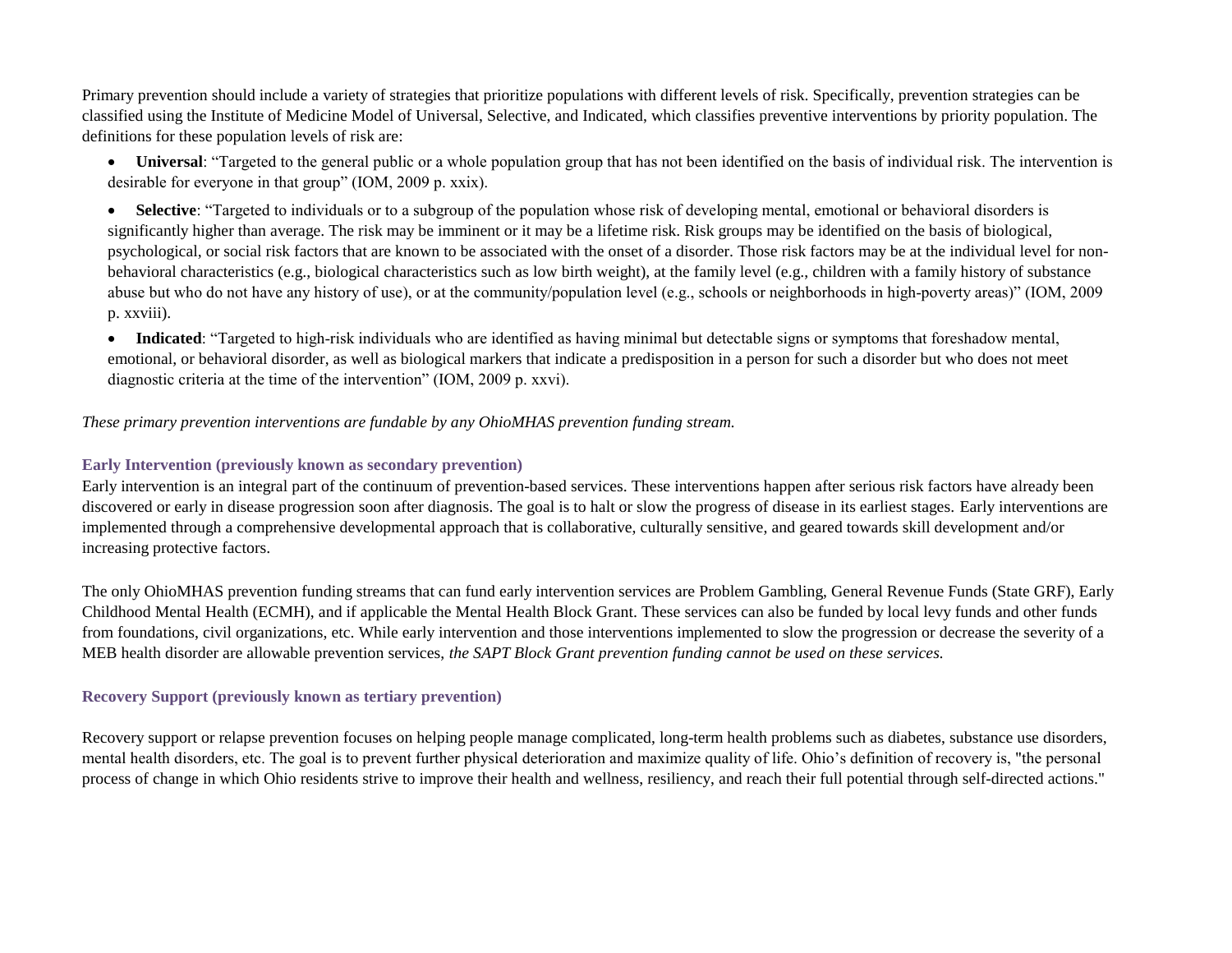Primary prevention should include a variety of strategies that prioritize populations with different levels of risk. Specifically, prevention strategies can be classified using the Institute of Medicine Model of Universal, Selective, and Indicated, which classifies preventive interventions by priority population. The definitions for these population levels of risk are:

• Universal: "Targeted to the general public or a whole population group that has not been identified on the basis of individual risk. The intervention is desirable for everyone in that group" (IOM, 2009 p. xxix).

• **Selective**: "Targeted to individuals or to a subgroup of the population whose risk of developing mental, emotional or behavioral disorders is significantly higher than average. The risk may be imminent or it may be a lifetime risk. Risk groups may be identified on the basis of biological, psychological, or social risk factors that are known to be associated with the onset of a disorder. Those risk factors may be at the individual level for nonbehavioral characteristics (e.g., biological characteristics such as low birth weight), at the family level (e.g., children with a family history of substance abuse but who do not have any history of use), or at the community/population level (e.g., schools or neighborhoods in high-poverty areas)" (IOM, 2009 p. xxviii).

• **Indicated:** "Targeted to high-risk individuals who are identified as having minimal but detectable signs or symptoms that foreshadow mental, emotional, or behavioral disorder, as well as biological markers that indicate a predisposition in a person for such a disorder but who does not meet diagnostic criteria at the time of the intervention" (IOM, 2009 p. xxvi).

*These primary prevention interventions are fundable by any OhioMHAS prevention funding stream.*

#### **Early Intervention (previously known as secondary prevention)**

Early intervention is an integral part of the continuum of prevention-based services. These interventions happen after serious risk factors have already been discovered or early in disease progression soon after diagnosis. The goal is to halt or slow the progress of disease in its earliest stages. Early interventions are implemented through a comprehensive developmental approach that is collaborative, culturally sensitive, and geared towards skill development and/or increasing protective factors.

The only OhioMHAS prevention funding streams that can fund early intervention services are Problem Gambling, General Revenue Funds (State GRF), Early Childhood Mental Health (ECMH), and if applicable the Mental Health Block Grant. These services can also be funded by local levy funds and other funds from foundations, civil organizations, etc. While early intervention and those interventions implemented to slow the progression or decrease the severity of a MEB health disorder are allowable prevention services, *the SAPT Block Grant prevention funding cannot be used on these services.*

#### **Recovery Support (previously known as tertiary prevention)**

Recovery support or relapse prevention focuses on helping people manage complicated, long-term health problems such as diabetes, substance use disorders, mental health disorders, etc. The goal is to prevent further physical deterioration and maximize quality of life. Ohio's definition of recovery is, "the personal process of change in which Ohio residents strive to improve their health and wellness, resiliency, and reach their full potential through self-directed actions."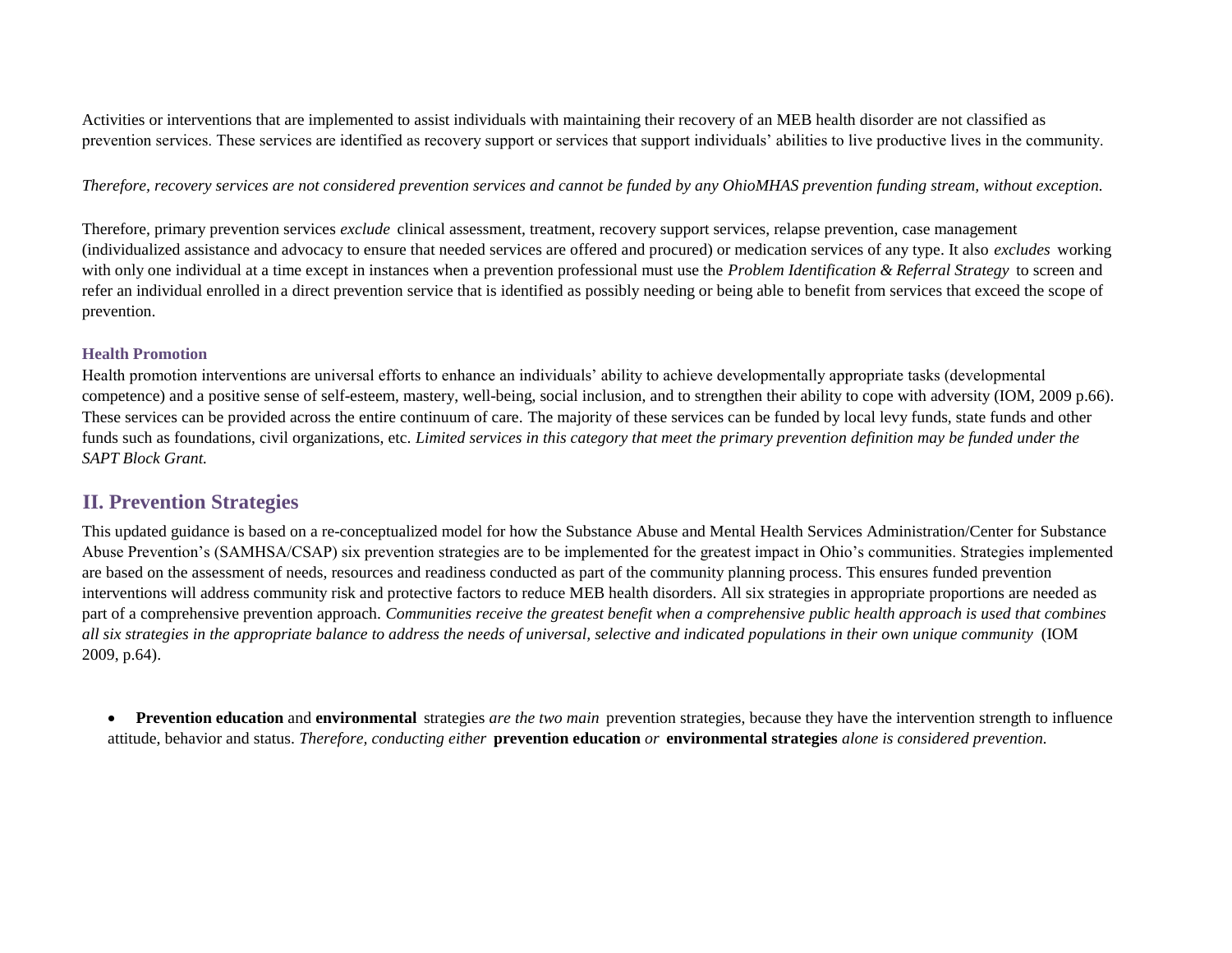Activities or interventions that are implemented to assist individuals with maintaining their recovery of an MEB health disorder are not classified as prevention services. These services are identified as recovery support or services that support individuals' abilities to live productive lives in the community.

*Therefore, recovery services are not considered prevention services and cannot be funded by any OhioMHAS prevention funding stream, without exception.* 

Therefore, primary prevention services *exclude* clinical assessment, treatment, recovery support services, relapse prevention, case management (individualized assistance and advocacy to ensure that needed services are offered and procured) or medication services of any type. It also *excludes* working with only one individual at a time except in instances when a prevention professional must use the *Problem Identification & Referral Strategy* to screen and refer an individual enrolled in a direct prevention service that is identified as possibly needing or being able to benefit from services that exceed the scope of prevention.

#### **Health Promotion**

Health promotion interventions are universal efforts to enhance an individuals' ability to achieve developmentally appropriate tasks (developmental competence) and a positive sense of self-esteem, mastery, well-being, social inclusion, and to strengthen their ability to cope with adversity (IOM, 2009 p.66). These services can be provided across the entire continuum of care. The majority of these services can be funded by local levy funds, state funds and other funds such as foundations, civil organizations, etc. *Limited services in this category that meet the primary prevention definition may be funded under the SAPT Block Grant.*

# **II. Prevention Strategies**

This updated guidance is based on a re-conceptualized model for how the Substance Abuse and Mental Health Services Administration/Center for Substance Abuse Prevention's (SAMHSA/CSAP) six prevention strategies are to be implemented for the greatest impact in Ohio's communities. Strategies implemented are based on the assessment of needs, resources and readiness conducted as part of the community planning process. This ensures funded prevention interventions will address community risk and protective factors to reduce MEB health disorders. All six strategies in appropriate proportions are needed as part of a comprehensive prevention approach. *Communities receive the greatest benefit when a comprehensive public health approach is used that combines all six strategies in the appropriate balance to address the needs of universal, selective and indicated populations in their own unique community* (IOM 2009, p.64).

• **Prevention education** and **environmental** strategies *are the two main* prevention strategies, because they have the intervention strength to influence attitude, behavior and status. *Therefore, conducting either* **prevention education** *or* **environmental strategies** *alone is considered prevention.*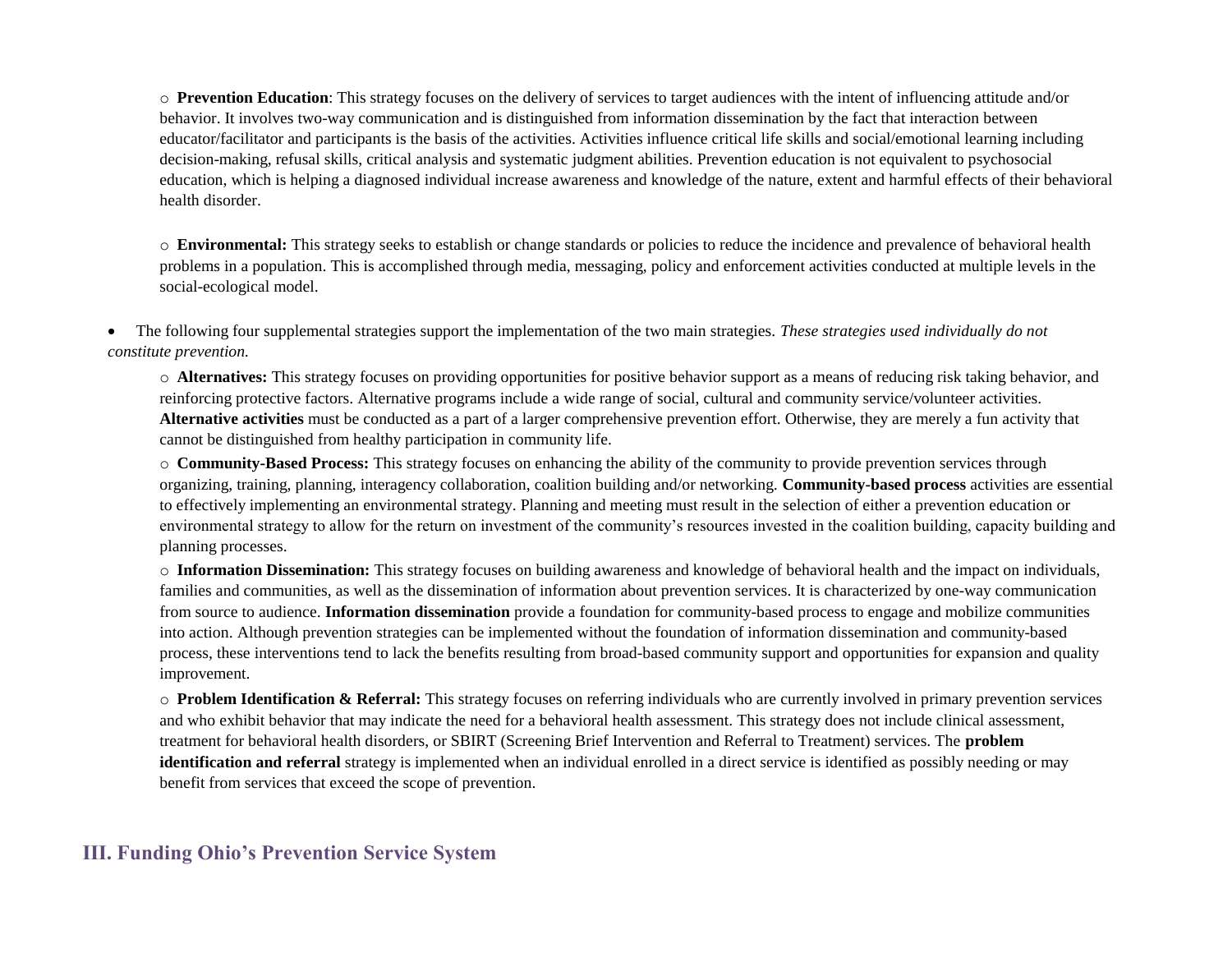o **Prevention Education**: This strategy focuses on the delivery of services to target audiences with the intent of influencing attitude and/or behavior. It involves two-way communication and is distinguished from information dissemination by the fact that interaction between educator/facilitator and participants is the basis of the activities. Activities influence critical life skills and social/emotional learning including decision-making, refusal skills, critical analysis and systematic judgment abilities. Prevention education is not equivalent to psychosocial education, which is helping a diagnosed individual increase awareness and knowledge of the nature, extent and harmful effects of their behavioral health disorder.

o **Environmental:** This strategy seeks to establish or change standards or policies to reduce the incidence and prevalence of behavioral health problems in a population. This is accomplished through media, messaging, policy and enforcement activities conducted at multiple levels in the social-ecological model.

• The following four supplemental strategies support the implementation of the two main strategies. *These strategies used individually do not constitute prevention.*

o **Alternatives:** This strategy focuses on providing opportunities for positive behavior support as a means of reducing risk taking behavior, and reinforcing protective factors. Alternative programs include a wide range of social, cultural and community service/volunteer activities. **Alternative activities** must be conducted as a part of a larger comprehensive prevention effort. Otherwise, they are merely a fun activity that cannot be distinguished from healthy participation in community life.

o **Community-Based Process:** This strategy focuses on enhancing the ability of the community to provide prevention services through organizing, training, planning, interagency collaboration, coalition building and/or networking. **Community-based process** activities are essential to effectively implementing an environmental strategy. Planning and meeting must result in the selection of either a prevention education or environmental strategy to allow for the return on investment of the community's resources invested in the coalition building, capacity building and planning processes.

o **Information Dissemination:** This strategy focuses on building awareness and knowledge of behavioral health and the impact on individuals, families and communities, as well as the dissemination of information about prevention services. It is characterized by one-way communication from source to audience. **Information dissemination** provide a foundation for community-based process to engage and mobilize communities into action. Although prevention strategies can be implemented without the foundation of information dissemination and community-based process, these interventions tend to lack the benefits resulting from broad-based community support and opportunities for expansion and quality improvement.

o **Problem Identification & Referral:** This strategy focuses on referring individuals who are currently involved in primary prevention services and who exhibit behavior that may indicate the need for a behavioral health assessment. This strategy does not include clinical assessment, treatment for behavioral health disorders, or SBIRT (Screening Brief Intervention and Referral to Treatment) services. The **problem identification and referral** strategy is implemented when an individual enrolled in a direct service is identified as possibly needing or may benefit from services that exceed the scope of prevention.

### **III. Funding Ohio's Prevention Service System**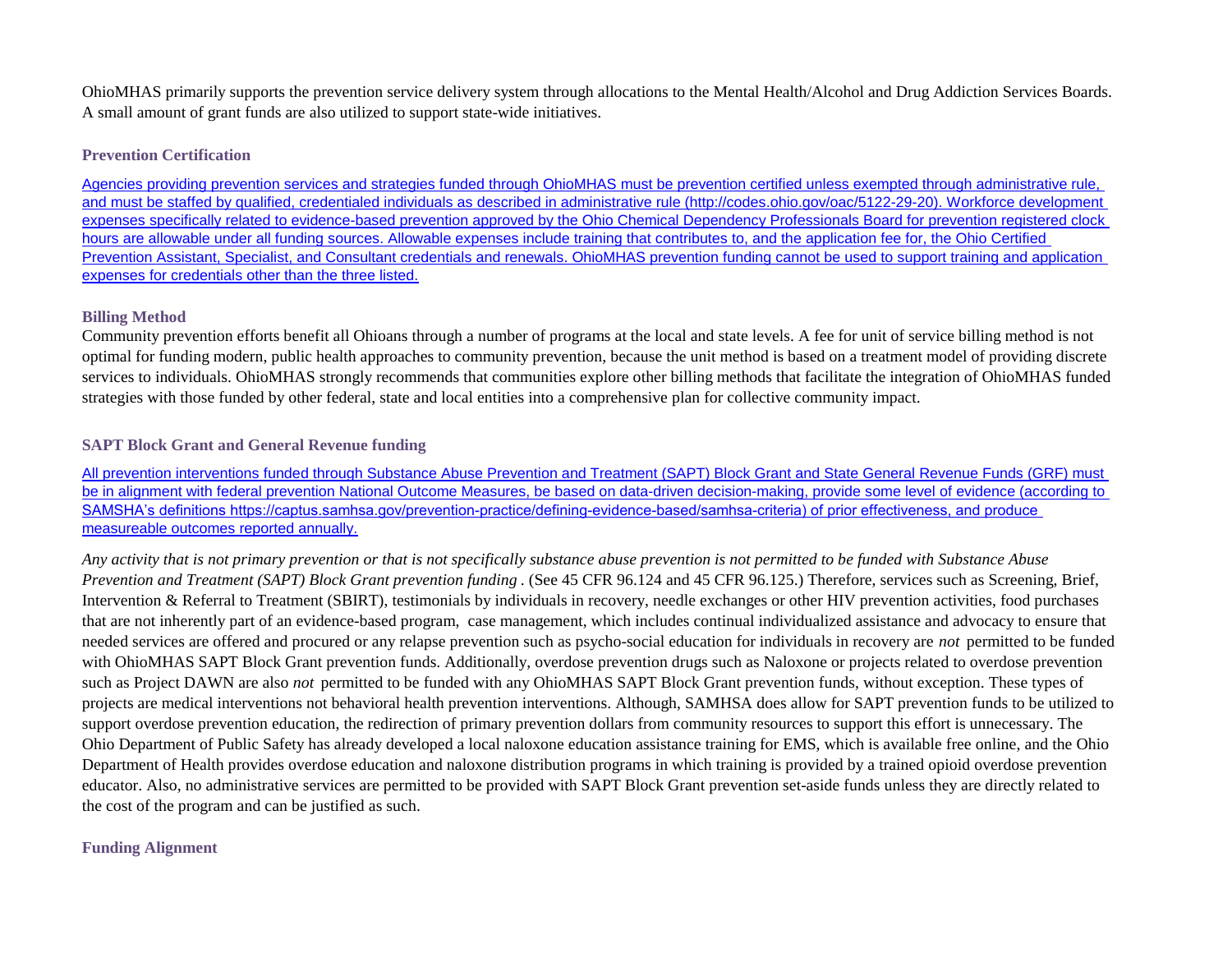OhioMHAS primarily supports the prevention service delivery system through allocations to the Mental Health/Alcohol and Drug Addiction Services Boards. A small amount of grant funds are also utilized to support state-wide initiatives.

#### **Prevention Certification**

[Agencies providing pre](http://codes.ohio.gov/oac/5122-29-20)vention services and strategies funded through OhioMHAS must be prevention certified unless exempted through administrative rule, [and must be staffed by](http://codes.ohio.gov/oac/5122-29-20) qualified, credentialed individuals as described in administrative rule (http://codes.ohio.gov/oac/5122-29-20). Workforce development [expenses specifically r](http://codes.ohio.gov/oac/5122-29-20)elated to evidence-based prevention approved by the Ohio Chemical Dependency Professionals Board for prevention registered clock [hours are allowable un](http://codes.ohio.gov/oac/5122-29-20)der all funding sources. Allowable expenses include training that contributes to, and the application fee for, the Ohio Certified [Prevention Assistant, S](http://codes.ohio.gov/oac/5122-29-20)pecialist, and Consultant credentials and renewals. OhioMHAS prevention funding cannot be used to support training and application [expenses for credentia](http://codes.ohio.gov/oac/5122-29-20)ls other than the three listed.

#### **Billing Method**

Community prevention efforts benefit all Ohioans through a number of programs at the local and state levels. A fee for unit of service billing method is not optimal for funding modern, public health approaches to community prevention, because the unit method is based on a treatment model of providing discrete services to individuals. OhioMHAS strongly recommends that communities explore other billing methods that facilitate the integration of OhioMHAS funded strategies with those funded by other federal, state and local entities into a comprehensive plan for collective community impact.

#### **SAPT Block Grant and General Revenue funding**

[All prevention interven](https://captus.samhsa.gov/prevention-practice/defining-evidence-based/samhsa-criteria)tions funded through Substance Abuse Prevention and Treatment (SAPT) Block Grant and State General Revenue Funds (GRF) must [be in alignment with fe](https://captus.samhsa.gov/prevention-practice/defining-evidence-based/samhsa-criteria)deral prevention National Outcome Measures, be based on data-driven decision-making, provide some level of evidence (according to [SAMSHA's definitions](https://captus.samhsa.gov/prevention-practice/defining-evidence-based/samhsa-criteria) https://captus.samhsa.gov/prevention-practice/defining-evidence-based/samhsa-criteria) of prior effectiveness, and produce [measureable outcome](https://captus.samhsa.gov/prevention-practice/defining-evidence-based/samhsa-criteria)s reported annually.

*Any activity that is not primary prevention or that is not specifically substance abuse prevention is not permitted to be funded with Substance Abuse Prevention and Treatment (SAPT) Block Grant prevention funding* . (See 45 CFR 96.124 and 45 CFR 96.125.) Therefore, services such as Screening, Brief, Intervention & Referral to Treatment (SBIRT), testimonials by individuals in recovery, needle exchanges or other HIV prevention activities, food purchases that are not inherently part of an evidence-based program, case management, which includes continual individualized assistance and advocacy to ensure that needed services are offered and procured or any relapse prevention such as psycho-social education for individuals in recovery are *not* permitted to be funded with OhioMHAS SAPT Block Grant prevention funds. Additionally, overdose prevention drugs such as Naloxone or projects related to overdose prevention such as Project DAWN are also *not* permitted to be funded with any OhioMHAS SAPT Block Grant prevention funds, without exception. These types of projects are medical interventions not behavioral health prevention interventions. Although, SAMHSA does allow for SAPT prevention funds to be utilized to support overdose prevention education, the redirection of primary prevention dollars from community resources to support this effort is unnecessary. The Ohio Department of Public Safety has already developed a local naloxone education assistance training for EMS, which is available free online, and the Ohio Department of Health provides overdose education and naloxone distribution programs in which training is provided by a trained opioid overdose prevention educator. Also, no administrative services are permitted to be provided with SAPT Block Grant prevention set-aside funds unless they are directly related to the cost of the program and can be justified as such.

#### **Funding Alignment**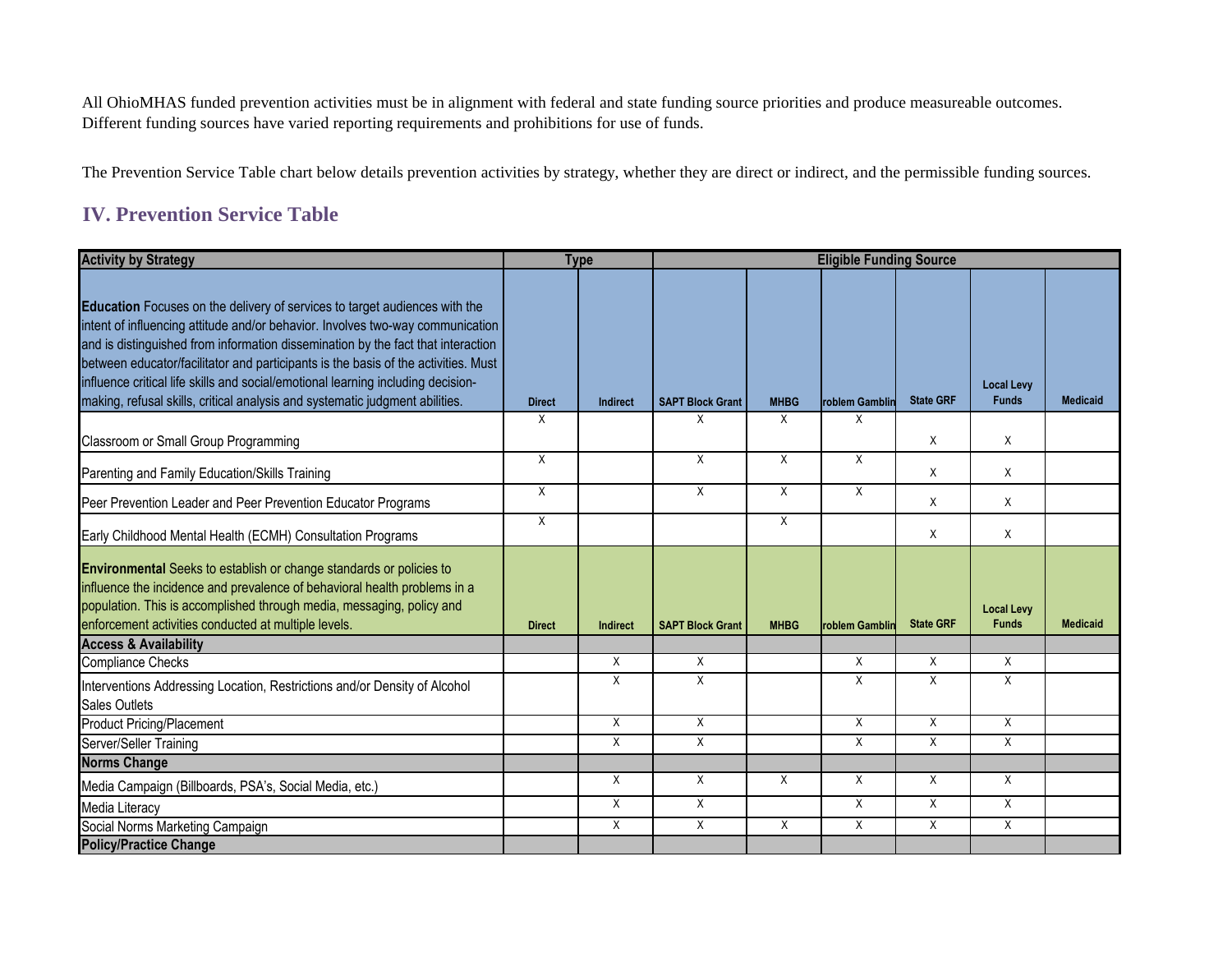All OhioMHAS funded prevention activities must be in alignment with federal and state funding source priorities and produce measureable outcomes. Different funding sources have varied reporting requirements and prohibitions for use of funds.

The Prevention Service Table chart below details prevention activities by strategy, whether they are direct or indirect, and the permissible funding sources.

# **IV. Prevention Service Table**

| <b>Activity by Strategy</b>                                                                                                                                                                                                                                                                                                                                                                                                                                                                                |               | <b>Type</b>     |                         |             | <b>Eligible Funding Source</b> |                  |                                   |                 |
|------------------------------------------------------------------------------------------------------------------------------------------------------------------------------------------------------------------------------------------------------------------------------------------------------------------------------------------------------------------------------------------------------------------------------------------------------------------------------------------------------------|---------------|-----------------|-------------------------|-------------|--------------------------------|------------------|-----------------------------------|-----------------|
| Education Focuses on the delivery of services to target audiences with the<br>intent of influencing attitude and/or behavior. Involves two-way communication<br>and is distinguished from information dissemination by the fact that interaction<br>between educator/facilitator and participants is the basis of the activities. Must<br>influence critical life skills and social/emotional learning including decision-<br>making, refusal skills, critical analysis and systematic judgment abilities. | <b>Direct</b> | Indirect        | <b>SAPT Block Grant</b> | <b>MHBG</b> | <b>roblem Gamblir</b>          | <b>State GRF</b> | <b>Local Levy</b><br><b>Funds</b> | <b>Medicaid</b> |
| Classroom or Small Group Programming                                                                                                                                                                                                                                                                                                                                                                                                                                                                       | X             |                 | X                       | X           | Χ                              | X                | X                                 |                 |
| Parenting and Family Education/Skills Training                                                                                                                                                                                                                                                                                                                                                                                                                                                             | X             |                 | X                       | $\sf X$     | X                              | X                | X                                 |                 |
| Peer Prevention Leader and Peer Prevention Educator Programs                                                                                                                                                                                                                                                                                                                                                                                                                                               | X             |                 | X                       | X           | X                              | X                | X                                 |                 |
| Early Childhood Mental Health (ECMH) Consultation Programs                                                                                                                                                                                                                                                                                                                                                                                                                                                 | $\mathsf{X}$  |                 |                         | $\sf X$     |                                | X                | X                                 |                 |
| Environmental Seeks to establish or change standards or policies to<br>influence the incidence and prevalence of behavioral health problems in a<br>population. This is accomplished through media, messaging, policy and<br>enforcement activities conducted at multiple levels.                                                                                                                                                                                                                          | <b>Direct</b> | <b>Indirect</b> | <b>SAPT Block Grant</b> | <b>MHBG</b> | roblem Gamblin                 | <b>State GRF</b> | <b>Local Levy</b><br><b>Funds</b> | <b>Medicaid</b> |
| <b>Access &amp; Availability</b>                                                                                                                                                                                                                                                                                                                                                                                                                                                                           |               |                 |                         |             |                                |                  |                                   |                 |
| <b>Compliance Checks</b>                                                                                                                                                                                                                                                                                                                                                                                                                                                                                   |               | $\sf X$         | X                       |             | X                              | X                | X                                 |                 |
| Interventions Addressing Location, Restrictions and/or Density of Alcohol<br><b>Sales Outlets</b>                                                                                                                                                                                                                                                                                                                                                                                                          |               | X               | X                       |             | X                              | X                | X                                 |                 |
| <b>Product Pricing/Placement</b>                                                                                                                                                                                                                                                                                                                                                                                                                                                                           |               | $\sf X$         | X                       |             | X                              | X                | X                                 |                 |
| Server/Seller Training                                                                                                                                                                                                                                                                                                                                                                                                                                                                                     |               | X               | X                       |             | X                              | X                | X                                 |                 |
| <b>Norms Change</b>                                                                                                                                                                                                                                                                                                                                                                                                                                                                                        |               |                 |                         |             |                                |                  |                                   |                 |
| Media Campaign (Billboards, PSA's, Social Media, etc.)                                                                                                                                                                                                                                                                                                                                                                                                                                                     |               | $\times$        | X                       | $\times$    | X                              | X                | X                                 |                 |
| Media Literacy                                                                                                                                                                                                                                                                                                                                                                                                                                                                                             |               | $\sf X$         | X                       |             | X                              | X                | $\mathsf{X}$                      |                 |
| Social Norms Marketing Campaign                                                                                                                                                                                                                                                                                                                                                                                                                                                                            |               | X               | X                       | X           | X                              | X                | X                                 |                 |
| <b>Policy/Practice Change</b>                                                                                                                                                                                                                                                                                                                                                                                                                                                                              |               |                 |                         |             |                                |                  |                                   |                 |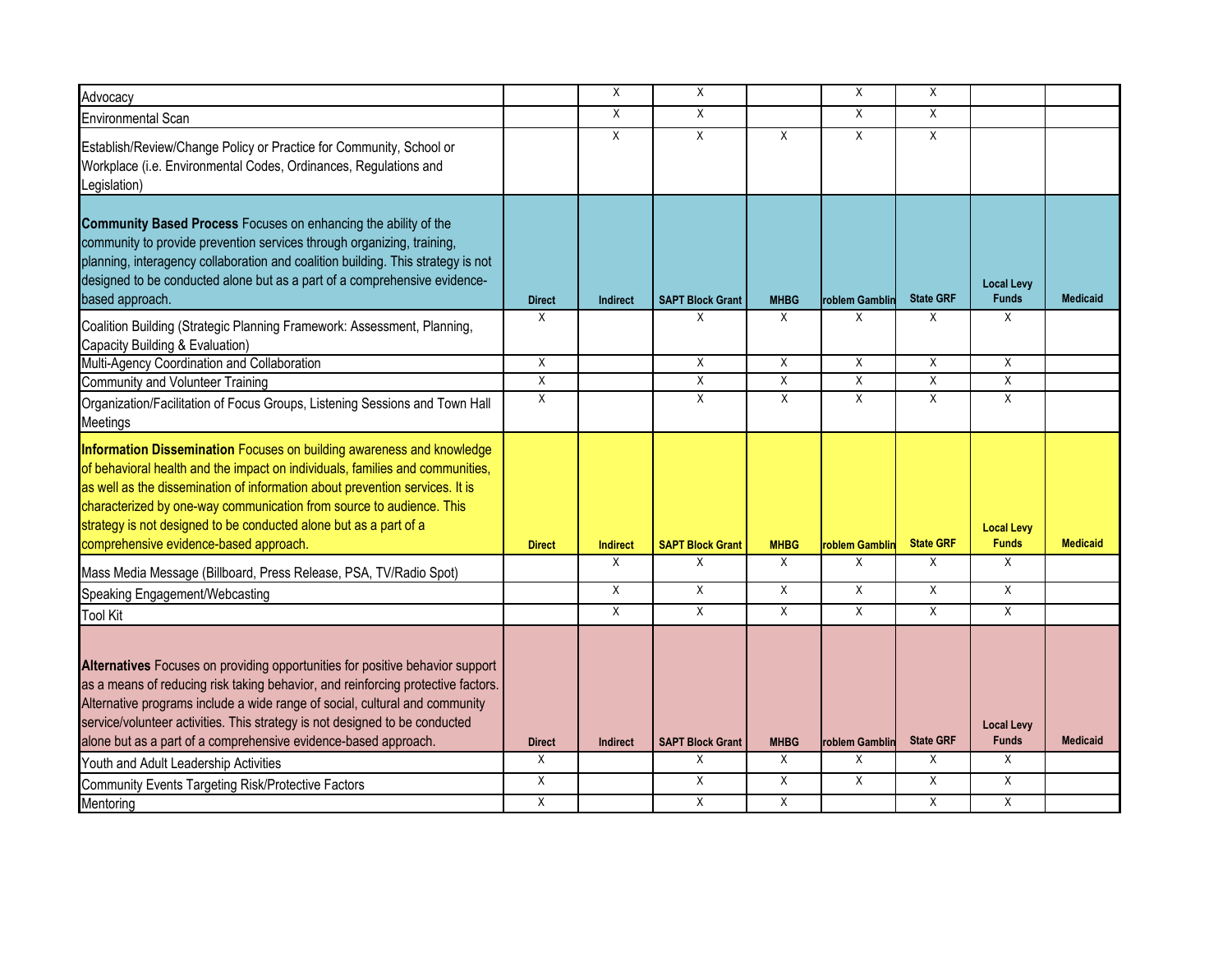| Advocacy                                                                                                                                                                                                                                                                                                                                                                                                                      |                | X               | Χ                       |             | Χ              | X                |                                   |                 |
|-------------------------------------------------------------------------------------------------------------------------------------------------------------------------------------------------------------------------------------------------------------------------------------------------------------------------------------------------------------------------------------------------------------------------------|----------------|-----------------|-------------------------|-------------|----------------|------------------|-----------------------------------|-----------------|
| <b>Environmental Scan</b>                                                                                                                                                                                                                                                                                                                                                                                                     |                | X               | Χ                       |             | X              | X                |                                   |                 |
| Establish/Review/Change Policy or Practice for Community, School or<br>Workplace (i.e. Environmental Codes, Ordinances, Regulations and<br>Legislation)                                                                                                                                                                                                                                                                       |                | Χ               | X                       | X           | X              | X                |                                   |                 |
| Community Based Process Focuses on enhancing the ability of the<br>community to provide prevention services through organizing, training,<br>planning, interagency collaboration and coalition building. This strategy is not<br>designed to be conducted alone but as a part of a comprehensive evidence-<br>based approach.                                                                                                 | <b>Direct</b>  | <b>Indirect</b> | <b>SAPT Block Grant</b> | <b>MHBG</b> | roblem Gamblir | <b>State GRF</b> | <b>Local Levy</b><br><b>Funds</b> | <b>Medicaid</b> |
| Coalition Building (Strategic Planning Framework: Assessment, Planning,<br>Capacity Building & Evaluation)                                                                                                                                                                                                                                                                                                                    | Χ              |                 | X                       | X           | Χ              | Χ                | Χ                                 |                 |
| Multi-Agency Coordination and Collaboration                                                                                                                                                                                                                                                                                                                                                                                   | X              |                 | $\sf X$                 | X           | $\sf X$        | X                | X                                 |                 |
| <b>Community and Volunteer Training</b>                                                                                                                                                                                                                                                                                                                                                                                       | $\overline{X}$ |                 | X                       | X           | X              | X                | X                                 |                 |
| Organization/Facilitation of Focus Groups, Listening Sessions and Town Hall<br>Meetings                                                                                                                                                                                                                                                                                                                                       | X              |                 | X                       | X           | X              | X                | X                                 |                 |
| Information Dissemination Focuses on building awareness and knowledge<br>of behavioral health and the impact on individuals, families and communities,<br>as well as the dissemination of information about prevention services. It is<br>characterized by one-way communication from source to audience. This<br>strategy is not designed to be conducted alone but as a part of a<br>comprehensive evidence-based approach. | <b>Direct</b>  | <b>Indirect</b> | <b>SAPT Block Grant</b> | <b>MHBG</b> | roblem Gamblir | <b>State GRF</b> | <b>Local Levy</b><br><b>Funds</b> | <b>Medicaid</b> |
| Mass Media Message (Billboard, Press Release, PSA, TV/Radio Spot)                                                                                                                                                                                                                                                                                                                                                             |                | $\times$        | X                       | X           | X              | X                | X                                 |                 |
| Speaking Engagement/Webcasting                                                                                                                                                                                                                                                                                                                                                                                                |                | X               | X                       | X           | Χ              | X                | X                                 |                 |
| <b>Tool Kit</b>                                                                                                                                                                                                                                                                                                                                                                                                               |                | X               | X                       | X           | X              | X                | X                                 |                 |
| Alternatives Focuses on providing opportunities for positive behavior support<br>as a means of reducing risk taking behavior, and reinforcing protective factors.<br>Alternative programs include a wide range of social, cultural and community<br>service/volunteer activities. This strategy is not designed to be conducted<br>alone but as a part of a comprehensive evidence-based approach.                            | <b>Direct</b>  | <b>Indirect</b> | <b>SAPT Block Grant</b> | <b>MHBG</b> | roblem Gamblin | <b>State GRF</b> | <b>Local Levy</b><br><b>Funds</b> | <b>Medicaid</b> |
| Youth and Adult Leadership Activities                                                                                                                                                                                                                                                                                                                                                                                         | $\overline{X}$ |                 | X                       | X           | X              | X                | X                                 |                 |
| Community Events Targeting Risk/Protective Factors                                                                                                                                                                                                                                                                                                                                                                            | X              |                 | X                       | X           | X              | X                | X                                 |                 |
| Mentorina                                                                                                                                                                                                                                                                                                                                                                                                                     | $\sf X$        |                 | X                       | X           |                | X                | X                                 |                 |